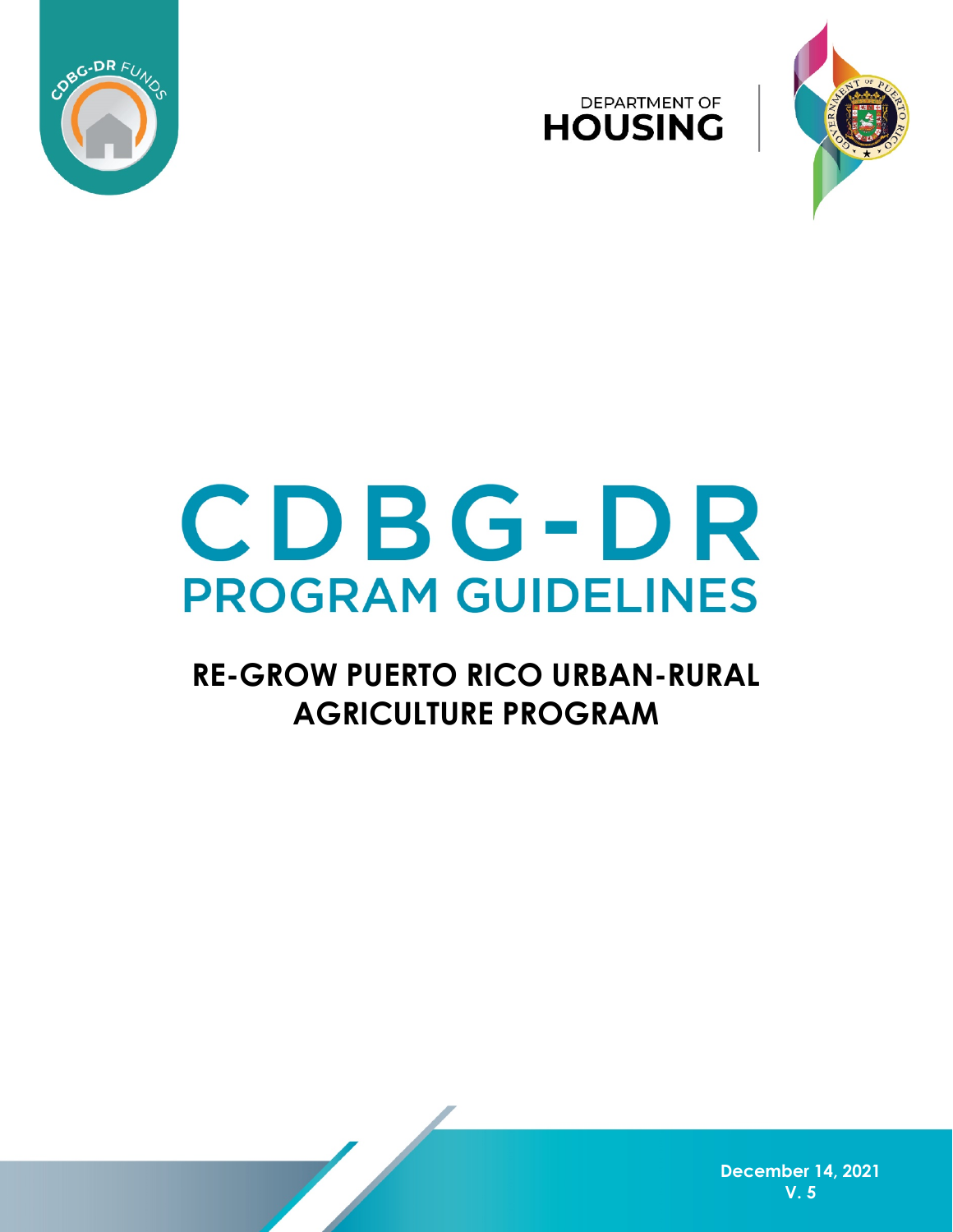





# CDBG-DR **PROGRAM GUIDELINES**

## **RE-GROW PUERTO RICO URBAN-RURAL AGRICULTURE PROGRAM**

**December 14, 2021 V. 5**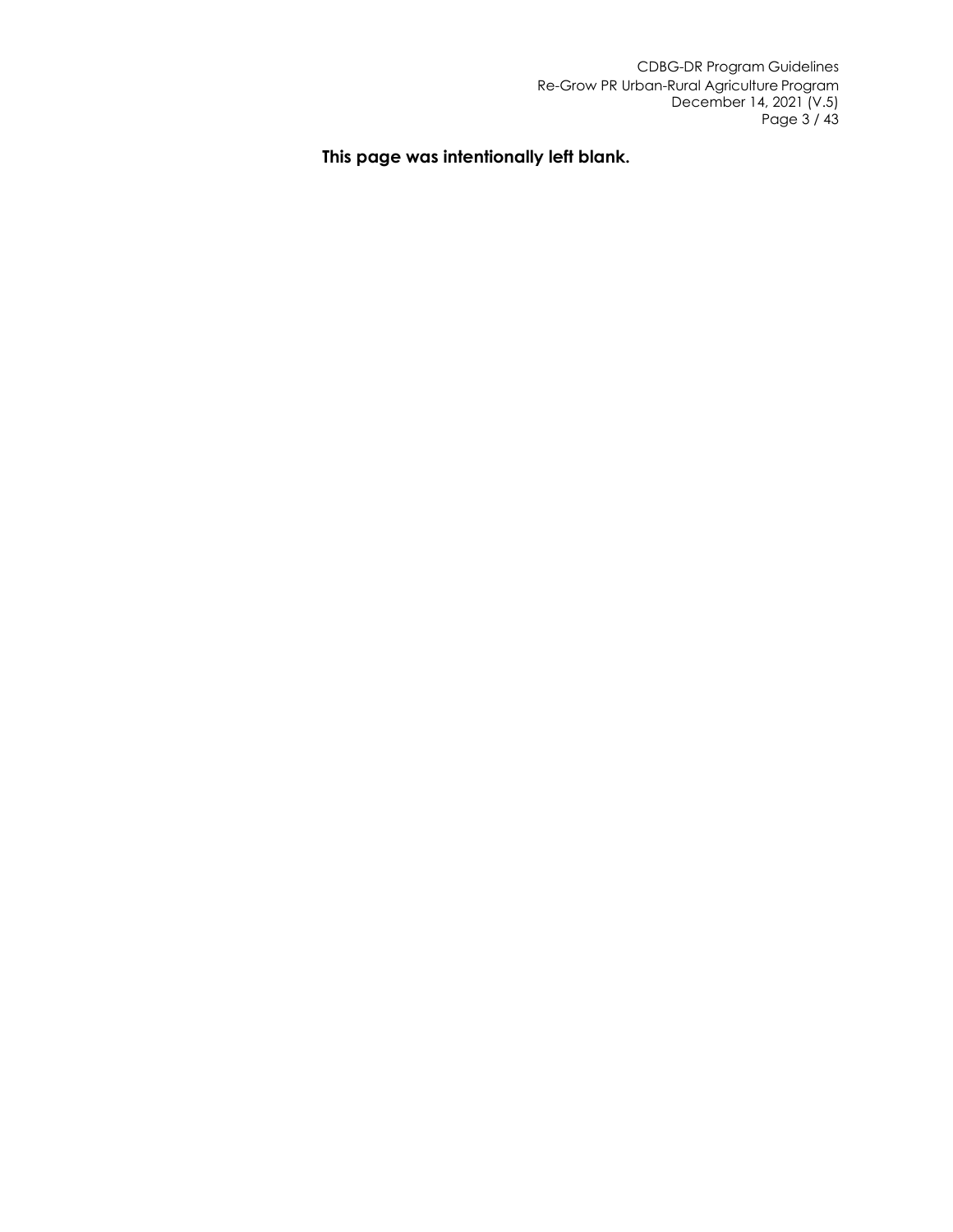CDBG-DR Program Guidelines Re-Grow PR Urban-Rural Agriculture Program December 14, 2021 (V.5) Page 3 / 43

**This page was intentionally left blank.**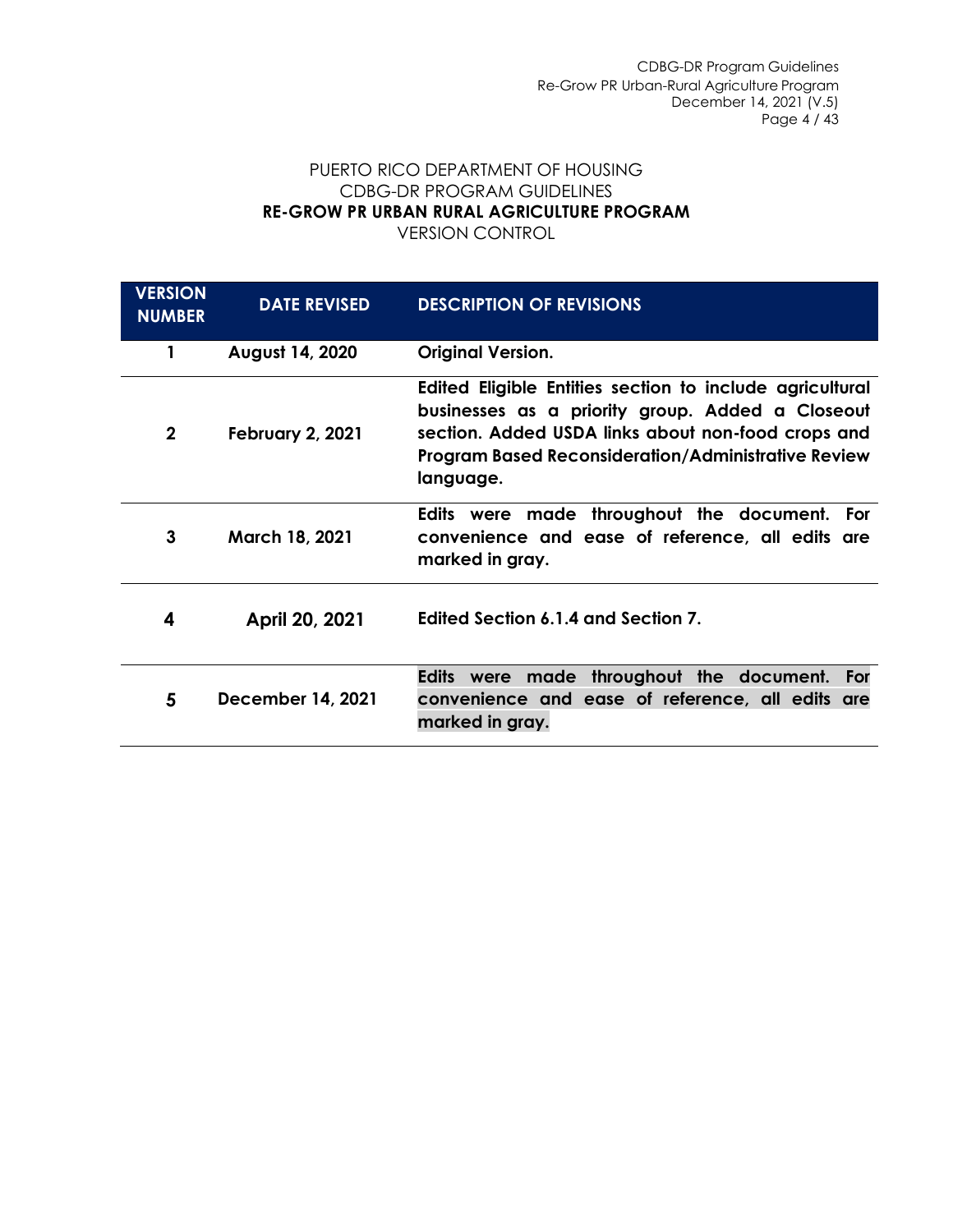CDBG-DR Program Guidelines Re-Grow PR Urban-Rural Agriculture Program December 14, 2021 (V.5) Page 4 / 43

#### PUERTO RICO DEPARTMENT OF HOUSING CDBG-DR PROGRAM GUIDELINES **RE-GROW PR URBAN RURAL AGRICULTURE PROGRAM**

VERSION CONTROL

| <b>VERSION</b><br><b>NUMBER</b> | <b>DATE REVISED</b>      | <b>DESCRIPTION OF REVISIONS</b>                                                                                                                                                                                                               |
|---------------------------------|--------------------------|-----------------------------------------------------------------------------------------------------------------------------------------------------------------------------------------------------------------------------------------------|
| 1                               | August 14, 2020          | <b>Original Version.</b>                                                                                                                                                                                                                      |
| $\mathbf{2}$                    | <b>February 2, 2021</b>  | Edited Eligible Entities section to include agricultural<br>businesses as a priority group. Added a Closeout<br>section. Added USDA links about non-food crops and<br><b>Program Based Reconsideration/Administrative Review</b><br>language. |
| 3                               | March 18, 2021           | Edits were made throughout the document. For<br>convenience and ease of reference, all edits are<br>marked in gray.                                                                                                                           |
| 4                               | April 20, 2021           | Edited Section 6.1.4 and Section 7.                                                                                                                                                                                                           |
| 5                               | <b>December 14, 2021</b> | Edits were made throughout the document. For<br>convenience and ease of reference, all edits are<br>marked in gray.                                                                                                                           |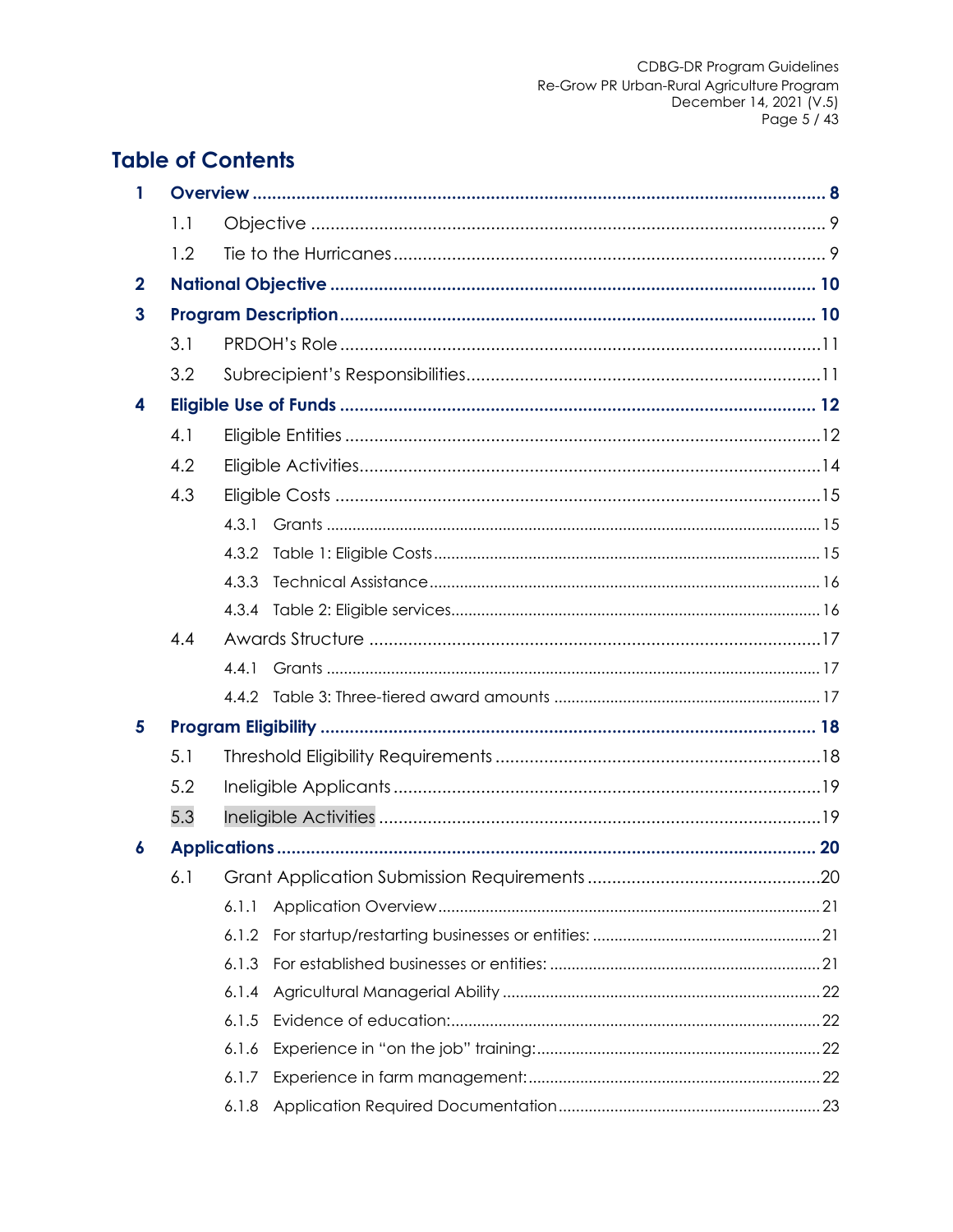## **Table of Contents**

| 1            |     |       |  |  |
|--------------|-----|-------|--|--|
|              | 1.1 |       |  |  |
|              | 1.2 |       |  |  |
| $\mathbf{2}$ |     |       |  |  |
| $\mathbf{3}$ |     |       |  |  |
|              | 3.1 |       |  |  |
|              | 3.2 |       |  |  |
| 4            |     |       |  |  |
|              | 4.1 |       |  |  |
|              | 4.2 |       |  |  |
|              | 4.3 |       |  |  |
|              |     | 4.3.1 |  |  |
|              |     | 4.3.2 |  |  |
|              |     | 4.3.3 |  |  |
|              |     |       |  |  |
|              | 4.4 |       |  |  |
|              |     | 4.4.1 |  |  |
|              |     |       |  |  |
| 5            |     |       |  |  |
|              | 5.1 |       |  |  |
|              | 5.2 |       |  |  |
|              | 5.3 |       |  |  |
| 6            |     | 20    |  |  |
|              | 6.1 |       |  |  |
|              |     | 6.1.1 |  |  |
|              |     | 6.1.2 |  |  |
|              |     | 6.1.3 |  |  |
|              |     | 6.1.4 |  |  |
|              |     | 6.1.5 |  |  |
|              |     | 6.1.6 |  |  |
|              |     | 6.1.7 |  |  |
|              |     | 6.1.8 |  |  |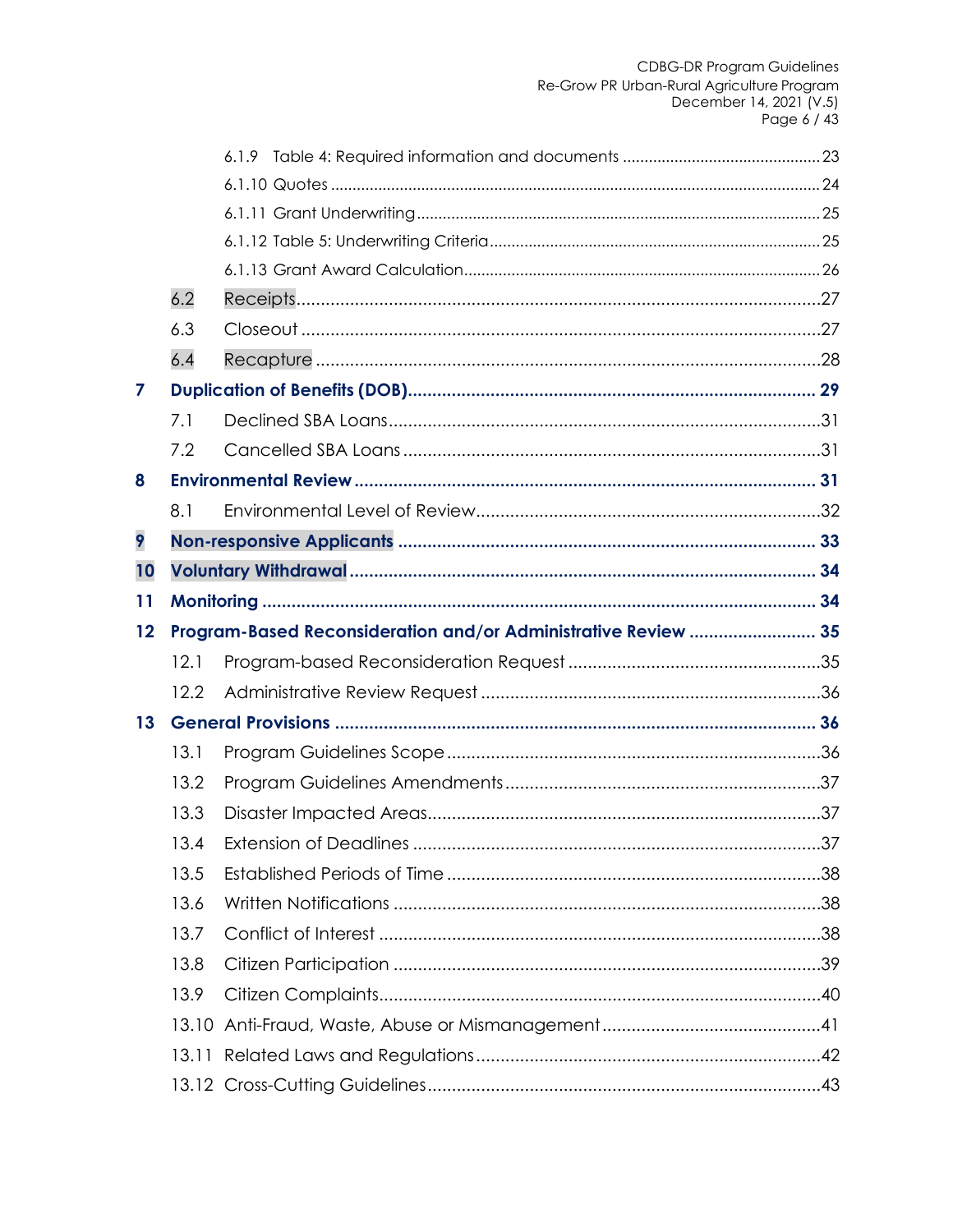|    | 6.2   |                                                                |  |
|----|-------|----------------------------------------------------------------|--|
|    | 6.3   |                                                                |  |
|    | 6.4   |                                                                |  |
| 7  |       |                                                                |  |
|    | 7.1   |                                                                |  |
|    | 7.2   |                                                                |  |
| 8  |       |                                                                |  |
|    | 8.1   |                                                                |  |
| 9  |       |                                                                |  |
| 10 |       |                                                                |  |
| 11 |       |                                                                |  |
|    |       |                                                                |  |
| 12 |       | Program-Based Reconsideration and/or Administrative Review  35 |  |
|    | 12.1  |                                                                |  |
|    | 12.2  |                                                                |  |
| 13 |       |                                                                |  |
|    | 13.1  |                                                                |  |
|    | 13.2  |                                                                |  |
|    | 13.3  |                                                                |  |
|    | 13.4  |                                                                |  |
|    | 13.5  |                                                                |  |
|    | 13.6  |                                                                |  |
|    | 13.7  |                                                                |  |
|    | 13.8  |                                                                |  |
|    | 13.9  |                                                                |  |
|    |       |                                                                |  |
|    | 13.11 |                                                                |  |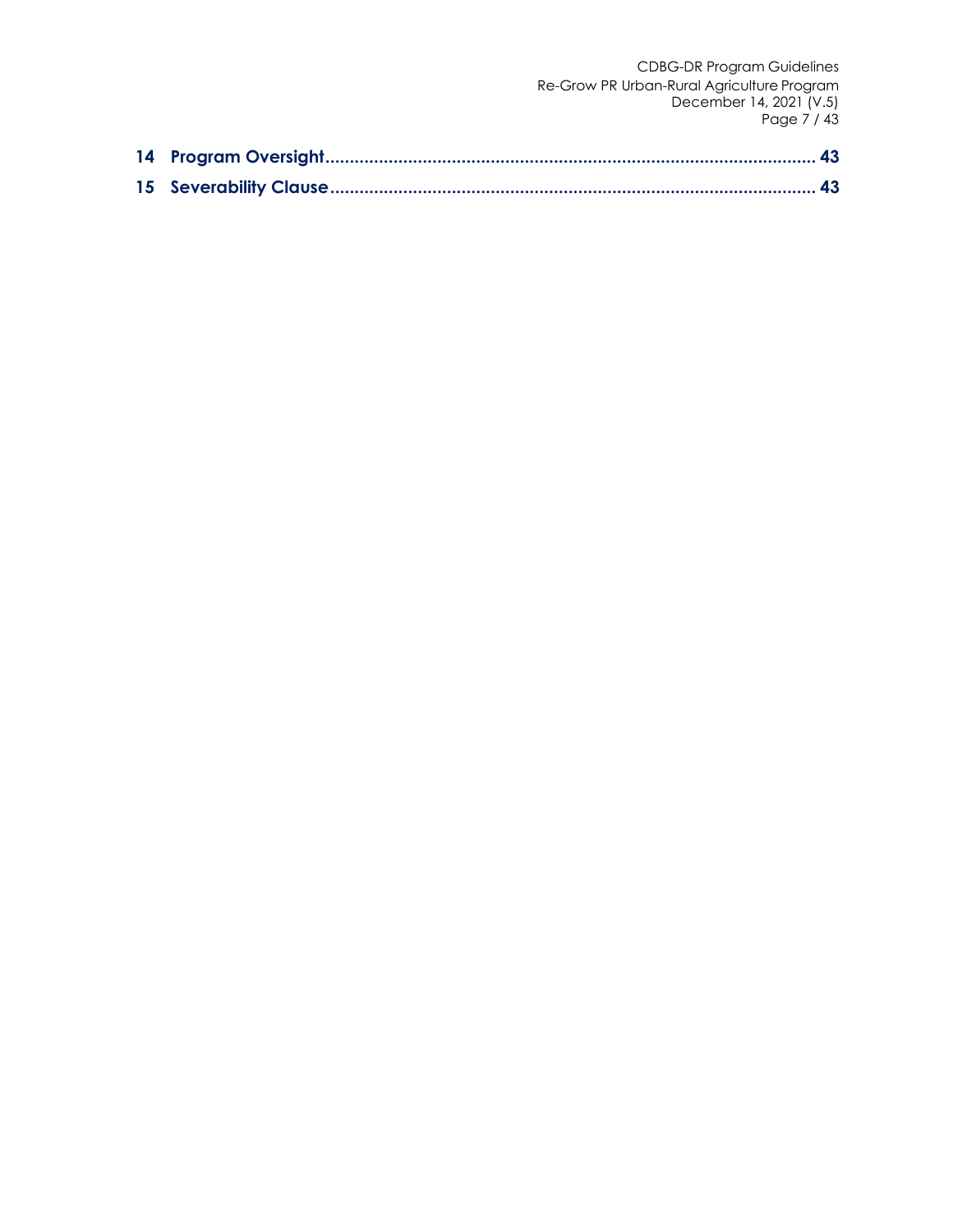CDBG-DR Program Guidelines Re-Grow PR Urban-Rural Agriculture Program December 14, 2021 (V.5) Page 7 / 43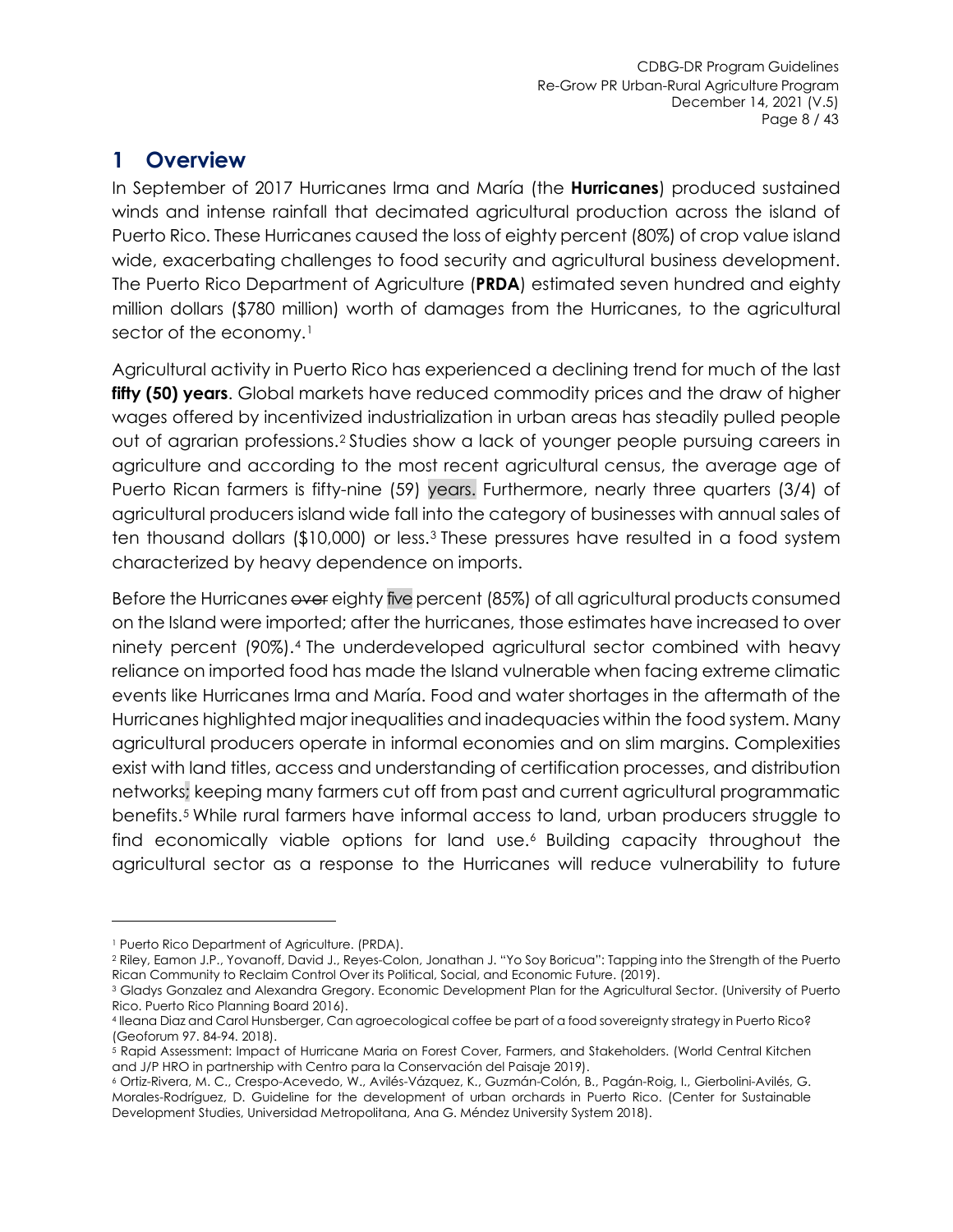## <span id="page-6-0"></span>**1 Overview**

In September of 2017 Hurricanes Irma and María (the **Hurricanes**) produced sustained winds and intense rainfall that decimated agricultural production across the island of Puerto Rico. These Hurricanes caused the loss of eighty percent (80%) of crop value island wide, exacerbating challenges to food security and agricultural business development. The Puerto Rico Department of Agriculture (**PRDA**) estimated seven hundred and eighty million dollars (\$780 million) worth of damages from the Hurricanes, to the agricultural sector of the economy.<sup>[1](#page-6-1)</sup>

Agricultural activity in Puerto Rico has experienced a declining trend for much of the last **fifty (50) years**. Global markets have reduced commodity prices and the draw of higher wages offered by incentivized industrialization in urban areas has steadily pulled people out of agrarian professions.[2](#page-6-2) Studies show a lack of younger people pursuing careers in agriculture and according to the most recent agricultural census, the average age of Puerto Rican farmers is fifty-nine (59) years. Furthermore, nearly three quarters (3/4) of agricultural producers island wide fall into the category of businesses with annual sales of ten thousand dollars (\$10,000) or less.[3](#page-6-3) These pressures have resulted in a food system characterized by heavy dependence on imports.

Before the Hurricanes over eighty five percent (85%) of all agricultural products consumed on the Island were imported; after the hurricanes, those estimates have increased to over ninety percent (90%)[.4](#page-6-4) The underdeveloped agricultural sector combined with heavy reliance on imported food has made the Island vulnerable when facing extreme climatic events like Hurricanes Irma and María. Food and water shortages in the aftermath of the Hurricanes highlighted major inequalities and inadequacies within the food system. Many agricultural producers operate in informal economies and on slim margins. Complexities exist with land titles, access and understanding of certification processes, and distribution networks; keeping many farmers cut off from past and current agricultural programmatic benefits.[5](#page-6-5) While rural farmers have informal access to land, urban producers struggle to find economically viable options for land use.[6](#page-6-6) Building capacity throughout the agricultural sector as a response to the Hurricanes will reduce vulnerability to future

<span id="page-6-1"></span><sup>1</sup> Puerto Rico Department of Agriculture. (PRDA).

<span id="page-6-2"></span><sup>2</sup> Riley, Eamon J.P., Yovanoff, David J., Reyes-Colon, Jonathan J. "Yo Soy Boricua": Tapping into the Strength of the Puerto Rican Community to Reclaim Control Over its Political, Social, and Economic Future. (2019).

<span id="page-6-3"></span><sup>&</sup>lt;sup>3</sup> Gladys Gonzalez and Alexandra Gregory. Economic Development Plan for the Agricultural Sector. (University of Puerto Rico. Puerto Rico Planning Board 2016).

<span id="page-6-4"></span><sup>4</sup> Ileana Diaz and Carol Hunsberger, Can agroecological coffee be part of a food sovereignty strategy in Puerto Rico? (Geoforum 97. 84-94. 2018).

<span id="page-6-5"></span><sup>5</sup> Rapid Assessment: Impact of Hurricane Maria on Forest Cover, Farmers, and Stakeholders. (World Central Kitchen and J/P HRO in partnership with Centro para la Conservación del Paisaje 2019).

<span id="page-6-6"></span><sup>6</sup> Ortiz-Rivera, M. C., Crespo-Acevedo, W., Avilés-Vázquez, K., Guzmán-Colón, B., Pagán-Roig, I., Gierbolini-Avilés, G. Morales-Rodríguez, D. Guideline for the development of urban orchards in Puerto Rico. (Center for Sustainable Development Studies, Universidad Metropolitana, Ana G. Méndez University System 2018).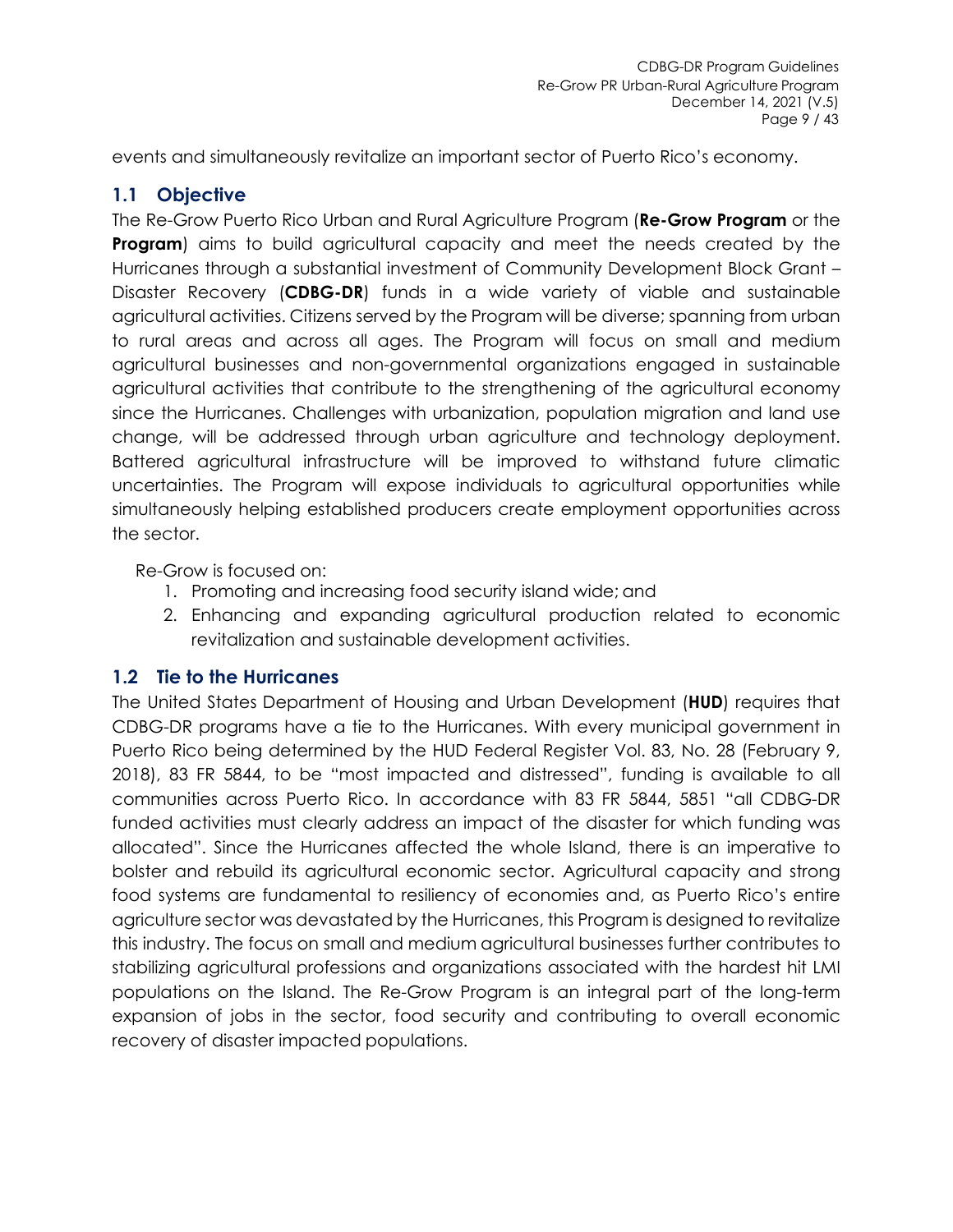events and simultaneously revitalize an important sector of Puerto Rico's economy.

#### <span id="page-7-0"></span>**1.1 Objective**

The Re-Grow Puerto Rico Urban and Rural Agriculture Program (**Re-Grow Program** or the **Program**) aims to build agricultural capacity and meet the needs created by the Hurricanes through a substantial investment of Community Development Block Grant – Disaster Recovery (**CDBG-DR**) funds in a wide variety of viable and sustainable agricultural activities. Citizens served by the Program will be diverse; spanning from urban to rural areas and across all ages. The Program will focus on small and medium agricultural businesses and non-governmental organizations engaged in sustainable agricultural activities that contribute to the strengthening of the agricultural economy since the Hurricanes. Challenges with urbanization, population migration and land use change, will be addressed through urban agriculture and technology deployment. Battered agricultural infrastructure will be improved to withstand future climatic uncertainties. The Program will expose individuals to agricultural opportunities while simultaneously helping established producers create employment opportunities across the sector.

Re-Grow is focused on:

- 1. Promoting and increasing food security island wide; and
- 2. Enhancing and expanding agricultural production related to economic revitalization and sustainable development activities.

#### <span id="page-7-1"></span>**1.2 Tie to the Hurricanes**

The United States Department of Housing and Urban Development (**HUD**) requires that CDBG-DR programs have a tie to the Hurricanes. With every municipal government in Puerto Rico being determined by the HUD Federal Register Vol. 83, No. 28 (February 9, 2018), 83 FR 5844, to be "most impacted and distressed", funding is available to all communities across Puerto Rico. In accordance with 83 FR 5844, 5851 "all CDBG-DR funded activities must clearly address an impact of the disaster for which funding was allocated". Since the Hurricanes affected the whole Island, there is an imperative to bolster and rebuild its agricultural economic sector. Agricultural capacity and strong food systems are fundamental to resiliency of economies and, as Puerto Rico's entire agriculture sector was devastated by the Hurricanes, this Program is designed to revitalize this industry. The focus on small and medium agricultural businesses further contributes to stabilizing agricultural professions and organizations associated with the hardest hit LMI populations on the Island. The Re-Grow Program is an integral part of the long-term expansion of jobs in the sector, food security and contributing to overall economic recovery of disaster impacted populations.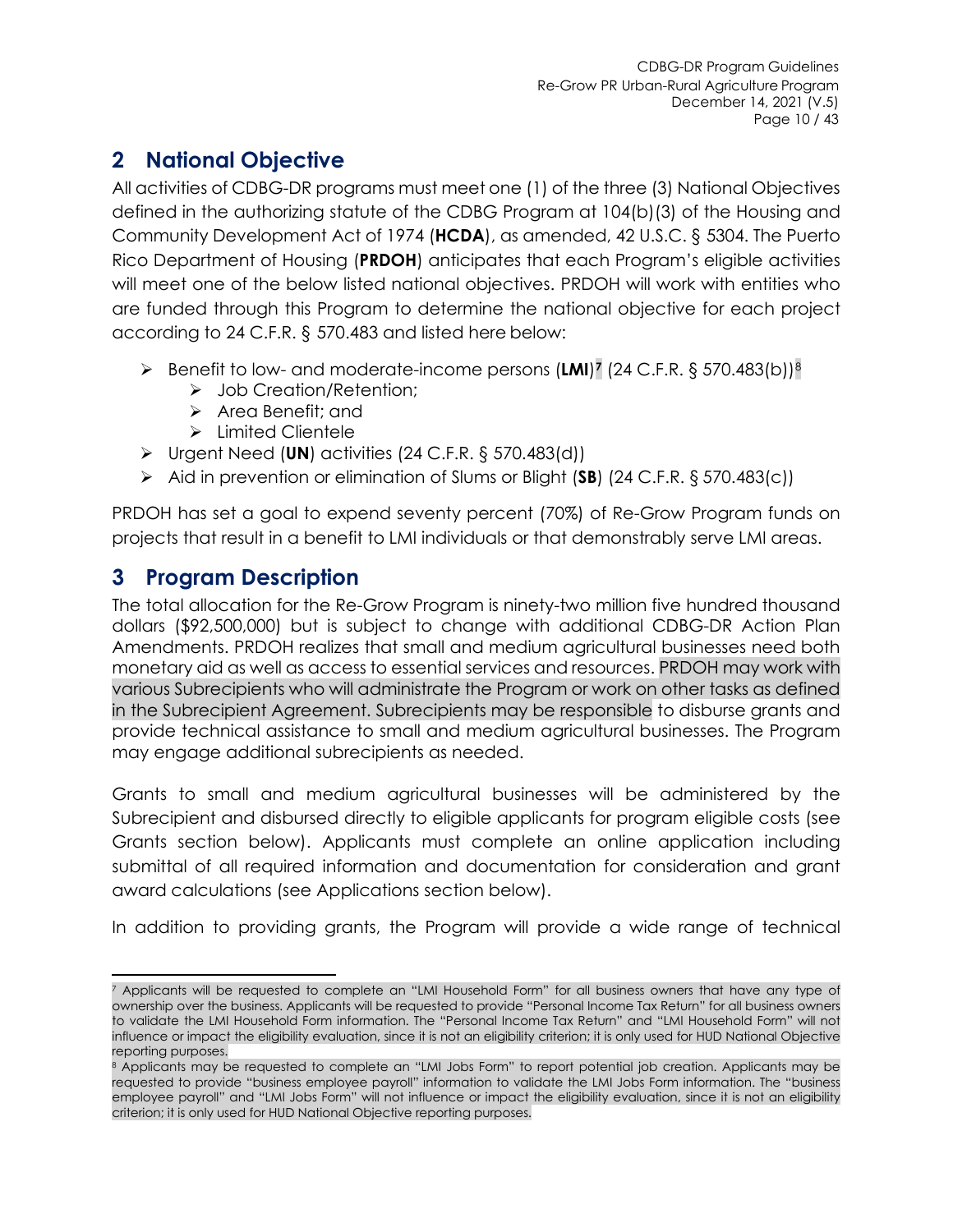## <span id="page-8-0"></span>**2 National Objective**

All activities of CDBG-DR programs must meet one (1) of the three (3) National Objectives defined in the authorizing statute of the CDBG Program at 104(b)(3) of the Housing and Community Development Act of 1974 (**HCDA**), as amended, 42 U.S.C. § 5304. The Puerto Rico Department of Housing (**PRDOH**) anticipates that each Program's eligible activities will meet one of the below listed national objectives. PRDOH will work with entities who are funded through this Program to determine the national objective for each project according to 24 C.F.R. § 570.483 and listed here below:

- Benefit to low- and moderate-income persons (**LMI**)**[7](#page-8-2)** (24 C.F.R. § 570.483(b))[8](#page-8-3)
	- Job Creation/Retention;
	- > Area Benefit; and
	- > Limited Clientele
- Urgent Need (**UN**) activities (24 C.F.R. § 570.483(d))
- Aid in prevention or elimination of Slums or Blight (**SB**) (24 C.F.R. § 570.483(c))

PRDOH has set a goal to expend seventy percent (70%) of Re-Grow Program funds on projects that result in a benefit to LMI individuals or that demonstrably serve LMI areas.

## <span id="page-8-1"></span>**3 Program Description**

The total allocation for the Re-Grow Program is ninety-two million five hundred thousand dollars (\$92,500,000) but is subject to change with additional CDBG-DR Action Plan Amendments. PRDOH realizes that small and medium agricultural businesses need both monetary aid as well as access to essential services and resources. PRDOH may work with various Subrecipients who will administrate the Program or work on other tasks as defined in the Subrecipient Agreement. Subrecipients may be responsible to disburse grants and provide technical assistance to small and medium agricultural businesses. The Program may engage additional subrecipients as needed.

Grants to small and medium agricultural businesses will be administered by the Subrecipient and disbursed directly to eligible applicants for program eligible costs (see Grants section below). Applicants must complete an online application including submittal of all required information and documentation for consideration and grant award calculations (see Applications section below).

In addition to providing grants, the Program will provide a wide range of technical

<span id="page-8-2"></span><sup>7</sup> Applicants will be requested to complete an "LMI Household Form" for all business owners that have any type of ownership over the business. Applicants will be requested to provide "Personal Income Tax Return" for all business owners to validate the LMI Household Form information. The "Personal Income Tax Return" and "LMI Household Form" will not influence or impact the eligibility evaluation, since it is not an eligibility criterion; it is only used for HUD National Objective reporting purposes.

<span id="page-8-3"></span><sup>&</sup>lt;sup>8</sup> Applicants may be requested to complete an "LMI Jobs Form" to report potential job creation. Applicants may be requested to provide "business employee payroll" information to validate the LMI Jobs Form information. The "business employee payroll" and "LMI Jobs Form" will not influence or impact the eligibility evaluation, since it is not an eligibility criterion; it is only used for HUD National Objective reporting purposes.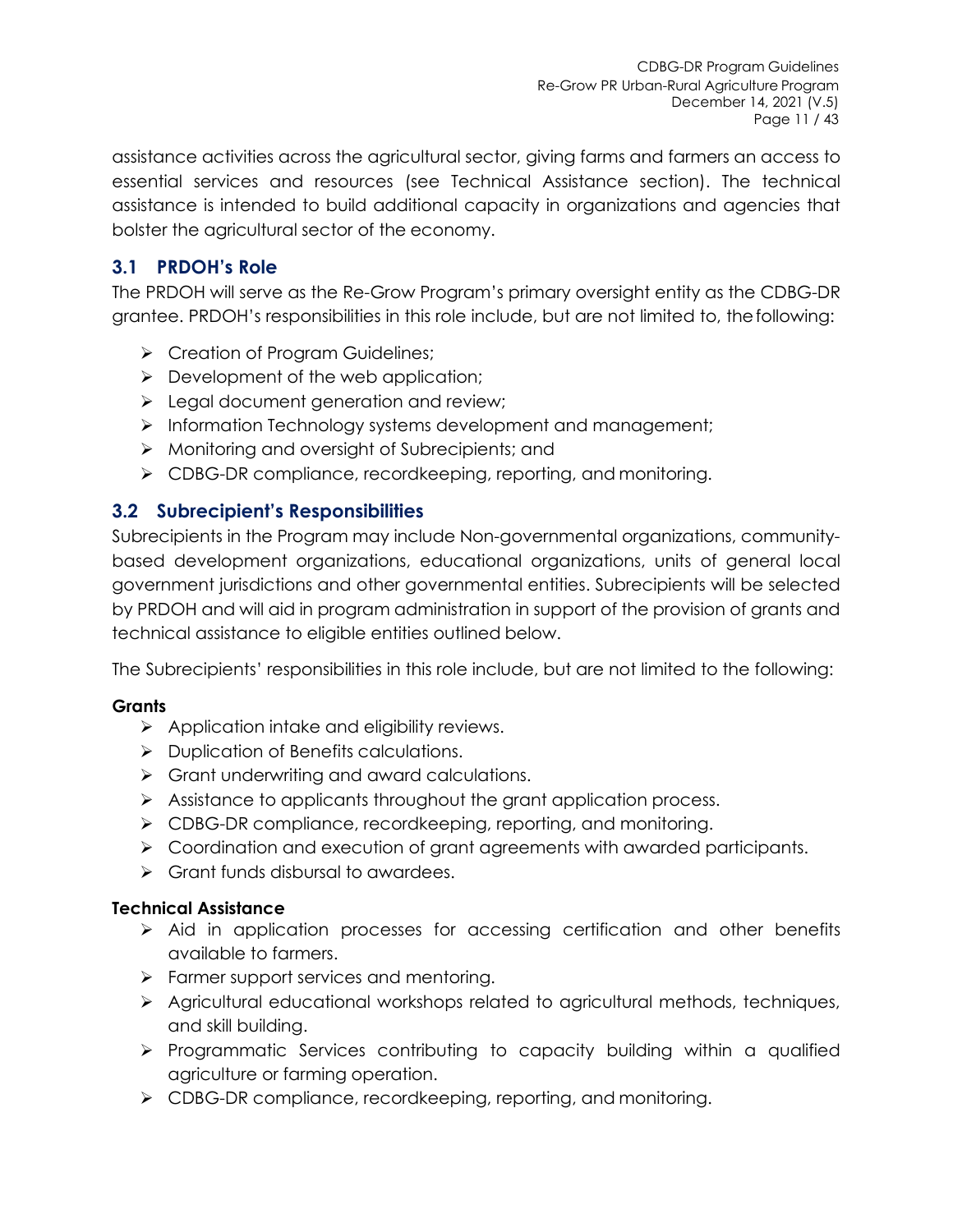assistance activities across the agricultural sector, giving farms and farmers an access to essential services and resources (see Technical Assistance section). The technical assistance is intended to build additional capacity in organizations and agencies that bolster the agricultural sector of the economy.

#### <span id="page-9-0"></span>**3.1 PRDOH's Role**

The PRDOH will serve as the Re-Grow Program's primary oversight entity as the CDBG-DR grantee. PRDOH's responsibilities in this role include, but are not limited to, thefollowing:

- > Creation of Program Guidelines;
- $\triangleright$  Development of the web application;
- **E** Legal document generation and review;
- Information Technology systems development and management;
- Monitoring and oversight of Subrecipients; and
- ▶ CDBG-DR compliance, recordkeeping, reporting, and monitoring.

#### <span id="page-9-1"></span>**3.2 Subrecipient's Responsibilities**

Subrecipients in the Program may include Non-governmental organizations, communitybased development organizations, educational organizations, units of general local government jurisdictions and other governmental entities. Subrecipients will be selected by PRDOH and will aid in program administration in support of the provision of grants and technical assistance to eligible entities outlined below.

The Subrecipients' responsibilities in this role include, but are not limited to the following:

#### **Grants**

- $\triangleright$  Application intake and eligibility reviews.
- $\triangleright$  Duplication of Benefits calculations.
- Simum Grant underwriting and award calculations.
- $\triangleright$  Assistance to applicants throughout the grant application process.
- ▶ CDBG-DR compliance, recordkeeping, reporting, and monitoring.
- $\triangleright$  Coordination and execution of grant agreements with awarded participants.
- $\triangleright$  Grant funds disbursal to awardees.

#### **Technical Assistance**

- $\triangleright$  Aid in application processes for accessing certification and other benefits available to farmers.
- **Farmer support services and mentoring.**
- $\triangleright$  Agricultural educational workshops related to agricultural methods, techniques, and skill building.
- $\triangleright$  Programmatic Services contributing to capacity building within a qualified agriculture or farming operation.
- > CDBG-DR compliance, recordkeeping, reporting, and monitoring.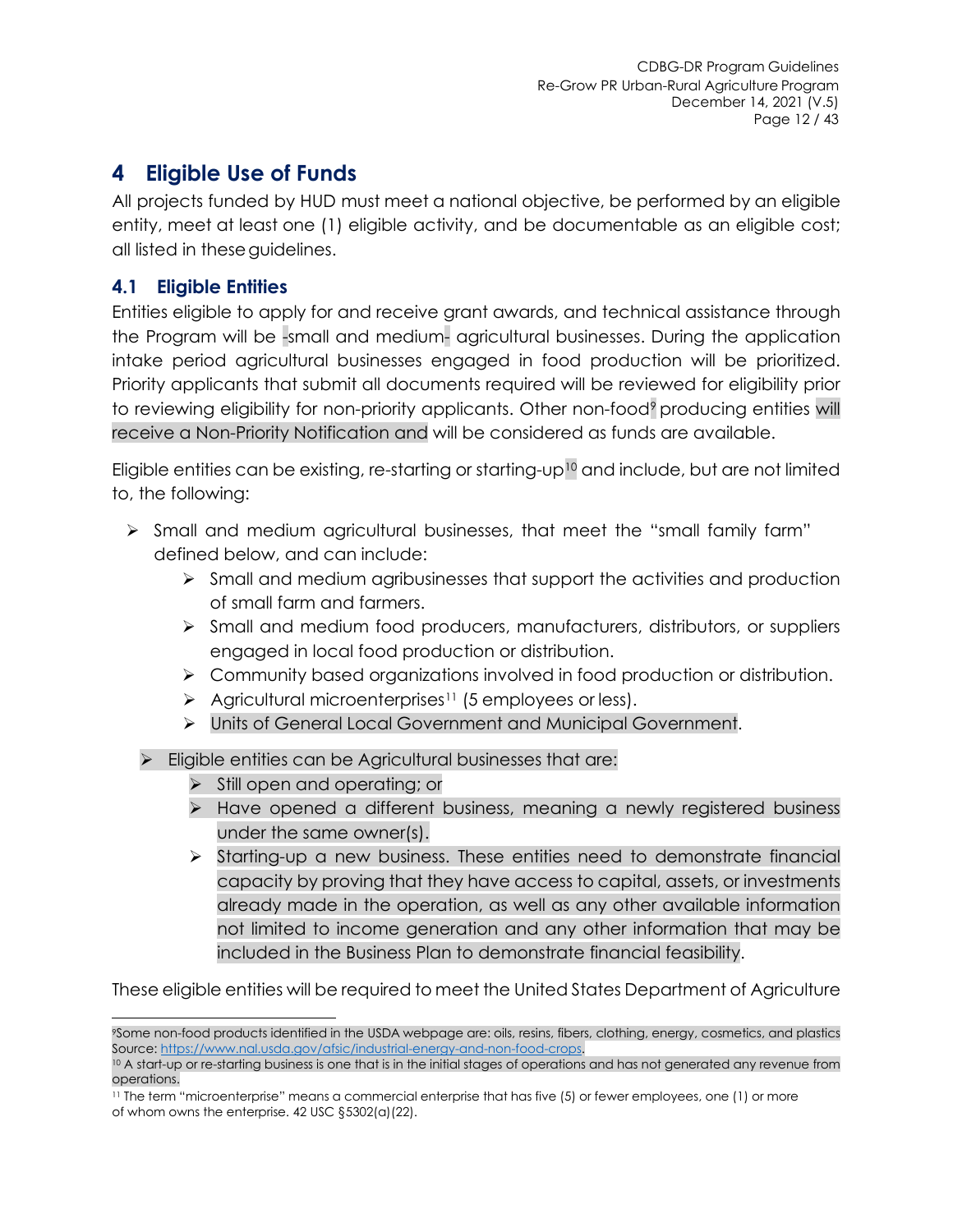## <span id="page-10-0"></span>**4 Eligible Use of Funds**

All projects funded by HUD must meet a national objective, be performed by an eligible entity, meet at least one (1) eligible activity, and be documentable as an eligible cost; all listed in theseguidelines.

#### <span id="page-10-1"></span>**4.1 Eligible Entities**

Entities eligible to apply for and receive grant awards, and technical assistance through the Program will be -small and medium- agricultural businesses. During the application intake period agricultural businesses engaged in food production will be prioritized. Priority applicants that submit all documents required will be reviewed for eligibility prior to reviewing eligibility for non-priority applicants. Other non-food<sup>[9](#page-10-2)</sup> producing entities will receive a Non-Priority Notification and will be considered as funds are available.

Eligible entities can be existing, re-starting or starting-up<sup>[10](#page-10-3)</sup> and include, but are not limited to, the following:

- Small and medium agricultural businesses, that meet the "small family farm" defined below, and can include:
	- $\triangleright$  Small and medium agribusinesses that support the activities and production of small farm and farmers.
	- $\triangleright$  Small and medium food producers, manufacturers, distributors, or suppliers engaged in local food production or distribution.
	- Community based organizations involved in food production or distribution.
	- $\triangleright$  Agricultural microenterprises<sup>[11](#page-10-4)</sup> (5 employees or less).
	- Units of General Local Government and Municipal Government.
	- Eligible entities can be Agricultural businesses that are:
		- $\triangleright$  Still open and operating; or
		- $\triangleright$  Have opened a different business, meaning a newly registered business under the same owner(s).
		- $\triangleright$  Starting-up a new business. These entities need to demonstrate financial capacity by proving that they have access to capital, assets, or investments already made in the operation, as well as any other available information not limited to income generation and any other information that may be included in the Business Plan to demonstrate financial feasibility.

These eligible entities will be required to meet the United States Department of Agriculture

<span id="page-10-2"></span><sup>9</sup>Some non-food products identified in the USDA webpage are: oils, resins, fibers, clothing, energy, cosmetics, and plastics Source[: https://www.nal.usda.gov/afsic/industrial-energy-and-non-food-crops.](https://www.nal.usda.gov/afsic/industrial-energy-and-non-food-crops)

<span id="page-10-3"></span><sup>10</sup> A start-up or re-starting business is one that is in the initial stages of operations and has not generated any revenue from operations.

<span id="page-10-4"></span><sup>11</sup> The term "microenterprise" means a commercial enterprise that has five (5) or fewer employees, one (1) or more of whom owns the enterprise. 42 USC §5302(a)(22).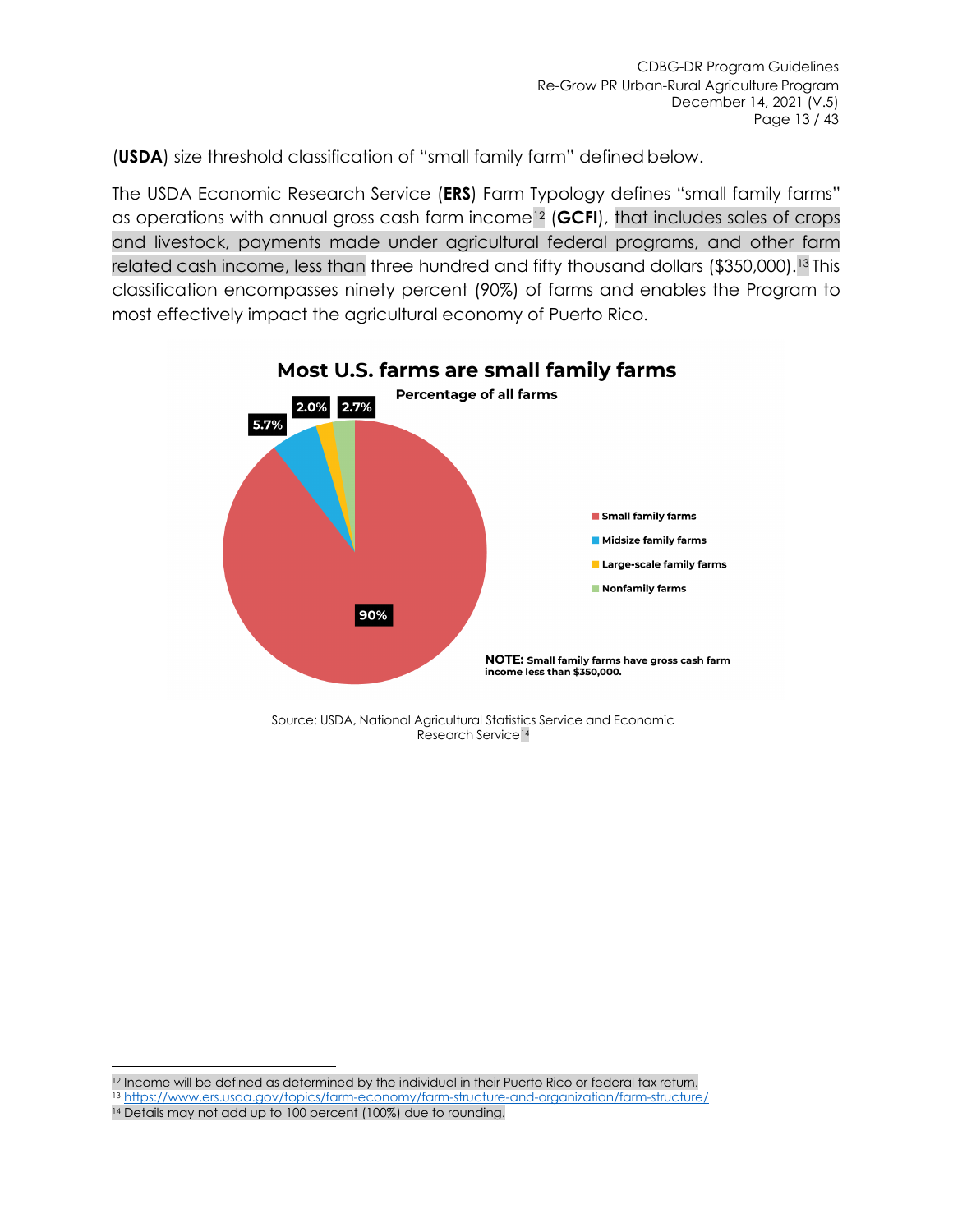(**USDA**) size threshold classification of "small family farm" defined below.

The USDA Economic Research Service (**ERS**) Farm Typology defines "small family farms" as operations with annual gross cash farm income[12](#page-11-0) (**GCFI**), that includes sales of crops and livestock, payments made under agricultural federal programs, and other farm related cash income, less than three hundred and fifty thousand dollars (\$350,000).<sup>[13](#page-11-1)</sup> This classification encompasses ninety percent (90%) of farms and enables the Program to most effectively impact the agricultural economy of Puerto Rico.



Research Service<sup>[14](#page-11-2)</sup>

<span id="page-11-0"></span><sup>12</sup> Income will be defined as determined by the individual in their Puerto Rico or federal tax return. <sup>13</sup> <https://www.ers.usda.gov/topics/farm-economy/farm-structure-and-organization/farm-structure/>

<span id="page-11-2"></span><span id="page-11-1"></span><sup>14</sup> Details may not add up to 100 percent (100%) due to rounding.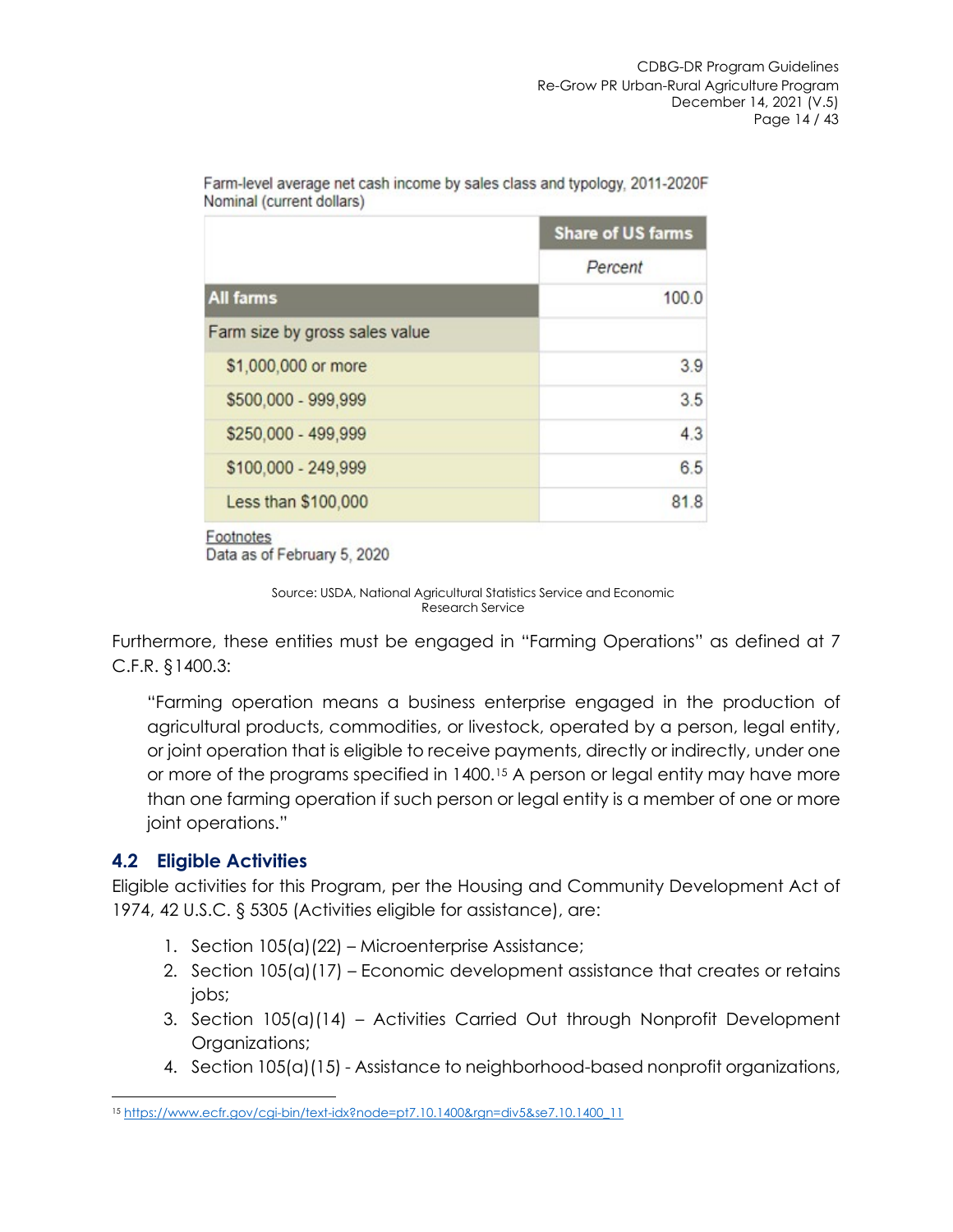| Percent |
|---------|
|         |
| 100.0   |
|         |
| 3.9     |
| 3.5     |
| 4.3     |
| 6.5     |
| 81.8    |
|         |

Farm-level average net cash income by sales class and typology, 2011-2020F Nominal (current dollars)

```
Footnotes
Data as of February 5, 2020
```
Source: USDA, National Agricultural Statistics Service and Economic Research Service

Furthermore, these entities must be engaged in "Farming Operations" as defined at 7 C.F.R. §1400.3:

"Farming operation means a business enterprise engaged in the production of agricultural products, commodities, or livestock, operated by a person, legal entity, or joint operation that is eligible to receive payments, directly or indirectly, under one or more of the programs specified in 1400[.15](#page-12-1) A person or legal entity may have more than one farming operation if such person or legal entity is a member of one or more joint operations."

#### <span id="page-12-0"></span>**4.2 Eligible Activities**

Eligible activities for this Program, per the Housing and Community Development Act of 1974, 42 U.S.C. § 5305 (Activities eligible for assistance), are:

- 1. Section 105(a)(22) Microenterprise Assistance;
- 2. Section 105(a)(17) Economic development assistance that creates or retains jobs;
- 3. Section 105(a)(14) Activities Carried Out through Nonprofit Development Organizations;
- 4. Section 105(a)(15) Assistance to neighborhood-based nonprofit organizations,

<span id="page-12-1"></span><sup>15</sup> [https://www.ecfr.gov/cgi-bin/text-idx?node=pt7.10.1400&rgn=div5&se7.10.1400\\_11](https://www.ecfr.gov/cgi-bin/text-idx?node=pt7.10.1400&rgn=div5&se7.10.1400_11)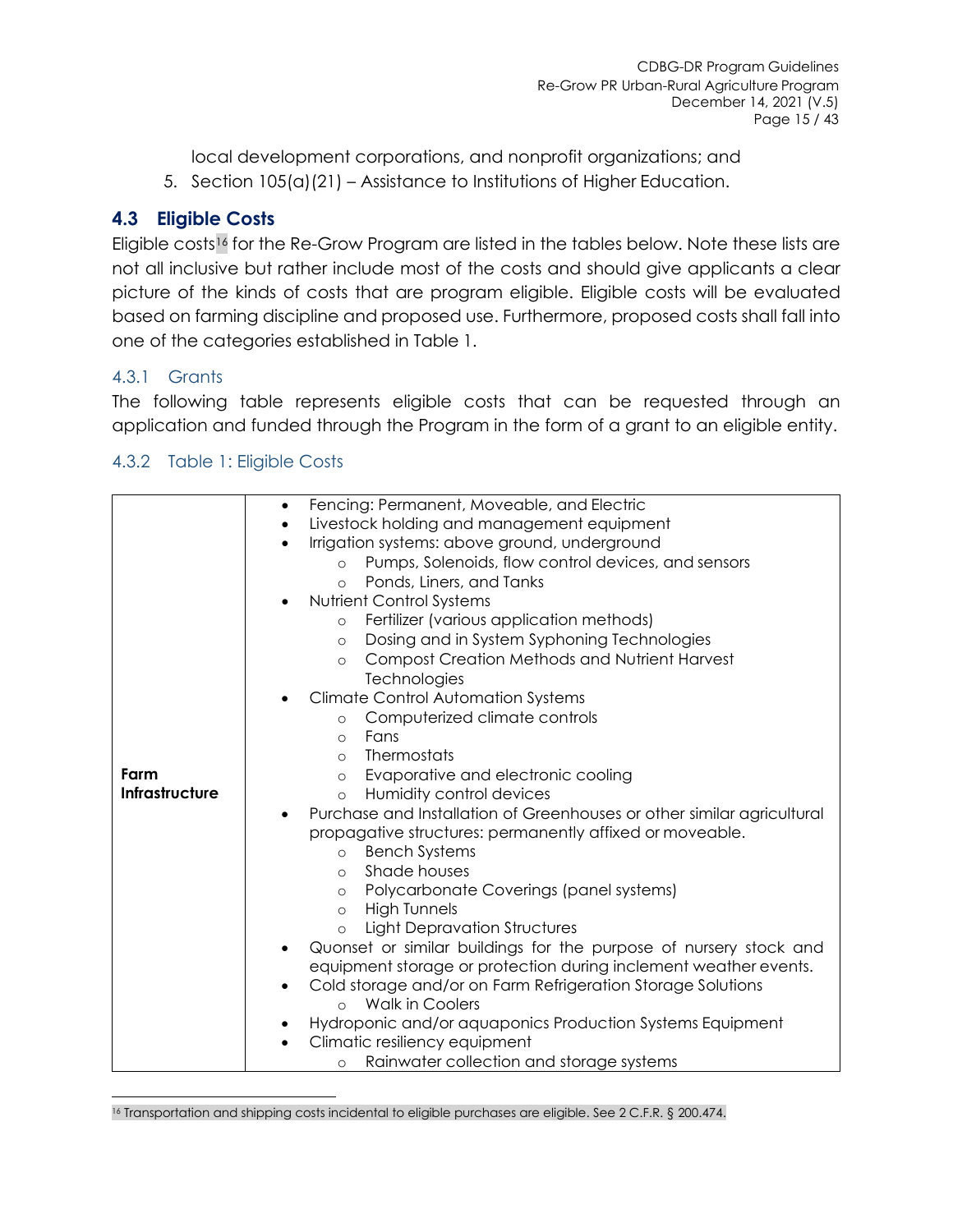local development corporations, and nonprofit organizations; and

5. Section 105(a)(21) – Assistance to Institutions of Higher Education.

#### <span id="page-13-0"></span>**4.3 Eligible Costs**

Eligible costs<sup>[16](#page-13-3)</sup> for the Re-Grow Program are listed in the tables below. Note these lists are not all inclusive but rather include most of the costs and should give applicants a clear picture of the kinds of costs that are program eligible. Eligible costs will be evaluated based on farming discipline and proposed use. Furthermore, proposed costs shall fall into one of the categories established in Table 1.

#### <span id="page-13-1"></span>4.3.1 Grants

The following table represents eligible costs that can be requested through an application and funded through the Program in the form of a grant to an eligible entity.

#### <span id="page-13-2"></span>4.3.2 Table 1: Eligible Costs

|                                                    | Fencing: Permanent, Moveable, and Electric<br>$\bullet$                |  |
|----------------------------------------------------|------------------------------------------------------------------------|--|
|                                                    | Livestock holding and management equipment                             |  |
|                                                    | Irrigation systems: above ground, underground                          |  |
|                                                    | Pumps, Solenoids, flow control devices, and sensors<br>$\circ$         |  |
|                                                    | Ponds, Liners, and Tanks<br>$\circ$                                    |  |
|                                                    | <b>Nutrient Control Systems</b>                                        |  |
|                                                    | Fertilizer (various application methods)<br>$\circ$                    |  |
|                                                    | Dosing and in System Syphoning Technologies<br>$\circ$                 |  |
|                                                    | Compost Creation Methods and Nutrient Harvest<br>$\circ$               |  |
|                                                    | Technologies                                                           |  |
|                                                    | <b>Climate Control Automation Systems</b>                              |  |
|                                                    | Computerized climate controls<br>$\circ$                               |  |
|                                                    | Fans<br>$\Omega$                                                       |  |
|                                                    | Thermostats<br>$\circ$                                                 |  |
| Farm                                               | Evaporative and electronic cooling<br>$\circ$                          |  |
| Infrastructure                                     | Humidity control devices<br>$\circ$                                    |  |
|                                                    | Purchase and Installation of Greenhouses or other similar agricultural |  |
|                                                    | propagative structures: permanently affixed or moveable.               |  |
|                                                    | <b>Bench Systems</b><br>$\circ$                                        |  |
|                                                    | Shade houses<br>$\circ$                                                |  |
| Polycarbonate Coverings (panel systems)<br>$\circ$ |                                                                        |  |
|                                                    | <b>High Tunnels</b><br>$\circ$                                         |  |
|                                                    | <b>Light Depravation Structures</b><br>$\circ$                         |  |
|                                                    | Quonset or similar buildings for the purpose of nursery stock and      |  |
|                                                    | equipment storage or protection during inclement weather events.       |  |
|                                                    | Cold storage and/or on Farm Refrigeration Storage Solutions            |  |
|                                                    | <b>Walk in Coolers</b><br>$\Omega$                                     |  |
|                                                    | Hydroponic and/or aquaponics Production Systems Equipment              |  |
|                                                    | Climatic resiliency equipment                                          |  |
|                                                    | Rainwater collection and storage systems<br>$\circ$                    |  |

<span id="page-13-3"></span><sup>16</sup> Transportation and shipping costs incidental to eligible purchases are eligible. See 2 C.F.R. § 200.474.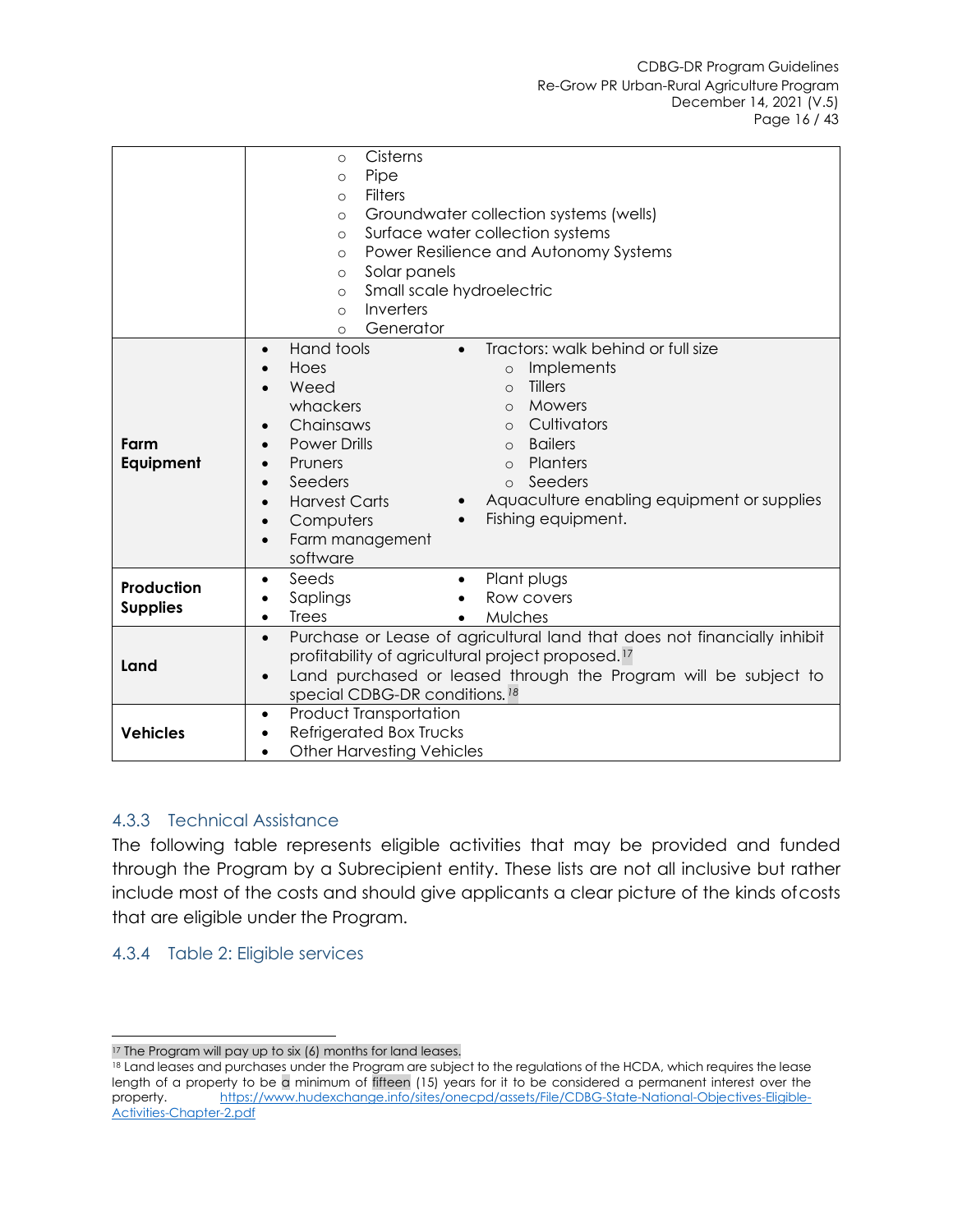|                               | Cisterns<br>$\circ$<br>Pipe<br>$\circ$<br><b>Filters</b><br>$\circ$<br>Groundwater collection systems (wells)<br>$\circ$<br>Surface water collection systems<br>$\circ$<br>Power Resilience and Autonomy Systems<br>$\circ$<br>Solar panels<br>$\circ$<br>Small scale hydroelectric<br>$\circ$<br>Inverters<br>$\circ$                                                                                                                                                                                                                                                   |  |
|-------------------------------|--------------------------------------------------------------------------------------------------------------------------------------------------------------------------------------------------------------------------------------------------------------------------------------------------------------------------------------------------------------------------------------------------------------------------------------------------------------------------------------------------------------------------------------------------------------------------|--|
|                               | Generator<br>$\circ$                                                                                                                                                                                                                                                                                                                                                                                                                                                                                                                                                     |  |
| Farm<br>Equipment             | Tractors: walk behind or full size<br>Hand tools<br>$\bullet$<br>$\bullet$<br>Hoes<br>Implements<br>$\circ$<br>$\bullet$<br><b>Tillers</b><br>Weed<br>$\Omega$<br>Mowers<br>whackers<br>$\Omega$<br>Chainsaws<br>Cultivators<br>$\bullet$<br>$\circ$<br><b>Power Drills</b><br><b>Bailers</b><br>$\circ$<br>Planters<br>Pruners<br>$\bullet$<br>$\circ$<br>Seeders<br>Seeders<br>$\Omega$<br>$\bullet$<br>Aquaculture enabling equipment or supplies<br><b>Harvest Carts</b><br>Fishing equipment.<br>Computers<br>$\bullet$<br>Farm management<br>$\bullet$<br>software |  |
| Production<br><b>Supplies</b> | Seeds<br>Plant plugs<br>$\bullet$<br>Saplings<br>Row covers<br><b>Trees</b><br>Mulches<br>$\bullet$                                                                                                                                                                                                                                                                                                                                                                                                                                                                      |  |
| Land                          | Purchase or Lease of agricultural land that does not financially inhibit<br>$\bullet$<br>profitability of agricultural project proposed. <sup>17</sup><br>Land purchased or leased through the Program will be subject to<br>$\bullet$<br>special CDBG-DR conditions. <sup>18</sup>                                                                                                                                                                                                                                                                                      |  |
| <b>Vehicles</b>               | <b>Product Transportation</b><br>$\bullet$<br>Refrigerated Box Trucks<br><b>Other Harvesting Vehicles</b>                                                                                                                                                                                                                                                                                                                                                                                                                                                                |  |

#### <span id="page-14-0"></span>4.3.3 Technical Assistance

The following table represents eligible activities that may be provided and funded through the Program by a Subrecipient entity. These lists are not all inclusive but rather include most of the costs and should give applicants a clear picture of the kinds ofcosts that are eligible under the Program.

#### <span id="page-14-1"></span>4.3.4 Table 2: Eligible services

<span id="page-14-2"></span><sup>&</sup>lt;sup>17</sup> The Program will pay up to six (6) months for land leases.

<span id="page-14-3"></span><sup>&</sup>lt;sup>18</sup> Land leases and purchases under the Program are subject to the regulations of the HCDA, which requires the lease length of a property to be a minimum of fifteen (15) years for it to be considered a permanent interest over the property. [https://www.hudexchange.info/sites/onecpd/assets/File/CDBG-State-National-Objectives-Eligible-](https://www.hudexchange.info/sites/onecpd/assets/File/CDBG-State-National-Objectives-Eligible-Activities-Chapter-2.pdf)[Activities-Chapter-2.pdf](https://www.hudexchange.info/sites/onecpd/assets/File/CDBG-State-National-Objectives-Eligible-Activities-Chapter-2.pdf)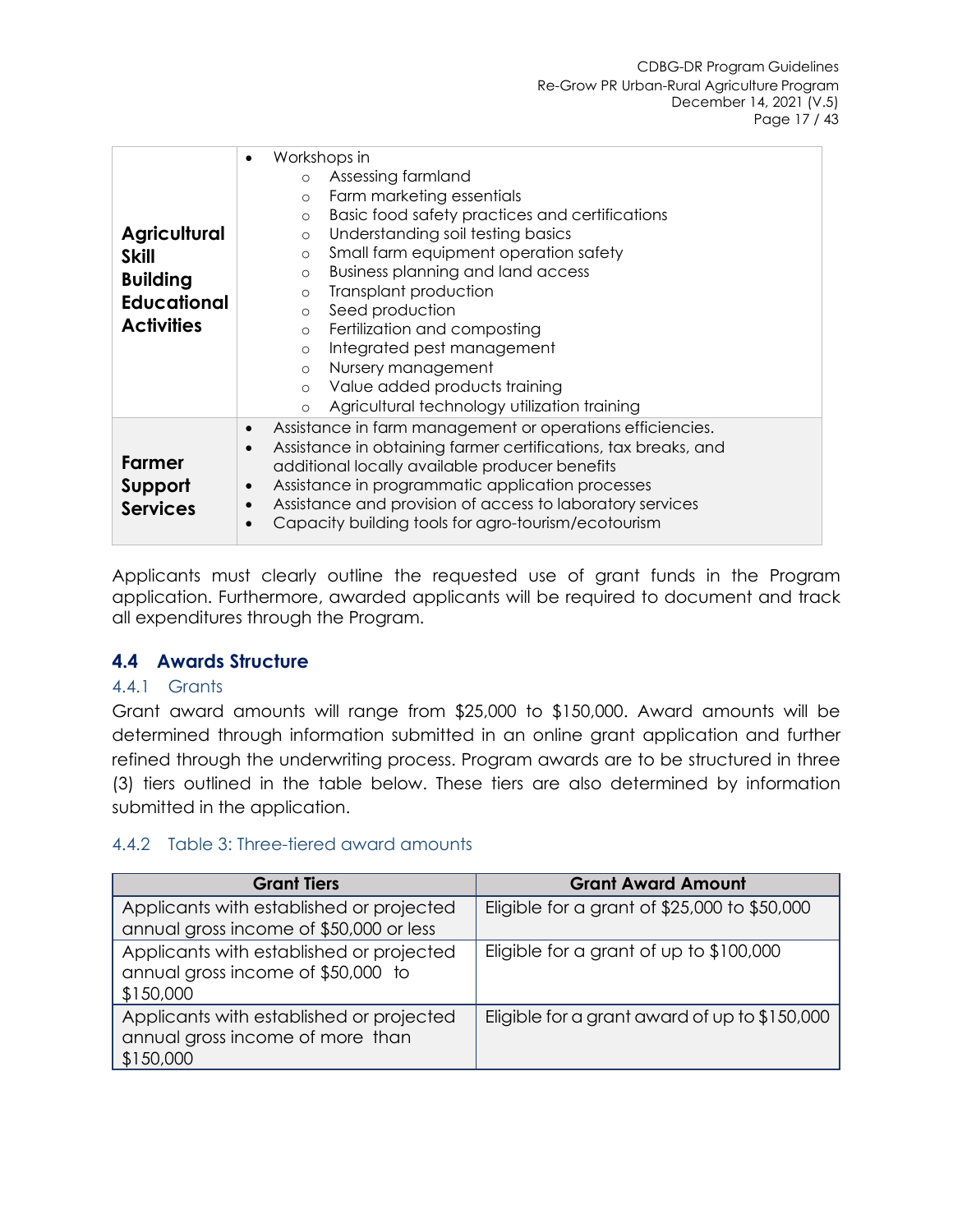|                                      | Workshops in                                                                                                                                                                                                                                                                                                                                                                                                           |  |
|--------------------------------------|------------------------------------------------------------------------------------------------------------------------------------------------------------------------------------------------------------------------------------------------------------------------------------------------------------------------------------------------------------------------------------------------------------------------|--|
|                                      | Assessing farmland<br>$\circ$                                                                                                                                                                                                                                                                                                                                                                                          |  |
|                                      | Farm marketing essentials<br>$\circ$                                                                                                                                                                                                                                                                                                                                                                                   |  |
|                                      | Basic food safety practices and certifications<br>$\Omega$                                                                                                                                                                                                                                                                                                                                                             |  |
| <b>Agricultural</b>                  | Understanding soil testing basics<br>$\circ$                                                                                                                                                                                                                                                                                                                                                                           |  |
| <b>Skill</b>                         | Small farm equipment operation safety<br>$\circ$                                                                                                                                                                                                                                                                                                                                                                       |  |
| <b>Building</b>                      | <b>Business planning and land access</b><br>$\circ$                                                                                                                                                                                                                                                                                                                                                                    |  |
| <b>Educational</b>                   | Transplant production<br>$\Omega$                                                                                                                                                                                                                                                                                                                                                                                      |  |
|                                      | Seed production<br>$\Omega$                                                                                                                                                                                                                                                                                                                                                                                            |  |
| <b>Activities</b>                    | Fertilization and composting<br>$\circ$                                                                                                                                                                                                                                                                                                                                                                                |  |
|                                      | Integrated pest management<br>$\circ$                                                                                                                                                                                                                                                                                                                                                                                  |  |
|                                      | Nursery management<br>$\circ$                                                                                                                                                                                                                                                                                                                                                                                          |  |
|                                      | Value added products training<br>$\circ$                                                                                                                                                                                                                                                                                                                                                                               |  |
|                                      | Agricultural technology utilization training<br>$\circ$                                                                                                                                                                                                                                                                                                                                                                |  |
| Farmer<br>Support<br><b>Services</b> | Assistance in farm management or operations efficiencies.<br>$\bullet$<br>Assistance in obtaining farmer certifications, tax breaks, and<br>$\bullet$<br>additional locally available producer benefits<br>Assistance in programmatic application processes<br>$\bullet$<br>Assistance and provision of access to laboratory services<br>$\bullet$<br>Capacity building tools for agro-tourism/ecotourism<br>$\bullet$ |  |

Applicants must clearly outline the requested use of grant funds in the Program application. Furthermore, awarded applicants will be required to document and track all expenditures through the Program.

#### <span id="page-15-0"></span>**4.4 Awards Structure**

#### <span id="page-15-1"></span>4.4.1 Grants

Grant award amounts will range from \$25,000 to \$150,000. Award amounts will be determined through information submitted in an online grant application and further refined through the underwriting process. Program awards are to be structured in three (3) tiers outlined in the table below. These tiers are also determined by information submitted in the application.

#### <span id="page-15-2"></span>4.4.2 Table 3: Three-tiered award amounts

| <b>Grant Tiers</b>                                                                          | <b>Grant Award Amount</b>                     |
|---------------------------------------------------------------------------------------------|-----------------------------------------------|
| Applicants with established or projected<br>annual gross income of \$50,000 or less         | Eligible for a grant of \$25,000 to \$50,000  |
| Applicants with established or projected<br>annual gross income of \$50,000 to<br>\$150,000 | Eligible for a grant of up to \$100,000       |
| Applicants with established or projected<br>annual gross income of more than<br>\$150,000   | Eligible for a grant award of up to \$150,000 |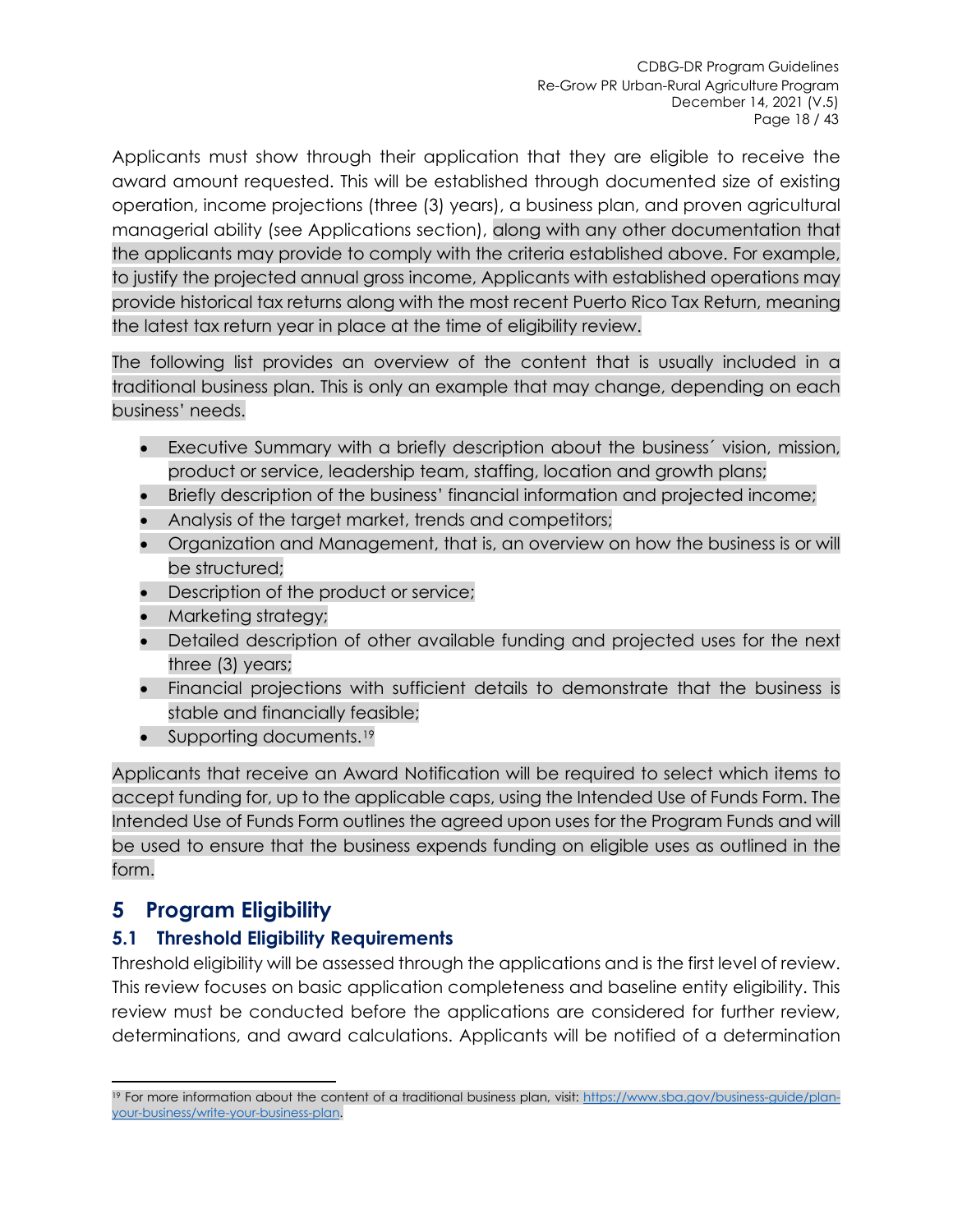Applicants must show through their application that they are eligible to receive the award amount requested. This will be established through documented size of existing operation, income projections (three (3) years), a business plan, and proven agricultural managerial ability (see Applications section), along with any other documentation that the applicants may provide to comply with the criteria established above. For example, to justify the projected annual gross income, Applicants with established operations may provide historical tax returns along with the most recent Puerto Rico Tax Return, meaning the latest tax return year in place at the time of eligibility review.

The following list provides an overview of the content that is usually included in a traditional business plan. This is only an example that may change, depending on each business' needs.

- Executive Summary with a briefly description about the business´ vision, mission, product or service, leadership team, staffing, location and growth plans;
- Briefly description of the business' financial information and projected income;
- Analysis of the target market, trends and competitors;
- Organization and Management, that is, an overview on how the business is or will be structured;
- Description of the product or service;
- Marketing strategy;
- Detailed description of other available funding and projected uses for the next three (3) years;
- Financial projections with sufficient details to demonstrate that the business is stable and financially feasible;
- Supporting documents.<sup>[19](#page-16-2)</sup>

Applicants that receive an Award Notification will be required to select which items to accept funding for, up to the applicable caps, using the Intended Use of Funds Form. The Intended Use of Funds Form outlines the agreed upon uses for the Program Funds and will be used to ensure that the business expends funding on eligible uses as outlined in the form.

## <span id="page-16-0"></span>**5 Program Eligibility**

## <span id="page-16-1"></span>**5.1 Threshold Eligibility Requirements**

Threshold eligibility will be assessed through the applications and is the first level of review. This review focuses on basic application completeness and baseline entity eligibility. This review must be conducted before the applications are considered for further review, determinations, and award calculations. Applicants will be notified of a determination

<span id="page-16-2"></span><sup>19</sup> For more information about the content of a traditional business plan, visit: [https://www.sba.gov/business-guide/plan](https://www.sba.gov/business-guide/plan-your-business/write-your-business-plan)[your-business/write-your-business-plan.](https://www.sba.gov/business-guide/plan-your-business/write-your-business-plan)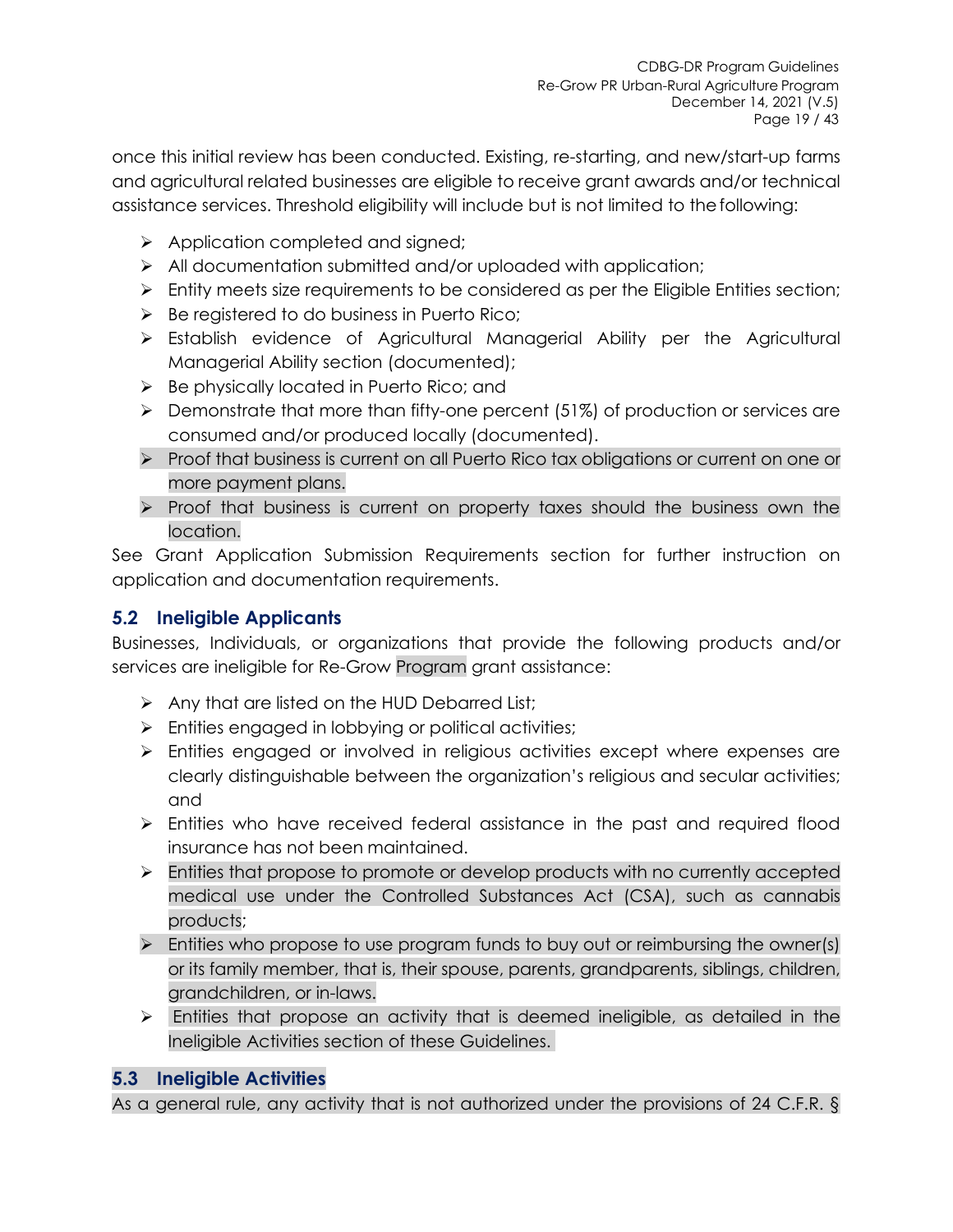once this initial review has been conducted. Existing, re-starting, and new/start-up farms and agricultural related businesses are eligible to receive grant awards and/or technical assistance services. Threshold eligibility will include but is not limited to thefollowing:

- $\triangleright$  Application completed and signed;
- $\triangleright$  All documentation submitted and/or uploaded with application;
- $\triangleright$  Entity meets size requirements to be considered as per the Eligible Entities section;
- $\triangleright$  Be registered to do business in Puerto Rico;
- Establish evidence of Agricultural Managerial Ability per the Agricultural Managerial Ability section (documented);
- $\triangleright$  Be physically located in Puerto Rico; and
- ▶ Demonstrate that more than fifty-one percent (51%) of production or services are consumed and/or produced locally (documented).
- $\triangleright$  Proof that business is current on all Puerto Rico tax obligations or current on one or more payment plans.
- $\triangleright$  Proof that business is current on property taxes should the business own the location.

See Grant Application Submission Requirements section for further instruction on application and documentation requirements.

#### <span id="page-17-0"></span>**5.2 Ineligible Applicants**

Businesses, Individuals, or organizations that provide the following products and/or services are ineligible for Re-Grow Program grant assistance:

- $\triangleright$  Any that are listed on the HUD Debarred List;
- $\triangleright$  Entities engaged in lobbying or political activities;
- Entities engaged or involved in religious activities except where expenses are clearly distinguishable between the organization's religious and secular activities; and
- $\triangleright$  Entities who have received federal assistance in the past and required flood insurance has not been maintained.
- $\triangleright$  Entities that propose to promote or develop products with no currently accepted medical use under the Controlled Substances Act (CSA), such as cannabis products;
- $\triangleright$  Entities who propose to use program funds to buy out or reimbursing the owner(s) or its family member, that is, their spouse, parents, grandparents, siblings, children, grandchildren, or in-laws.
- $\triangleright$  Entities that propose an activity that is deemed ineligible, as detailed in the Ineligible Activities section of these Guidelines.

#### <span id="page-17-1"></span>**5.3 Ineligible Activities**

As a general rule, any activity that is not authorized under the provisions of 24 C.F.R. §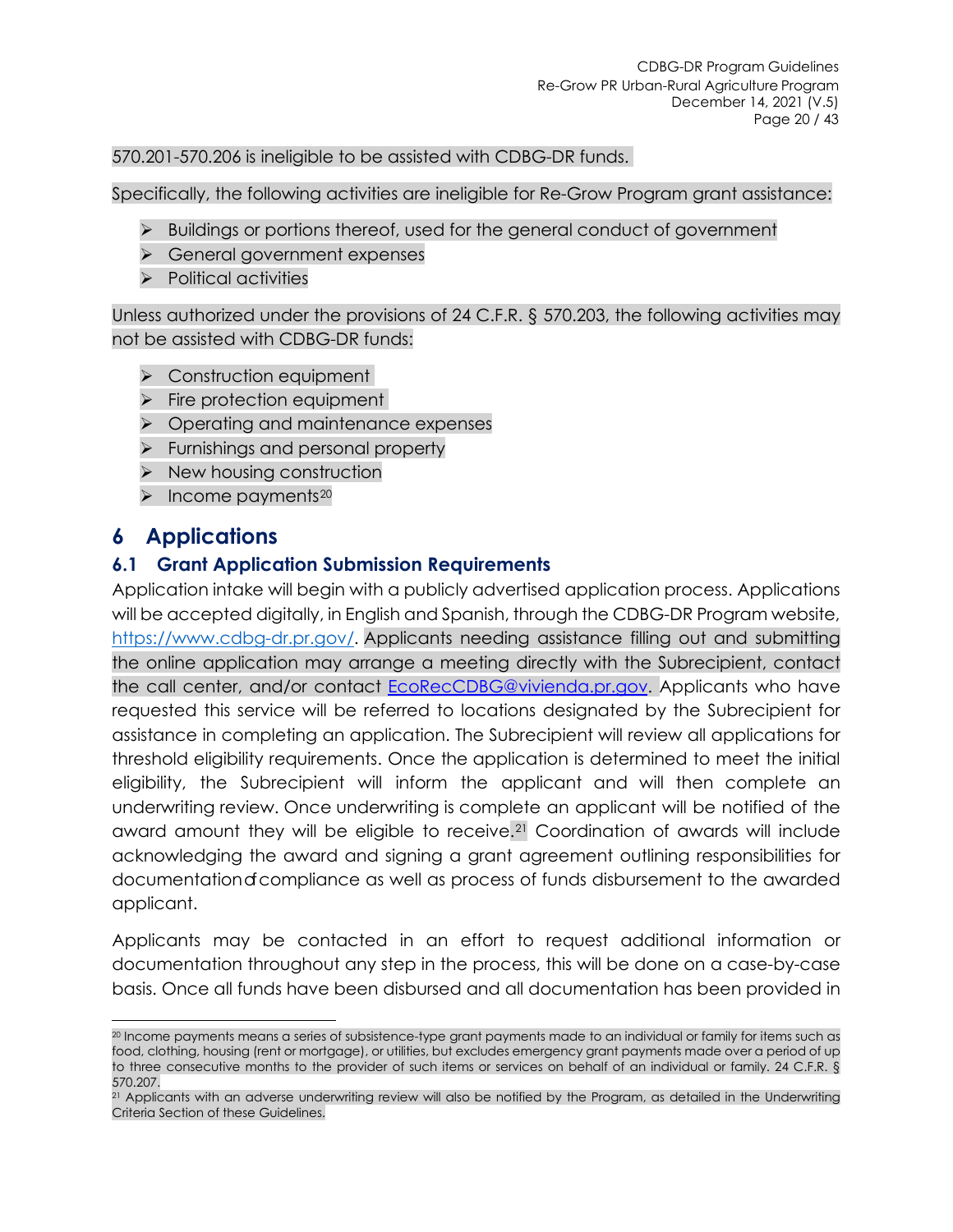570.201-570.206 is ineligible to be assisted with CDBG-DR funds.

Specifically, the following activities are ineligible for Re-Grow Program grant assistance:

- Buildings or portions thereof, used for the general conduct of government
- **▶ General government expenses**
- $\triangleright$  Political activities

Unless authorized under the provisions of 24 C.F.R. § 570.203, the following activities may not be assisted with CDBG-DR funds:

- Construction equipment
- $\triangleright$  Fire protection equipment
- **▶ Operating and maintenance expenses**
- **Furnishings and personal property**
- $\triangleright$  New housing construction
- $\blacktriangleright$  Income payments<sup>[20](#page-18-2)</sup>

## <span id="page-18-0"></span>**6 Applications**

#### <span id="page-18-1"></span>**6.1 Grant Application Submission Requirements**

Application intake will begin with a publicly advertised application process. Applications will be accepted digitally, in English and Spanish, through the CDBG-DR Program website, [https://www.cdbg-dr.pr.gov/.](https://www.cdbg-dr.pr.gov/) Applicants needing assistance filling out and submitting the online application may arrange a meeting directly with the Subrecipient, contact the call center, and/or contact [EcoRecCDBG@vivienda.pr.gov.](mailto:EcoRecCDBG@vivienda.pr.gov) Applicants who have requested this service will be referred to locations designated by the Subrecipient for assistance in completing an application. The Subrecipient will review all applications for threshold eligibility requirements. Once the application is determined to meet the initial eligibility, the Subrecipient will inform the applicant and will then complete an underwriting review. Once underwriting is complete an applicant will be notified of the award amount they will be eligible to receive.[21](#page-18-3) Coordination of awards will include acknowledging the award and signing a grant agreement outlining responsibilities for documentation of compliance as well as process of funds disbursement to the awarded applicant.

Applicants may be contacted in an effort to request additional information or documentation throughout any step in the process, this will be done on a case-by-case basis. Once all funds have been disbursed and all documentation has been provided in

<span id="page-18-2"></span><sup>20</sup> Income payments means a series of subsistence-type grant payments made to an individual or family for items such as food, clothing, housing (rent or mortgage), or utilities, but excludes emergency grant payments made over a period of up to three consecutive months to the provider of such items or services on behalf of an individual or family. 24 C.F.R. § 570.207.

<span id="page-18-3"></span><sup>&</sup>lt;sup>21</sup> Applicants with an adverse underwriting review will also be notified by the Program, as detailed in the Underwriting Criteria Section of these Guidelines.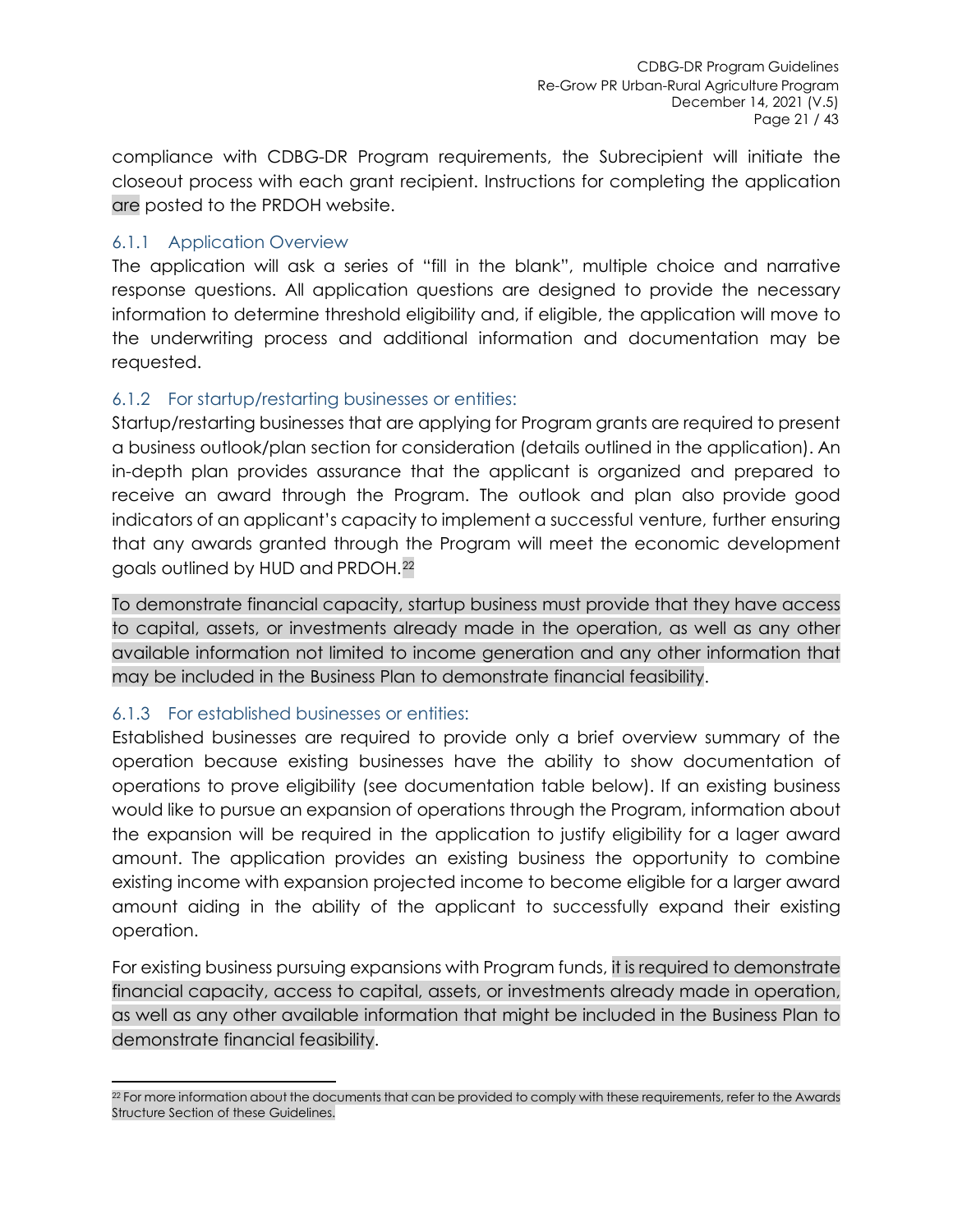compliance with CDBG-DR Program requirements, the Subrecipient will initiate the closeout process with each grant recipient. Instructions for completing the application are posted to the PRDOH website.

#### <span id="page-19-0"></span>6.1.1 Application Overview

The application will ask a series of "fill in the blank", multiple choice and narrative response questions. All application questions are designed to provide the necessary information to determine threshold eligibility and, if eligible, the application will move to the underwriting process and additional information and documentation may be requested.

#### <span id="page-19-1"></span>6.1.2 For startup/restarting businesses or entities:

Startup/restarting businesses that are applying for Program grants are required to present a business outlook/plan section for consideration (details outlined in the application). An in-depth plan provides assurance that the applicant is organized and prepared to receive an award through the Program. The outlook and plan also provide good indicators of an applicant's capacity to implement a successful venture, further ensuring that any awards granted through the Program will meet the economic development goals outlined by HUD and PRDOH.[22](#page-19-3)

To demonstrate financial capacity, startup business must provide that they have access to capital, assets, or investments already made in the operation, as well as any other available information not limited to income generation and any other information that may be included in the Business Plan to demonstrate financial feasibility.

#### <span id="page-19-2"></span>6.1.3 For established businesses or entities:

Established businesses are required to provide only a brief overview summary of the operation because existing businesses have the ability to show documentation of operations to prove eligibility (see documentation table below). If an existing business would like to pursue an expansion of operations through the Program, information about the expansion will be required in the application to justify eligibility for a lager award amount. The application provides an existing business the opportunity to combine existing income with expansion projected income to become eligible for a larger award amount aiding in the ability of the applicant to successfully expand their existing operation.

For existing business pursuing expansions with Program funds, it is required to demonstrate financial capacity, access to capital, assets, or investments already made in operation, as well as any other available information that might be included in the Business Plan to demonstrate financial feasibility.

<span id="page-19-3"></span><sup>&</sup>lt;sup>22</sup> For more information about the documents that can be provided to comply with these requirements, refer to the Awards Structure Section of these Guidelines.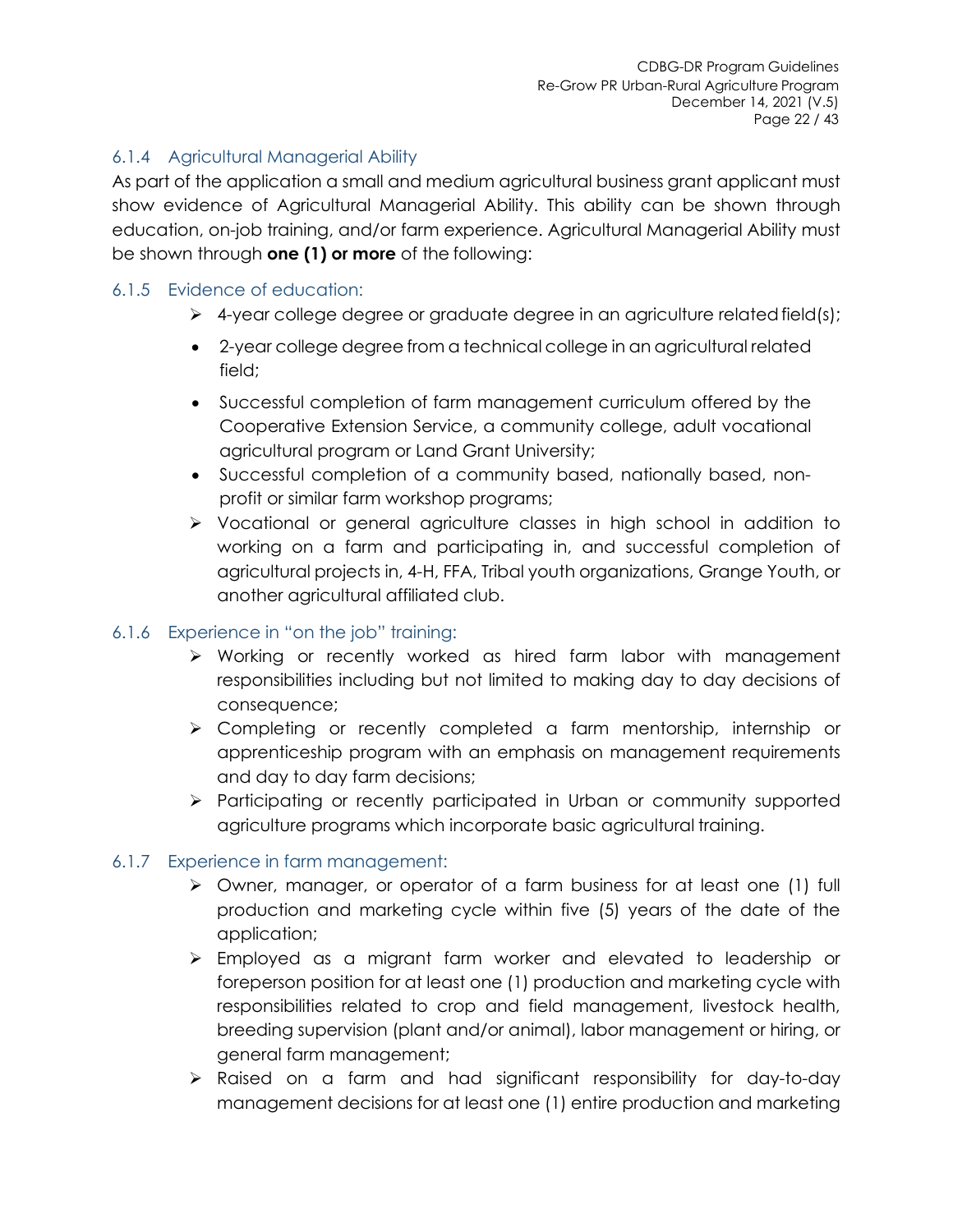#### <span id="page-20-0"></span>6.1.4 Agricultural Managerial Ability

As part of the application a small and medium agricultural business grant applicant must show evidence of Agricultural Managerial Ability. This ability can be shown through education, on-job training, and/or farm experience. Agricultural Managerial Ability must be shown through **one (1) or more** of the following:

#### <span id="page-20-1"></span>6.1.5 Evidence of education:

- $\triangleright$  4-year college degree or graduate degree in an agriculture related field(s);
- 2-year college degree from a technical college in an agricultural related field;
- Successful completion of farm management curriculum offered by the Cooperative Extension Service, a community college, adult vocational agricultural program or Land Grant University;
- Successful completion of a community based, nationally based, nonprofit or similar farm workshop programs;
- Vocational or general agriculture classes in high school in addition to working on a farm and participating in, and successful completion of agricultural projects in, 4-H, FFA, Tribal youth organizations, Grange Youth, or another agricultural affiliated club.

#### <span id="page-20-2"></span>6.1.6 Experience in "on the job" training:

- Working or recently worked as hired farm labor with management responsibilities including but not limited to making day to day decisions of consequence;
- Completing or recently completed a farm mentorship, internship or apprenticeship program with an emphasis on management requirements and day to day farm decisions;
- Participating or recently participated in Urban or community supported agriculture programs which incorporate basic agricultural training.

#### <span id="page-20-3"></span>6.1.7 Experience in farm management:

- Owner, manager, or operator of a farm business for at least one (1) full production and marketing cycle within five (5) years of the date of the application;
- Employed as a migrant farm worker and elevated to leadership or foreperson position for at least one (1) production and marketing cycle with responsibilities related to crop and field management, livestock health, breeding supervision (plant and/or animal), labor management or hiring, or general farm management;
- $\triangleright$  Raised on a farm and had significant responsibility for day-to-day management decisions for at least one (1) entire production and marketing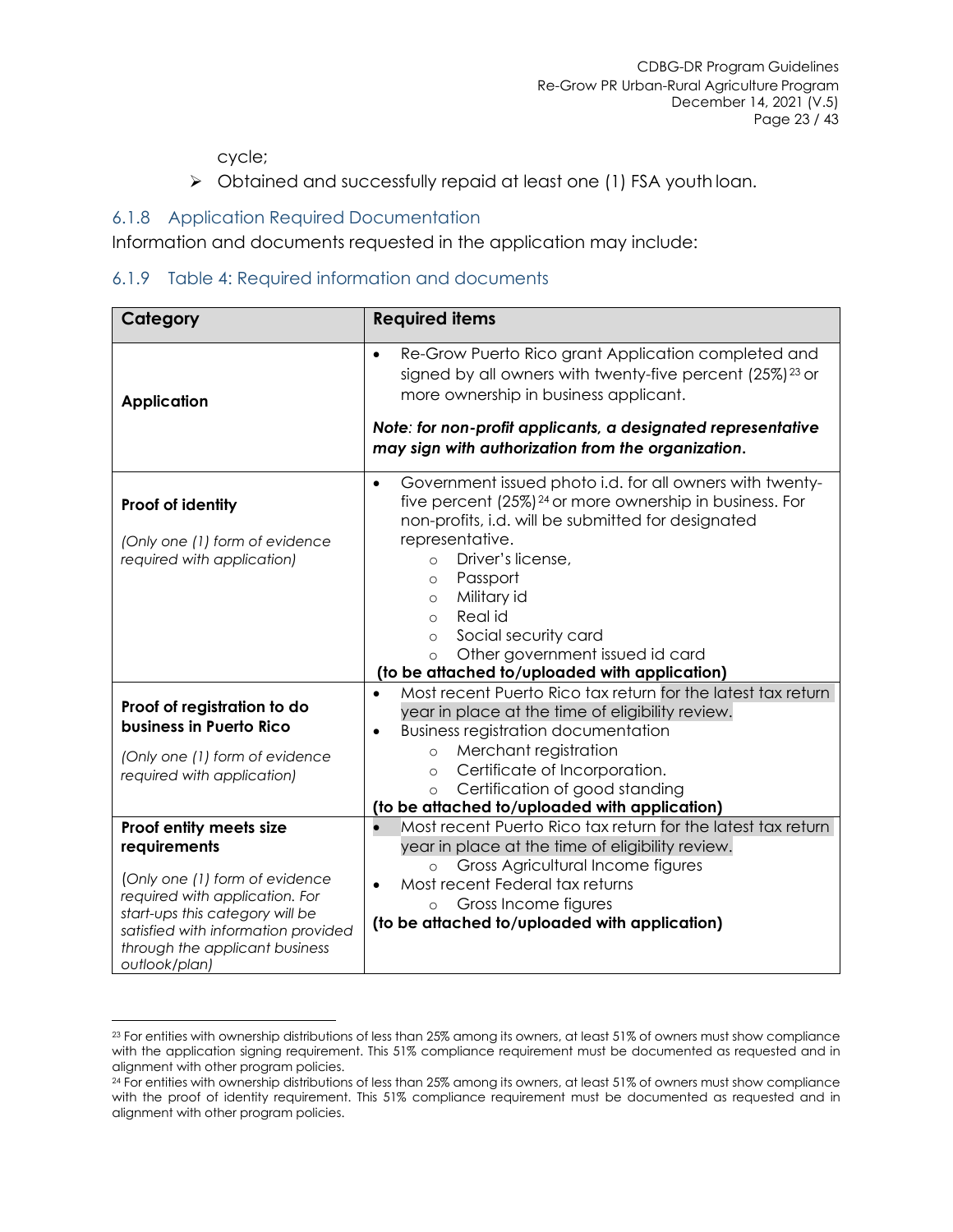cycle;

Obtained and successfully repaid at least one (1) FSA youth loan.

#### <span id="page-21-0"></span>6.1.8 Application Required Documentation

Information and documents requested in the application may include:

#### <span id="page-21-1"></span>6.1.9 Table 4: Required information and documents

| Category                                                                                                                                                                                      | <b>Required items</b>                                                                                                                                                                              |
|-----------------------------------------------------------------------------------------------------------------------------------------------------------------------------------------------|----------------------------------------------------------------------------------------------------------------------------------------------------------------------------------------------------|
| <b>Application</b>                                                                                                                                                                            | Re-Grow Puerto Rico grant Application completed and<br>$\bullet$<br>signed by all owners with twenty-five percent (25%) <sup>23</sup> or<br>more ownership in business applicant.                  |
|                                                                                                                                                                                               | Note: for non-profit applicants, a designated representative<br>may sign with authorization from the organization.                                                                                 |
| Proof of identity                                                                                                                                                                             | Government issued photo i.d. for all owners with twenty-<br>$\bullet$<br>five percent (25%) <sup>24</sup> or more ownership in business. For<br>non-profits, i.d. will be submitted for designated |
| (Only one (1) form of evidence<br>required with application)                                                                                                                                  | representative.<br>Driver's license,<br>$\circ$<br>Passport                                                                                                                                        |
|                                                                                                                                                                                               | $\circ$<br>Military id<br>$\circ$<br>Real id<br>$\circ$                                                                                                                                            |
|                                                                                                                                                                                               | Social security card<br>$\circ$                                                                                                                                                                    |
|                                                                                                                                                                                               | Other government issued id card<br>$\circ$<br>(to be attached to/uploaded with application)                                                                                                        |
| Proof of registration to do<br>business in Puerto Rico                                                                                                                                        | Most recent Puerto Rico tax return for the latest tax return<br>year in place at the time of eligibility review.<br><b>Business registration documentation</b><br>$\bullet$                        |
| (Only one (1) form of evidence<br>required with application)                                                                                                                                  | Merchant registration<br>$\circ$<br>Certificate of Incorporation.<br>$\circ$<br>Certification of good standing<br>$\circ$                                                                          |
|                                                                                                                                                                                               | (to be attached to/uploaded with application)                                                                                                                                                      |
| Proof entity meets size<br>requirements                                                                                                                                                       | Most recent Puerto Rico tax return for the latest tax return<br>year in place at the time of eligibility review.                                                                                   |
| (Only one (1) form of evidence<br>required with application. For<br>start-ups this category will be<br>satisfied with information provided<br>through the applicant business<br>outlook/plan) | Gross Agricultural Income figures<br>$\circ$<br>Most recent Federal tax returns<br>$\bullet$<br>Gross Income figures<br>(to be attached to/uploaded with application)                              |

<span id="page-21-2"></span><sup>&</sup>lt;sup>23</sup> For entities with ownership distributions of less than 25% among its owners, at least 51% of owners must show compliance with the application signing requirement. This 51% compliance requirement must be documented as requested and in alignment with other program policies.

<span id="page-21-3"></span><sup>&</sup>lt;sup>24</sup> For entities with ownership distributions of less than 25% among its owners, at least 51% of owners must show compliance with the proof of identity requirement. This 51% compliance requirement must be documented as requested and in alignment with other program policies.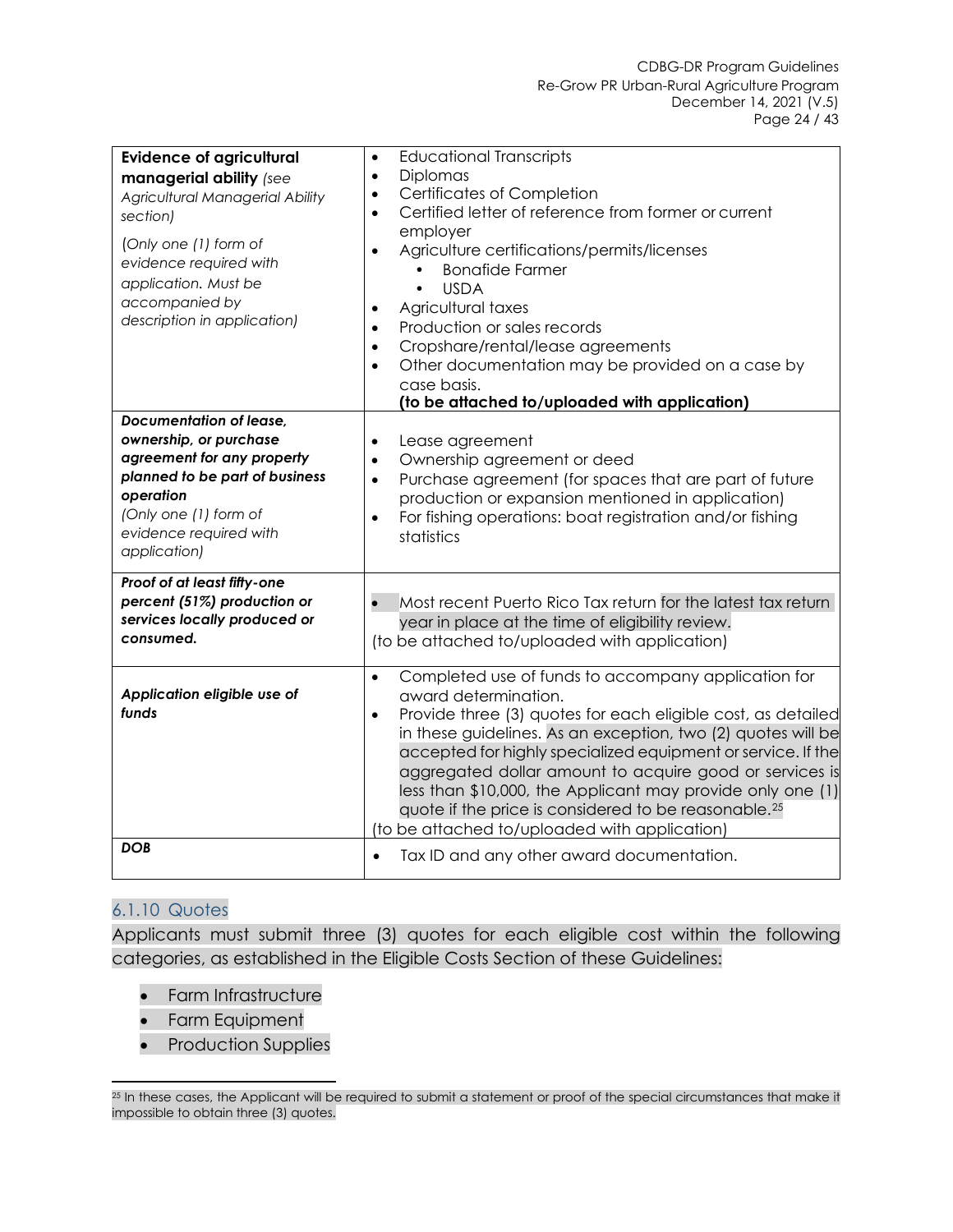| <b>Evidence of agricultural</b><br>managerial ability (see<br>Agricultural Managerial Ability<br>section)<br>(Only one (1) form of<br>evidence required with<br>application. Must be<br>accompanied by<br>description in application) | <b>Educational Transcripts</b><br>$\bullet$<br>Diplomas<br>$\bullet$<br>Certificates of Completion<br>$\bullet$<br>Certified letter of reference from former or current<br>$\bullet$<br>employer<br>Agriculture certifications/permits/licenses<br><b>Bonafide Farmer</b><br><b>USDA</b><br>$\bullet$<br>Agricultural taxes<br>$\bullet$<br>Production or sales records<br>$\bullet$<br>Cropshare/rental/lease agreements<br>$\bullet$<br>Other documentation may be provided on a case by<br>$\bullet$<br>case basis.<br>(to be attached to/uploaded with application) |
|---------------------------------------------------------------------------------------------------------------------------------------------------------------------------------------------------------------------------------------|-------------------------------------------------------------------------------------------------------------------------------------------------------------------------------------------------------------------------------------------------------------------------------------------------------------------------------------------------------------------------------------------------------------------------------------------------------------------------------------------------------------------------------------------------------------------------|
| <b>Documentation of lease,</b><br>ownership, or purchase<br>agreement for any property<br>planned to be part of business<br>operation<br>(Only one (1) form of<br>evidence required with<br>application)                              | Lease agreement<br>$\bullet$<br>Ownership agreement or deed<br>$\bullet$<br>Purchase agreement (for spaces that are part of future<br>$\bullet$<br>production or expansion mentioned in application)<br>For fishing operations: boat registration and/or fishing<br>$\bullet$<br>statistics                                                                                                                                                                                                                                                                             |
| Proof of at least fifty-one<br>percent (51%) production or<br>services locally produced or<br>consumed.                                                                                                                               | Most recent Puerto Rico Tax return for the latest tax return<br>year in place at the time of eligibility review.<br>(to be attached to/uploaded with application)                                                                                                                                                                                                                                                                                                                                                                                                       |
| Application eligible use of<br>funds                                                                                                                                                                                                  | Completed use of funds to accompany application for<br>$\bullet$<br>award determination.<br>Provide three (3) quotes for each eligible cost, as detailed<br>$\bullet$<br>in these guidelines. As an exception, two (2) quotes will be<br>accepted for highly specialized equipment or service. If the<br>aggregated dollar amount to acquire good or services is<br>less than \$10,000, the Applicant may provide only one (1)<br>quote if the price is considered to be reasonable. <sup>25</sup><br>(to be attached to/uploaded with application)                     |
| <b>DOB</b>                                                                                                                                                                                                                            | Tax ID and any other award documentation.<br>$\bullet$                                                                                                                                                                                                                                                                                                                                                                                                                                                                                                                  |

#### <span id="page-22-0"></span>6.1.10 Quotes

Applicants must submit three (3) quotes for each eligible cost within the following categories, as established in the Eligible Costs Section of these Guidelines:

- Farm Infrastructure
- Farm Equipment
- Production Supplies

<span id="page-22-1"></span><sup>&</sup>lt;sup>25</sup> In these cases, the Applicant will be required to submit a statement or proof of the special circumstances that make it impossible to obtain three (3) quotes.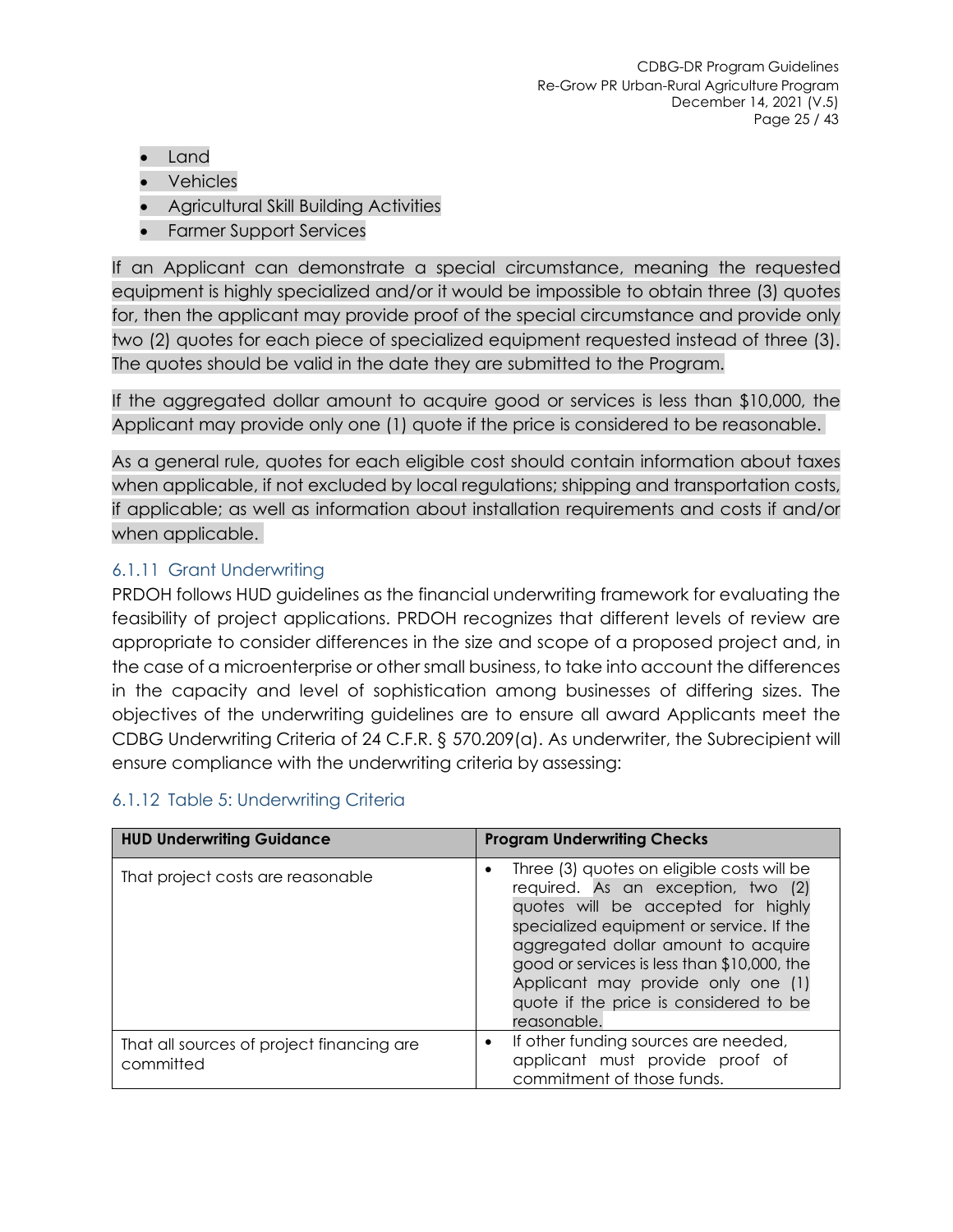- **Land**
- Vehicles
- Agricultural Skill Building Activities
- Farmer Support Services

If an Applicant can demonstrate a special circumstance, meaning the requested equipment is highly specialized and/or it would be impossible to obtain three (3) quotes for, then the applicant may provide proof of the special circumstance and provide only two (2) quotes for each piece of specialized equipment requested instead of three (3). The quotes should be valid in the date they are submitted to the Program.

If the aggregated dollar amount to acquire good or services is less than \$10,000, the Applicant may provide only one (1) quote if the price is considered to be reasonable.

As a general rule, quotes for each eligible cost should contain information about taxes when applicable, if not excluded by local regulations; shipping and transportation costs, if applicable; as well as information about installation requirements and costs if and/or when applicable.

#### <span id="page-23-0"></span>6.1.11 Grant Underwriting

PRDOH follows HUD guidelines as the financial underwriting framework for evaluating the feasibility of project applications. PRDOH recognizes that different levels of review are appropriate to consider differences in the size and scope of a proposed project and, in the case of a microenterprise or other small business, to take into account the differences in the capacity and level of sophistication among businesses of differing sizes. The objectives of the underwriting guidelines are to ensure all award Applicants meet the CDBG Underwriting Criteria of 24 C.F.R. § 570.209(a). As underwriter, the Subrecipient will ensure compliance with the underwriting criteria by assessing:

#### <span id="page-23-1"></span>6.1.12 Table 5: Underwriting Criteria

| <b>HUD Underwriting Guidance</b>                       | <b>Program Underwriting Checks</b>                                                                                                                                                                                                                                                                                                                                   |
|--------------------------------------------------------|----------------------------------------------------------------------------------------------------------------------------------------------------------------------------------------------------------------------------------------------------------------------------------------------------------------------------------------------------------------------|
| That project costs are reasonable                      | Three (3) quotes on eligible costs will be<br>$\bullet$<br>required. As an exception, two (2)<br>quotes will be accepted for highly<br>specialized equipment or service. If the<br>aggregated dollar amount to acquire<br>good or services is less than \$10,000, the<br>Applicant may provide only one (1)<br>quote if the price is considered to be<br>reasonable. |
| That all sources of project financing are<br>committed | If other funding sources are needed,<br>$\bullet$<br>applicant must provide proof of<br>commitment of those funds.                                                                                                                                                                                                                                                   |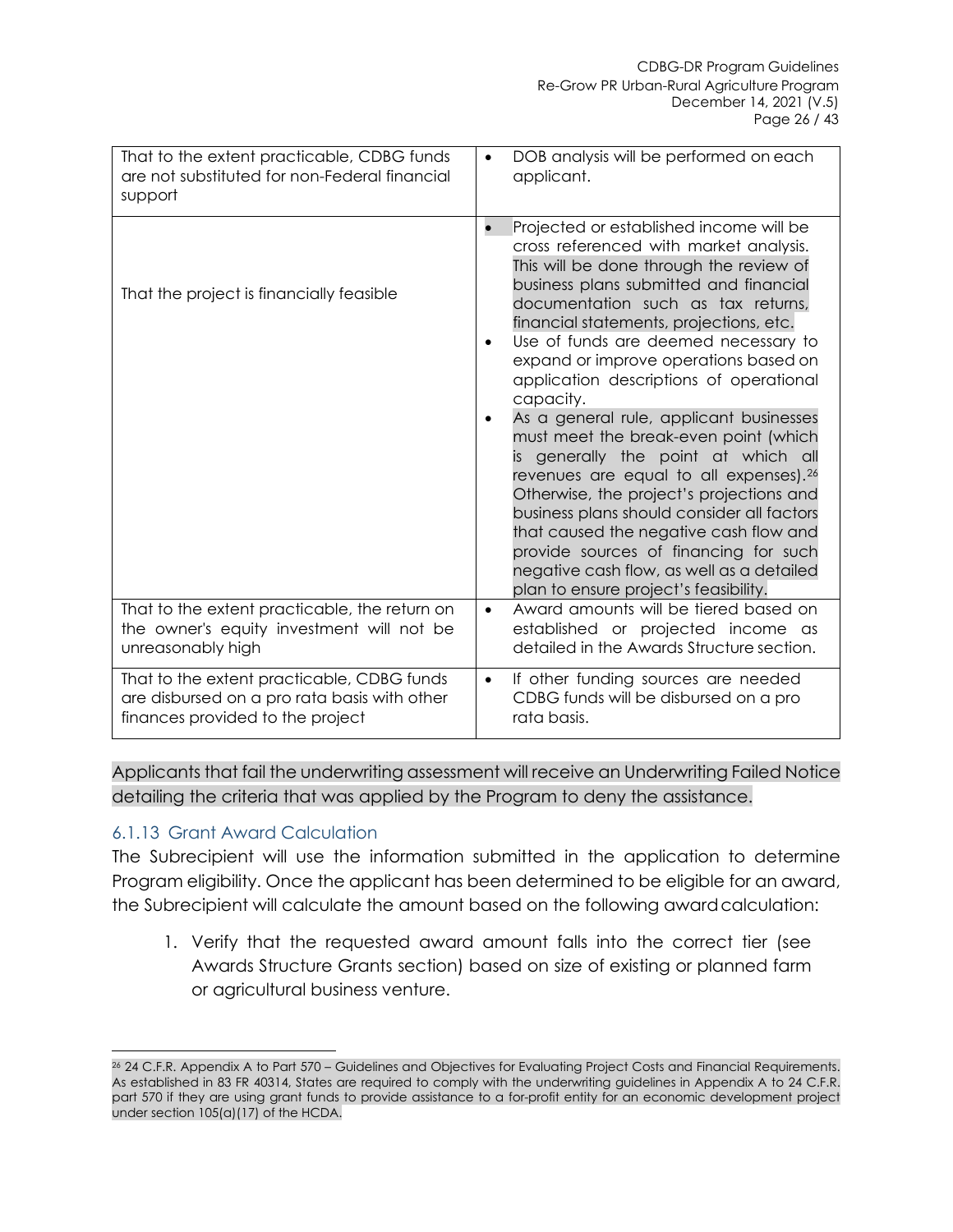| That to the extent practicable, CDBG funds<br>are not substituted for non-Federal financial<br>support                         | DOB analysis will be performed on each<br>$\bullet$<br>applicant.                                                                                                                                                                                                                                                                                                                                                                                |
|--------------------------------------------------------------------------------------------------------------------------------|--------------------------------------------------------------------------------------------------------------------------------------------------------------------------------------------------------------------------------------------------------------------------------------------------------------------------------------------------------------------------------------------------------------------------------------------------|
| That the project is financially feasible                                                                                       | Projected or established income will be<br>cross referenced with market analysis.<br>This will be done through the review of<br>business plans submitted and financial<br>documentation such as tax returns,<br>financial statements, projections, etc.<br>Use of funds are deemed necessary to<br>$\bullet$<br>expand or improve operations based on<br>application descriptions of operational<br>capacity.                                    |
|                                                                                                                                | As a general rule, applicant businesses<br>must meet the break-even point (which<br>is generally the point at which all<br>revenues are equal to all expenses). <sup>26</sup><br>Otherwise, the project's projections and<br>business plans should consider all factors<br>that caused the negative cash flow and<br>provide sources of financing for such<br>negative cash flow, as well as a detailed<br>plan to ensure project's feasibility. |
| That to the extent practicable, the return on<br>the owner's equity investment will not be<br>unreasonably high                | Award amounts will be tiered based on<br>$\bullet$<br>established or projected income as<br>detailed in the Awards Structure section.                                                                                                                                                                                                                                                                                                            |
| That to the extent practicable, CDBG funds<br>are disbursed on a pro rata basis with other<br>finances provided to the project | If other funding sources are needed<br>$\bullet$<br>CDBG funds will be disbursed on a pro<br>rata basis.                                                                                                                                                                                                                                                                                                                                         |

Applicants that fail the underwriting assessment will receive an Underwriting Failed Notice detailing the criteria that was applied by the Program to deny the assistance.

#### <span id="page-24-0"></span>6.1.13 Grant Award Calculation

The Subrecipient will use the information submitted in the application to determine Program eligibility. Once the applicant has been determined to be eligible for an award, the Subrecipient will calculate the amount based on the following awardcalculation:

1. Verify that the requested award amount falls into the correct tier (see Awards Structure Grants section) based on size of existing or planned farm or agricultural business venture.

<span id="page-24-1"></span><sup>&</sup>lt;sup>26</sup> 24 C.F.R. Appendix A to Part 570 – Guidelines and Objectives for Evaluating Project Costs and Financial Requirements. As established in 83 FR 40314, States are required to comply with the underwriting guidelines in Appendix A to 24 C.F.R. part 570 if they are using grant funds to provide assistance to a for-profit entity for an economic development project under section 105(a)(17) of the HCDA.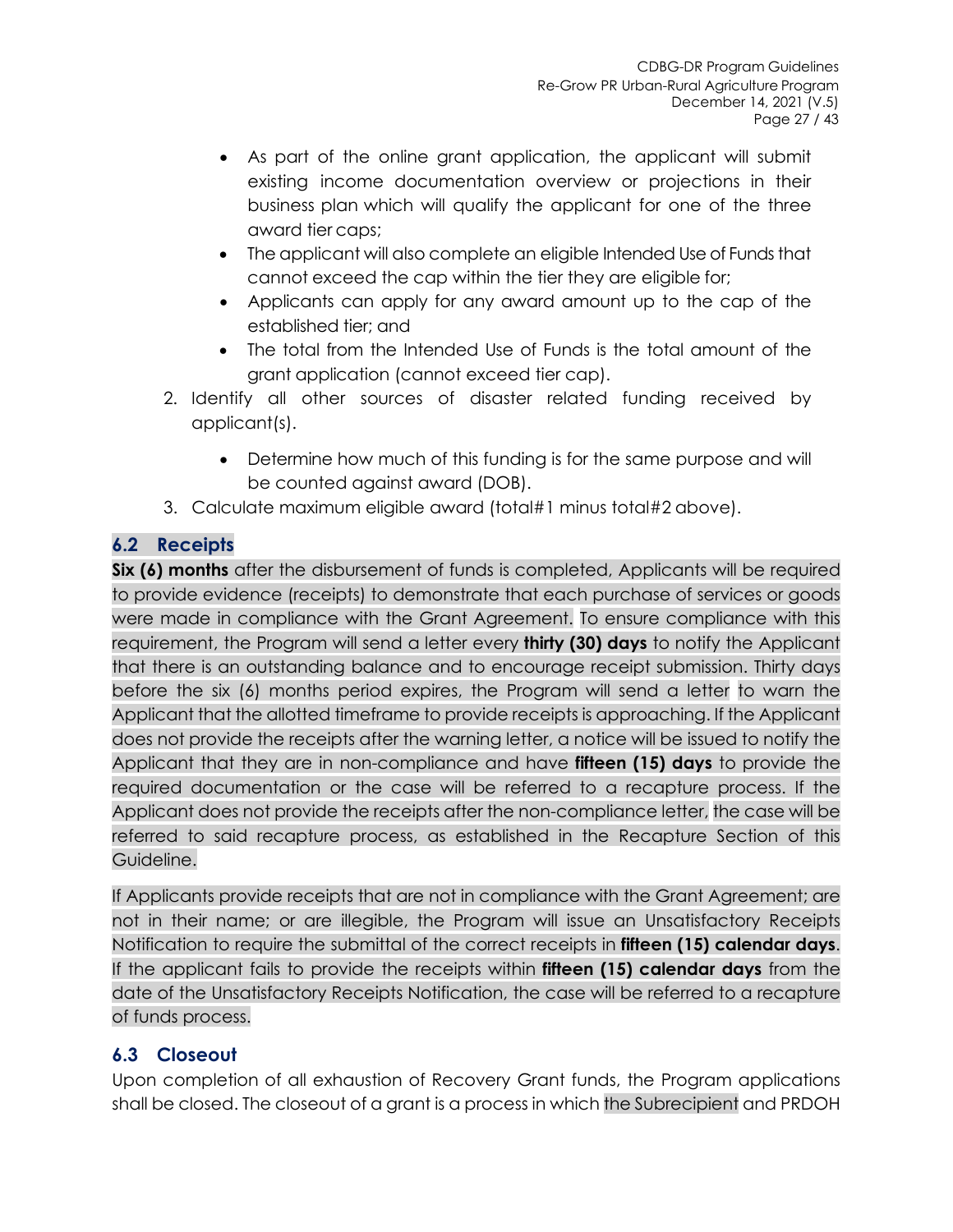- As part of the online grant application, the applicant will submit existing income documentation overview or projections in their business plan which will qualify the applicant for one of the three award tier caps;
- The applicant will also complete an eligible Intended Use of Funds that cannot exceed the cap within the tier they are eligible for;
- Applicants can apply for any award amount up to the cap of the established tier; and
- The total from the Intended Use of Funds is the total amount of the grant application (cannot exceed tier cap).
- 2. Identify all other sources of disaster related funding received by applicant(s).
	- Determine how much of this funding is for the same purpose and will be counted against award (DOB).
- 3. Calculate maximum eligible award (total#1 minus total#2 above).

#### <span id="page-25-0"></span>**6.2 Receipts**

**Six (6) months** after the disbursement of funds is completed, Applicants will be required to provide evidence (receipts) to demonstrate that each purchase of services or goods were made in compliance with the Grant Agreement. To ensure compliance with this requirement, the Program will send a letter every **thirty (30) days** to notify the Applicant that there is an outstanding balance and to encourage receipt submission. Thirty days before the six (6) months period expires, the Program will send a letter to warn the Applicant that the allotted timeframe to provide receipts is approaching. If the Applicant does not provide the receipts after the warning letter, a notice will be issued to notify the Applicant that they are in non-compliance and have **fifteen (15) days** to provide the required documentation or the case will be referred to a recapture process. If the Applicant does not provide the receipts after the non-compliance letter, the case will be referred to said recapture process, as established in the Recapture Section of this Guideline.

If Applicants provide receipts that are not in compliance with the Grant Agreement; are not in their name; or are illegible, the Program will issue an Unsatisfactory Receipts Notification to require the submittal of the correct receipts in **fifteen (15) calendar days**. If the applicant fails to provide the receipts within **fifteen (15) calendar days** from the date of the Unsatisfactory Receipts Notification, the case will be referred to a recapture of funds process.

#### <span id="page-25-1"></span>**6.3 Closeout**

Upon completion of all exhaustion of Recovery Grant funds, the Program applications shall be closed. The closeout of a grant is a process in which the Subrecipient and PRDOH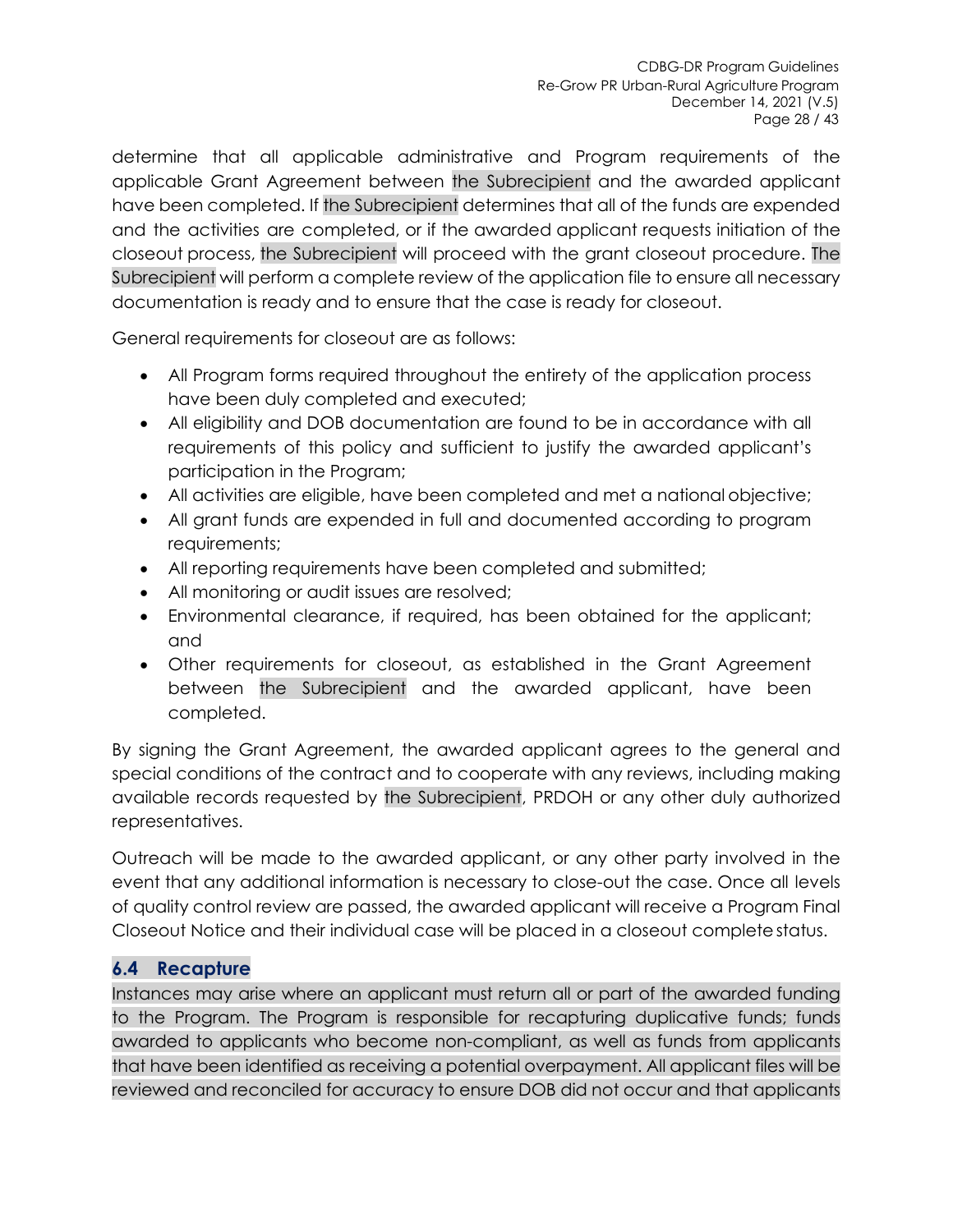determine that all applicable administrative and Program requirements of the applicable Grant Agreement between the Subrecipient and the awarded applicant have been completed. If the Subrecipient determines that all of the funds are expended and the activities are completed, or if the awarded applicant requests initiation of the closeout process, the Subrecipient will proceed with the grant closeout procedure. The Subrecipient will perform a complete review of the application file to ensure all necessary documentation is ready and to ensure that the case is ready for closeout.

General requirements for closeout are as follows:

- All Program forms required throughout the entirety of the application process have been duly completed and executed;
- All eligibility and DOB documentation are found to be in accordance with all requirements of this policy and sufficient to justify the awarded applicant's participation in the Program;
- All activities are eligible, have been completed and met a national objective;
- All grant funds are expended in full and documented according to program requirements;
- All reporting requirements have been completed and submitted;
- All monitoring or audit issues are resolved;
- Environmental clearance, if required, has been obtained for the applicant; and
- Other requirements for closeout, as established in the Grant Agreement between the Subrecipient and the awarded applicant, have been completed.

By signing the Grant Agreement, the awarded applicant agrees to the general and special conditions of the contract and to cooperate with any reviews, including making available records requested by the Subrecipient, PRDOH or any other duly authorized representatives.

Outreach will be made to the awarded applicant, or any other party involved in the event that any additional information is necessary to close-out the case. Once all levels of quality control review are passed, the awarded applicant will receive a Program Final Closeout Notice and their individual case will be placed in a closeout completestatus.

#### <span id="page-26-0"></span>**6.4 Recapture**

Instances may arise where an applicant must return all or part of the awarded funding to the Program. The Program is responsible for recapturing duplicative funds; funds awarded to applicants who become non-compliant, as well as funds from applicants that have been identified as receiving a potential overpayment. All applicant files will be reviewed and reconciled for accuracy to ensure DOB did not occur and that applicants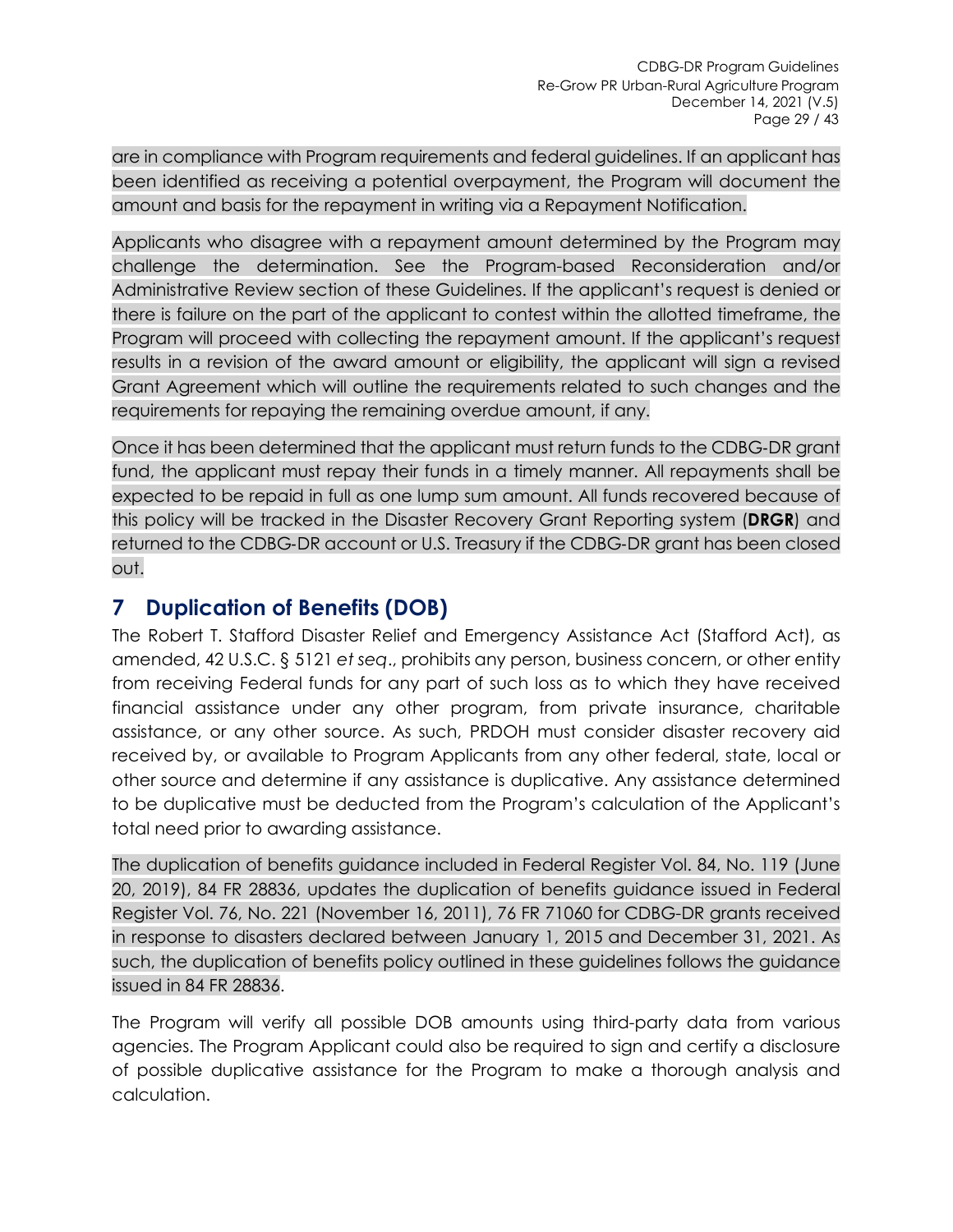are in compliance with Program requirements and federal guidelines. If an applicant has been identified as receiving a potential overpayment, the Program will document the amount and basis for the repayment in writing via a Repayment Notification.

Applicants who disagree with a repayment amount determined by the Program may challenge the determination. See the Program-based Reconsideration and/or Administrative Review section of these Guidelines. If the applicant's request is denied or there is failure on the part of the applicant to contest within the allotted timeframe, the Program will proceed with collecting the repayment amount. If the applicant's request results in a revision of the award amount or eligibility, the applicant will sign a revised Grant Agreement which will outline the requirements related to such changes and the requirements for repaying the remaining overdue amount, if any.

Once it has been determined that the applicant must return funds to the CDBG‐DR grant fund, the applicant must repay their funds in a timely manner. All repayments shall be expected to be repaid in full as one lump sum amount. All funds recovered because of this policy will be tracked in the Disaster Recovery Grant Reporting system (**DRGR**) and returned to the CDBG‐DR account or U.S. Treasury if the CDBG‐DR grant has been closed out.

## <span id="page-27-0"></span>**7 Duplication of Benefits (DOB)**

The Robert T. Stafford Disaster Relief and Emergency Assistance Act (Stafford Act), as amended, 42 U.S.C. § 5121 *et seq*., prohibits any person, business concern, or other entity from receiving Federal funds for any part of such loss as to which they have received financial assistance under any other program, from private insurance, charitable assistance, or any other source. As such, PRDOH must consider disaster recovery aid received by, or available to Program Applicants from any other federal, state, local or other source and determine if any assistance is duplicative. Any assistance determined to be duplicative must be deducted from the Program's calculation of the Applicant's total need prior to awarding assistance.

The duplication of benefits guidance included in Federal Register Vol. 84, No. 119 (June 20, 2019), 84 FR 28836, updates the duplication of benefits guidance issued in Federal Register Vol. 76, No. 221 (November 16, 2011), 76 FR 71060 for CDBG-DR grants received in response to disasters declared between January 1, 2015 and December 31, 2021. As such, the duplication of benefits policy outlined in these guidelines follows the guidance issued in 84 FR 28836.

The Program will verify all possible DOB amounts using third-party data from various agencies. The Program Applicant could also be required to sign and certify a disclosure of possible duplicative assistance for the Program to make a thorough analysis and calculation.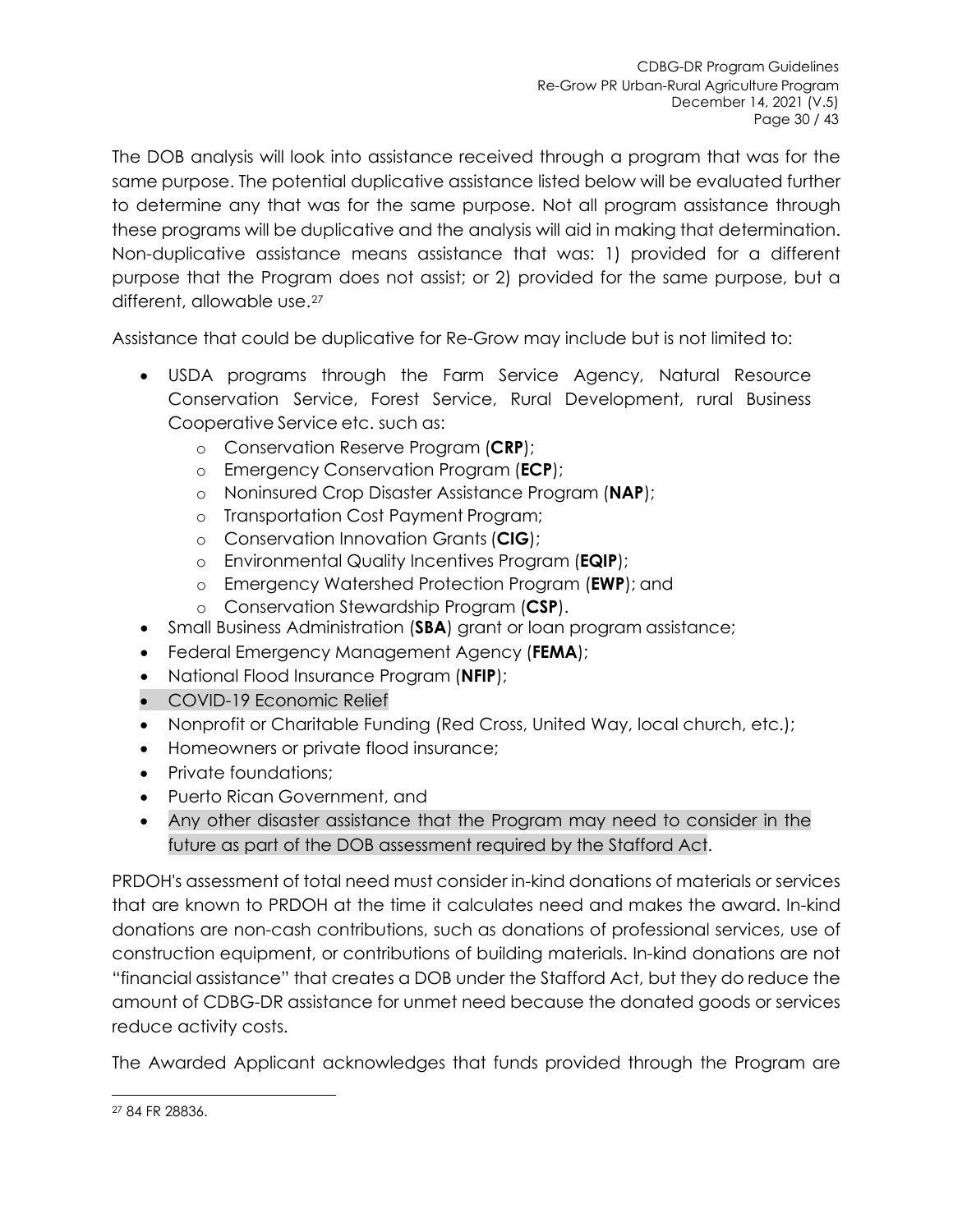The DOB analysis will look into assistance received through a program that was for the same purpose. The potential duplicative assistance listed below will be evaluated further to determine any that was for the same purpose. Not all program assistance through these programs will be duplicative and the analysis will aid in making that determination. Non-duplicative assistance means assistance that was: 1) provided for a different purpose that the Program does not assist; or 2) provided for the same purpose, but a different, allowable use.[27](#page-28-0)

Assistance that could be duplicative for Re-Grow may include but is not limited to:

- USDA programs through the Farm Service Agency, Natural Resource Conservation Service, Forest Service, Rural Development, rural Business Cooperative Service etc. such as:
	- o Conservation Reserve Program (**CRP**);
	- o Emergency Conservation Program (**ECP**);
	- o Noninsured Crop Disaster Assistance Program (**NAP**);
	- o Transportation Cost Payment Program;
	- o Conservation Innovation Grants (**CIG**);
	- o Environmental Quality Incentives Program (**EQIP**);
	- o Emergency Watershed Protection Program (**EWP**); and
	- o Conservation Stewardship Program (**CSP**).
- Small Business Administration (**SBA**) grant or loan program assistance;
- Federal Emergency Management Agency (**FEMA**);
- National Flood Insurance Program (**NFIP**);
- COVID-19 Economic Relief
- Nonprofit or Charitable Funding (Red Cross, United Way, local church, etc.);
- Homeowners or private flood insurance;
- Private foundations:
- Puerto Rican Government, and
- Any other disaster assistance that the Program may need to consider in the future as part of the DOB assessment required by the Stafford Act.

PRDOH's assessment of total need must consider in-kind donations of materials or services that are known to PRDOH at the time it calculates need and makes the award. In-kind donations are non-cash contributions, such as donations of professional services, use of construction equipment, or contributions of building materials. In-kind donations are not "financial assistance" that creates a DOB under the Stafford Act, but they do reduce the amount of CDBG-DR assistance for unmet need because the donated goods or services reduce activity costs.

The Awarded Applicant acknowledges that funds provided through the Program are

<span id="page-28-0"></span><sup>27</sup> 84 FR 28836.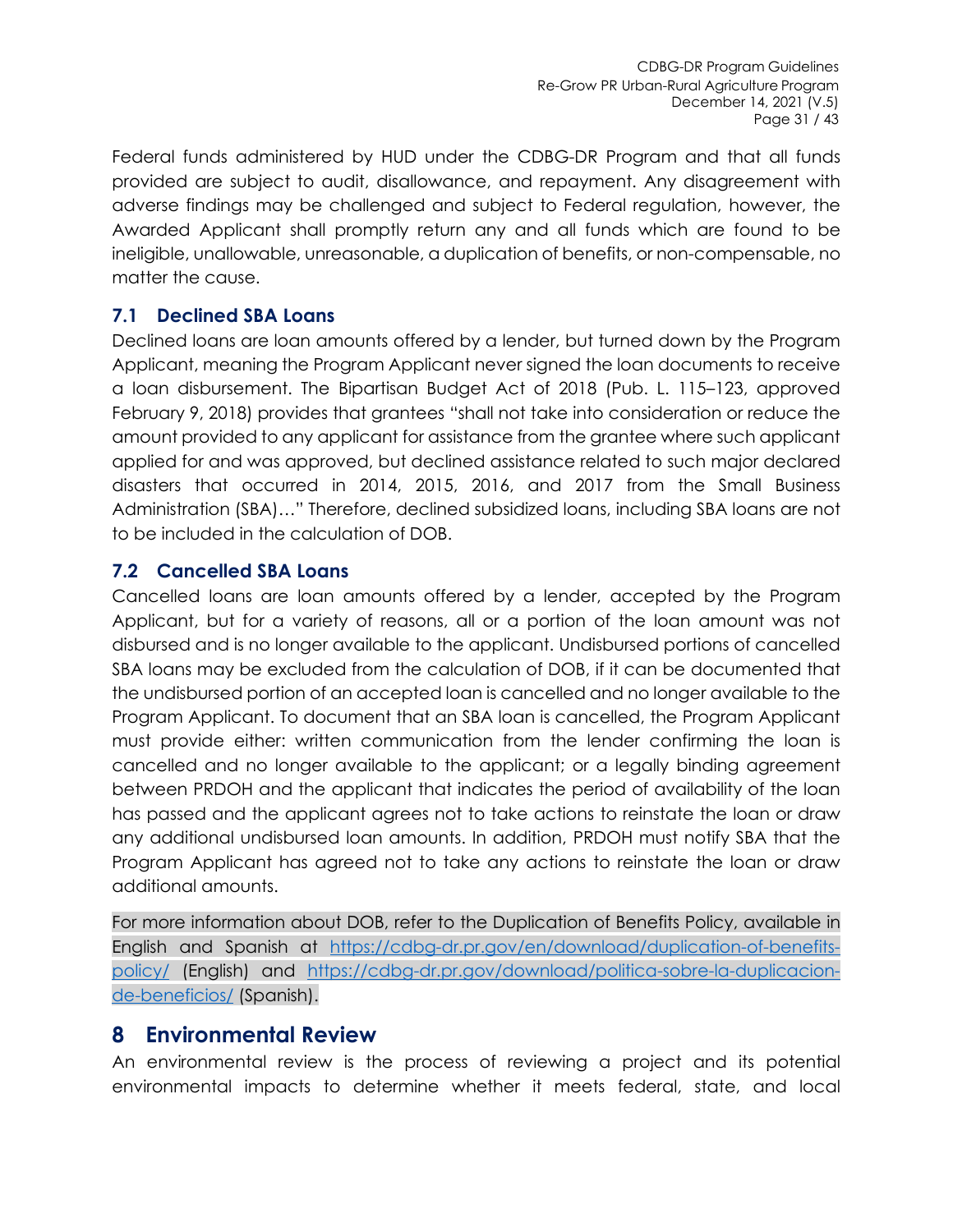Federal funds administered by HUD under the CDBG-DR Program and that all funds provided are subject to audit, disallowance, and repayment. Any disagreement with adverse findings may be challenged and subject to Federal regulation, however, the Awarded Applicant shall promptly return any and all funds which are found to be ineligible, unallowable, unreasonable, a duplication of benefits, or non-compensable, no matter the cause.

#### <span id="page-29-0"></span>**7.1 Declined SBA Loans**

Declined loans are loan amounts offered by a lender, but turned down by the Program Applicant, meaning the Program Applicant never signed the loan documents to receive a loan disbursement. The Bipartisan Budget Act of 2018 (Pub. L. 115–123, approved February 9, 2018) provides that grantees "shall not take into consideration or reduce the amount provided to any applicant for assistance from the grantee where such applicant applied for and was approved, but declined assistance related to such major declared disasters that occurred in 2014, 2015, 2016, and 2017 from the Small Business Administration (SBA)…" Therefore, declined subsidized loans, including SBA loans are not to be included in the calculation of DOB.

#### <span id="page-29-1"></span>**7.2 Cancelled SBA Loans**

Cancelled loans are loan amounts offered by a lender, accepted by the Program Applicant, but for a variety of reasons, all or a portion of the loan amount was not disbursed and is no longer available to the applicant. Undisbursed portions of cancelled SBA loans may be excluded from the calculation of DOB, if it can be documented that the undisbursed portion of an accepted loan is cancelled and no longer available to the Program Applicant. To document that an SBA loan is cancelled, the Program Applicant must provide either: written communication from the lender confirming the loan is cancelled and no longer available to the applicant; or a legally binding agreement between PRDOH and the applicant that indicates the period of availability of the loan has passed and the applicant agrees not to take actions to reinstate the loan or draw any additional undisbursed loan amounts. In addition, PRDOH must notify SBA that the Program Applicant has agreed not to take any actions to reinstate the loan or draw additional amounts.

For more information about DOB, refer to the Duplication of Benefits Policy, available in English and Spanish at [https://cdbg-dr.pr.gov/en/download/duplication-of-benefits](https://cdbg-dr.pr.gov/en/download/duplication-of-benefits-policy/)[policy/](https://cdbg-dr.pr.gov/en/download/duplication-of-benefits-policy/) (English) and [https://cdbg-dr.pr.gov/download/politica-sobre-la-duplicacion](https://cdbg-dr.pr.gov/download/politica-sobre-la-duplicacion-de-beneficios/)[de-beneficios/](https://cdbg-dr.pr.gov/download/politica-sobre-la-duplicacion-de-beneficios/) (Spanish).

## <span id="page-29-2"></span>**8 Environmental Review**

An environmental review is the process of reviewing a project and its potential environmental impacts to determine whether it meets federal, state, and local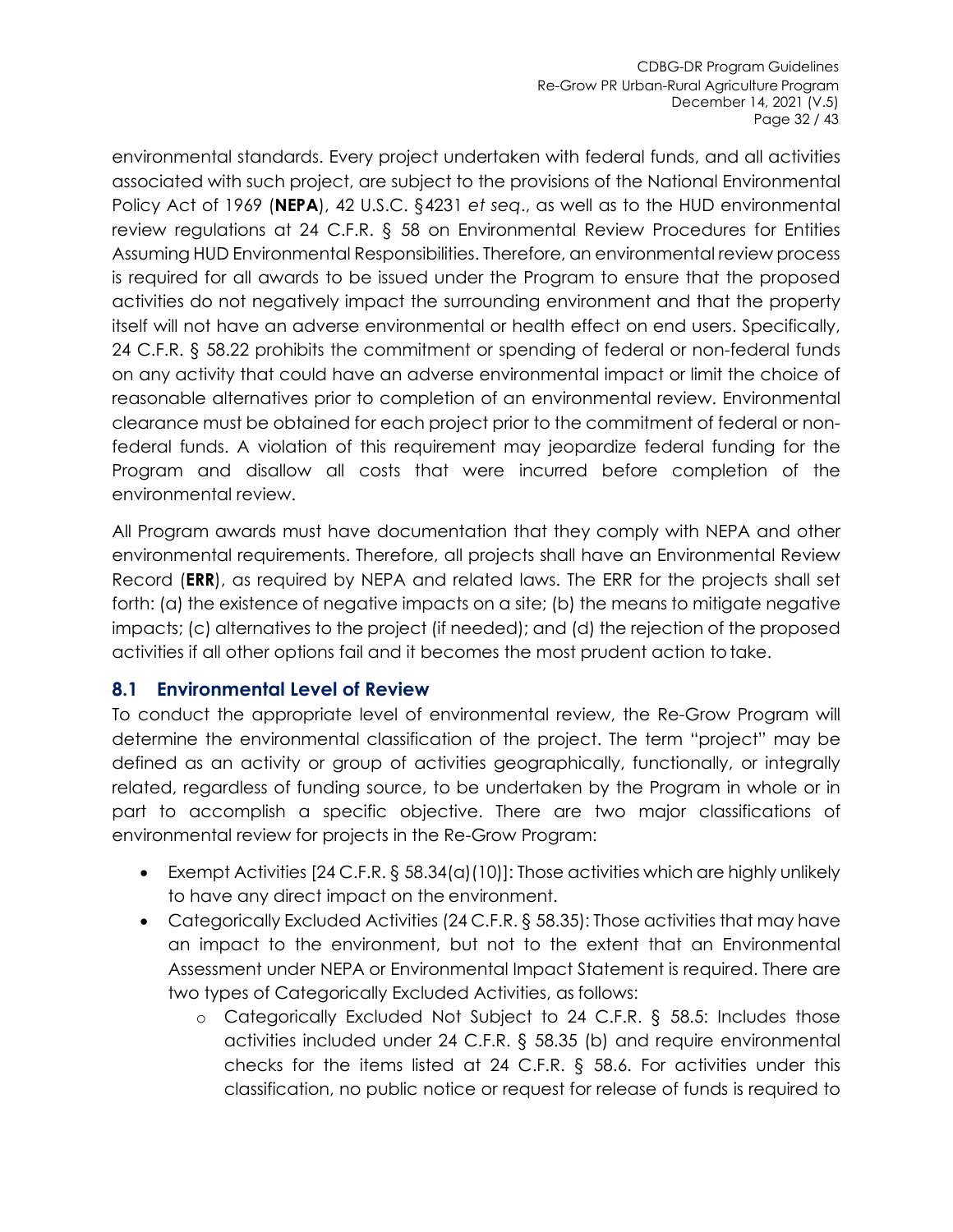environmental standards. Every project undertaken with federal funds, and all activities associated with such project, are subject to the provisions of the National Environmental Policy Act of 1969 (**NEPA**), 42 U.S.C. §4231 *et seq*., as well as to the HUD environmental review regulations at 24 C.F.R. § 58 on Environmental Review Procedures for Entities Assuming HUD Environmental Responsibilities. Therefore, an environmental review process is required for all awards to be issued under the Program to ensure that the proposed activities do not negatively impact the surrounding environment and that the property itself will not have an adverse environmental or health effect on end users. Specifically, 24 C.F.R. § 58.22 prohibits the commitment or spending of federal or non-federal funds on any activity that could have an adverse environmental impact or limit the choice of reasonable alternatives prior to completion of an environmental review. Environmental clearance must be obtained for each project prior to the commitment of federal or nonfederal funds. A violation of this requirement may jeopardize federal funding for the Program and disallow all costs that were incurred before completion of the environmental review.

All Program awards must have documentation that they comply with NEPA and other environmental requirements. Therefore, all projects shall have an Environmental Review Record (**ERR**), as required by NEPA and related laws. The ERR for the projects shall set forth: (a) the existence of negative impacts on a site; (b) the means to mitigate negative impacts; (c) alternatives to the project (if needed); and (d) the rejection of the proposed activities if all other options fail and it becomes the most prudent action totake.

#### <span id="page-30-0"></span>**8.1 Environmental Level of Review**

To conduct the appropriate level of environmental review, the Re-Grow Program will determine the environmental classification of the project. The term "project" may be defined as an activity or group of activities geographically, functionally, or integrally related, regardless of funding source, to be undertaken by the Program in whole or in part to accomplish a specific objective. There are two major classifications of environmental review for projects in the Re-Grow Program:

- Exempt Activities [24 C.F.R. § 58.34(a)(10)]: Those activities which are highly unlikely to have any direct impact on the environment.
- Categorically Excluded Activities (24 C.F.R. § 58.35): Those activities that may have an impact to the environment, but not to the extent that an Environmental Assessment under NEPA or Environmental Impact Statement is required. There are two types of Categorically Excluded Activities, as follows:
	- o Categorically Excluded Not Subject to 24 C.F.R. § 58.5: Includes those activities included under 24 C.F.R. § 58.35 (b) and require environmental checks for the items listed at 24 C.F.R. § 58.6. For activities under this classification, no public notice or request for release of funds is required to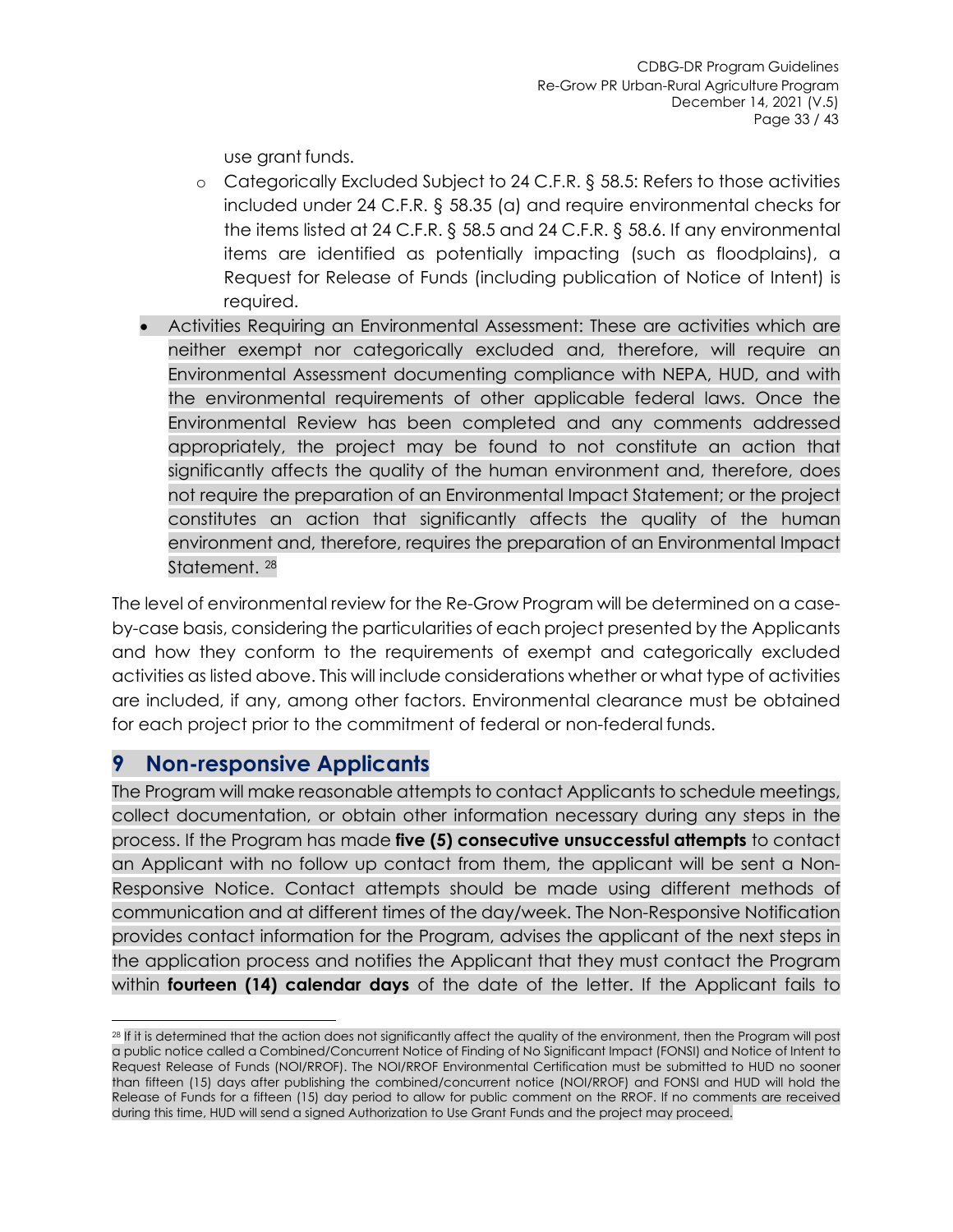use grant funds.

- o Categorically Excluded Subject to 24 C.F.R. § 58.5: Refers to those activities included under 24 C.F.R. § 58.35 (a) and require environmental checks for the items listed at 24 C.F.R. § 58.5 and 24 C.F.R. § 58.6. If any environmental items are identified as potentially impacting (such as floodplains), a Request for Release of Funds (including publication of Notice of Intent) is required.
- Activities Requiring an Environmental Assessment: These are activities which are neither exempt nor categorically excluded and, therefore, will require an Environmental Assessment documenting compliance with NEPA, HUD, and with the environmental requirements of other applicable federal laws. Once the Environmental Review has been completed and any comments addressed appropriately, the project may be found to not constitute an action that significantly affects the quality of the human environment and, therefore, does not require the preparation of an Environmental Impact Statement; or the project constitutes an action that significantly affects the quality of the human environment and, therefore, requires the preparation of an Environmental Impact Statement.<sup>[28](#page-31-1)</sup>

The level of environmental review for the Re-Grow Program will be determined on a caseby-case basis, considering the particularities of each project presented by the Applicants and how they conform to the requirements of exempt and categorically excluded activities as listed above. This will include considerations whether or what type of activities are included, if any, among other factors. Environmental clearance must be obtained for each project prior to the commitment of federal or non-federal funds.

## <span id="page-31-0"></span>**9 Non-responsive Applicants**

The Program will make reasonable attempts to contact Applicants to schedule meetings, collect documentation, or obtain other information necessary during any steps in the process. If the Program has made **five (5) consecutive unsuccessful attempts** to contact an Applicant with no follow up contact from them, the applicant will be sent a Non-Responsive Notice. Contact attempts should be made using different methods of communication and at different times of the day/week. The Non-Responsive Notification provides contact information for the Program, advises the applicant of the next steps in the application process and notifies the Applicant that they must contact the Program within **fourteen (14) calendar days** of the date of the letter. If the Applicant fails to

<span id="page-31-1"></span><sup>28</sup> If it is determined that the action does not significantly affect the quality of the environment, then the Program will post a public notice called a Combined/Concurrent Notice of Finding of No Significant Impact (FONSI) and Notice of Intent to Request Release of Funds (NOI/RROF). The NOI/RROF Environmental Certification must be submitted to HUD no sooner than fifteen (15) days after publishing the combined/concurrent notice (NOI/RROF) and FONSI and HUD will hold the Release of Funds for a fifteen (15) day period to allow for public comment on the RROF. If no comments are received during this time, HUD will send a signed Authorization to Use Grant Funds and the project may proceed.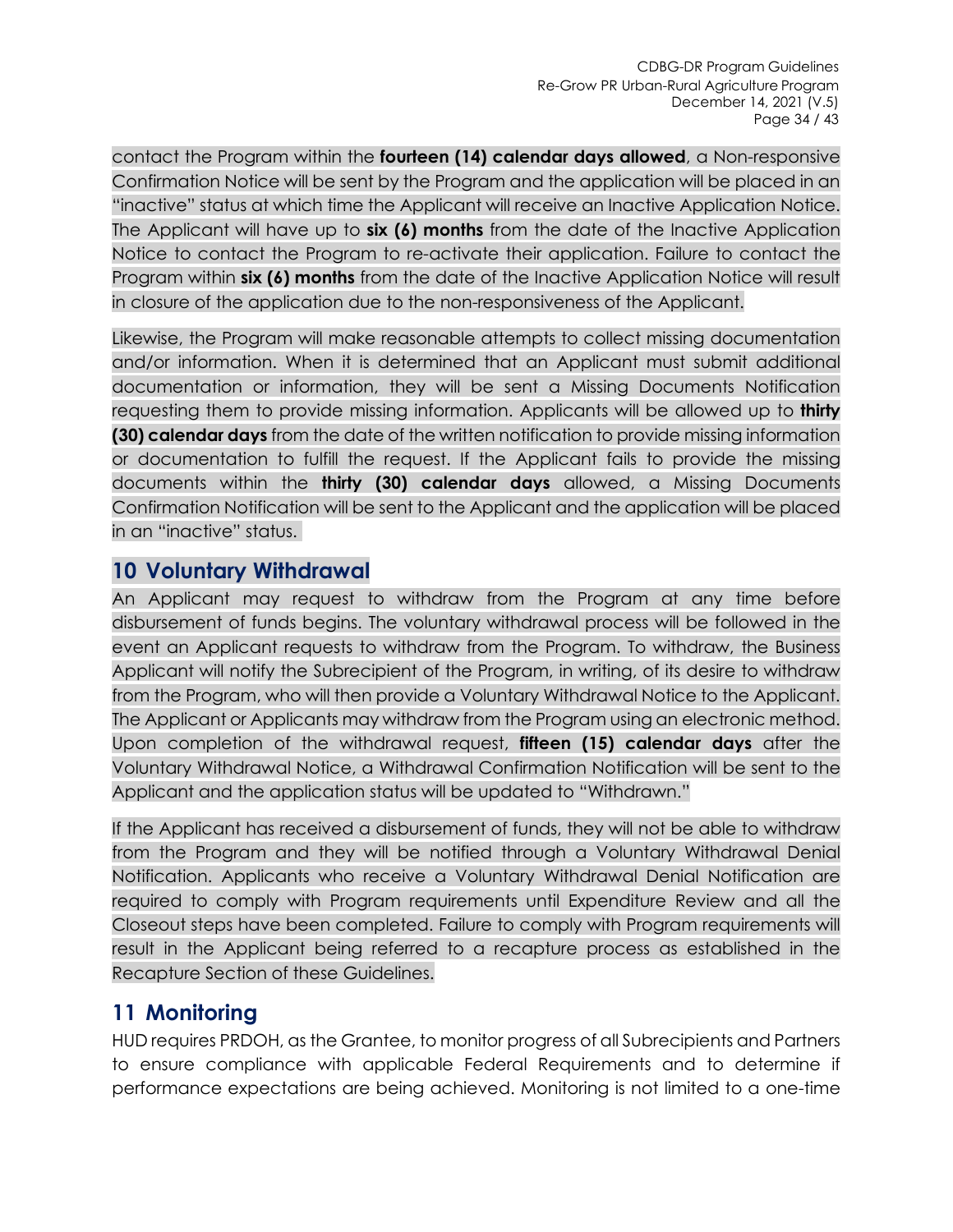contact the Program within the **fourteen (14) calendar days allowed**, a Non-responsive Confirmation Notice will be sent by the Program and the application will be placed in an "inactive" status at which time the Applicant will receive an Inactive Application Notice. The Applicant will have up to **six (6) months** from the date of the Inactive Application Notice to contact the Program to re-activate their application. Failure to contact the Program within **six (6) months** from the date of the Inactive Application Notice will result in closure of the application due to the non-responsiveness of the Applicant.

Likewise, the Program will make reasonable attempts to collect missing documentation and/or information. When it is determined that an Applicant must submit additional documentation or information, they will be sent a Missing Documents Notification requesting them to provide missing information. Applicants will be allowed up to **thirty (30) calendar days** from the date of the written notification to provide missing information or documentation to fulfill the request. If the Applicant fails to provide the missing documents within the **thirty (30) calendar days** allowed, a Missing Documents Confirmation Notification will be sent to the Applicant and the application will be placed in an "inactive" status.

## <span id="page-32-0"></span>**10 Voluntary Withdrawal**

An Applicant may request to withdraw from the Program at any time before disbursement of funds begins. The voluntary withdrawal process will be followed in the event an Applicant requests to withdraw from the Program. To withdraw, the Business Applicant will notify the Subrecipient of the Program, in writing, of its desire to withdraw from the Program, who will then provide a Voluntary Withdrawal Notice to the Applicant. The Applicant or Applicants may withdraw from the Program using an electronic method. Upon completion of the withdrawal request, **fifteen (15) calendar days** after the Voluntary Withdrawal Notice, a Withdrawal Confirmation Notification will be sent to the Applicant and the application status will be updated to "Withdrawn."

If the Applicant has received a disbursement of funds, they will not be able to withdraw from the Program and they will be notified through a Voluntary Withdrawal Denial Notification. Applicants who receive a Voluntary Withdrawal Denial Notification are required to comply with Program requirements until Expenditure Review and all the Closeout steps have been completed. Failure to comply with Program requirements will result in the Applicant being referred to a recapture process as established in the Recapture Section of these Guidelines.

## <span id="page-32-1"></span>**11 Monitoring**

HUD requires PRDOH, as the Grantee, to monitor progress of all Subrecipients and Partners to ensure compliance with applicable Federal Requirements and to determine if performance expectations are being achieved. Monitoring is not limited to a one-time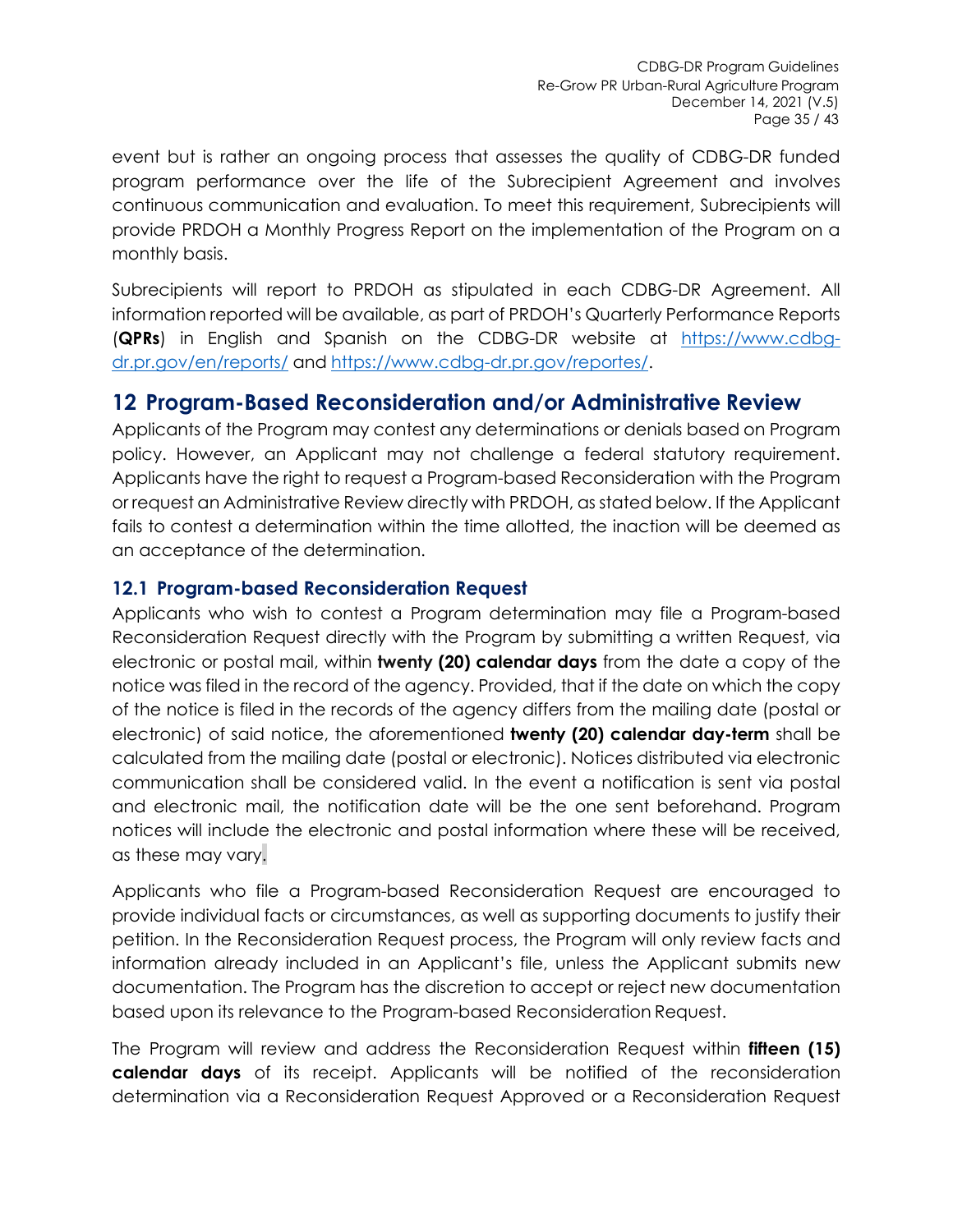event but is rather an ongoing process that assesses the quality of CDBG-DR funded program performance over the life of the Subrecipient Agreement and involves continuous communication and evaluation. To meet this requirement, Subrecipients will provide PRDOH a Monthly Progress Report on the implementation of the Program on a monthly basis.

Subrecipients will report to PRDOH as stipulated in each CDBG-DR Agreement. All information reported will be available, as part of PRDOH's Quarterly Performance Reports (**QPRs**) in English and Spanish on the CDBG-DR website at [https://www.cdbg](https://www.cdbg-dr.pr.gov/en/reports/)[dr.pr.gov/en/reports/](https://www.cdbg-dr.pr.gov/en/reports/) and [https://www.cdbg-dr.pr.gov/reportes/.](https://www.cdbg-dr.pr.gov/reportes/)

## <span id="page-33-0"></span>**12 Program-Based Reconsideration and/or Administrative Review**

Applicants of the Program may contest any determinations or denials based on Program policy. However, an Applicant may not challenge a federal statutory requirement. Applicants have the right to request a Program-based Reconsideration with the Program or request an Administrative Review directly with PRDOH, as stated below. If the Applicant fails to contest a determination within the time allotted, the inaction will be deemed as an acceptance of the determination.

#### <span id="page-33-1"></span>**12.1 Program-based Reconsideration Request**

Applicants who wish to contest a Program determination may file a Program-based Reconsideration Request directly with the Program by submitting a written Request, via electronic or postal mail, within **twenty (20) calendar days** from the date a copy of the notice was filed in the record of the agency. Provided, that if the date on which the copy of the notice is filed in the records of the agency differs from the mailing date (postal or electronic) of said notice, the aforementioned **twenty (20) calendar day-term** shall be calculated from the mailing date (postal or electronic). Notices distributed via electronic communication shall be considered valid. In the event a notification is sent via postal and electronic mail, the notification date will be the one sent beforehand. Program notices will include the electronic and postal information where these will be received, as these may vary.

Applicants who file a Program-based Reconsideration Request are encouraged to provide individual facts or circumstances, as well as supporting documents to justify their petition. In the Reconsideration Request process, the Program will only review facts and information already included in an Applicant's file, unless the Applicant submits new documentation. The Program has the discretion to accept or reject new documentation based upon its relevance to the Program-based Reconsideration Request.

The Program will review and address the Reconsideration Request within **fifteen (15) calendar days** of its receipt. Applicants will be notified of the reconsideration determination via a Reconsideration Request Approved or a Reconsideration Request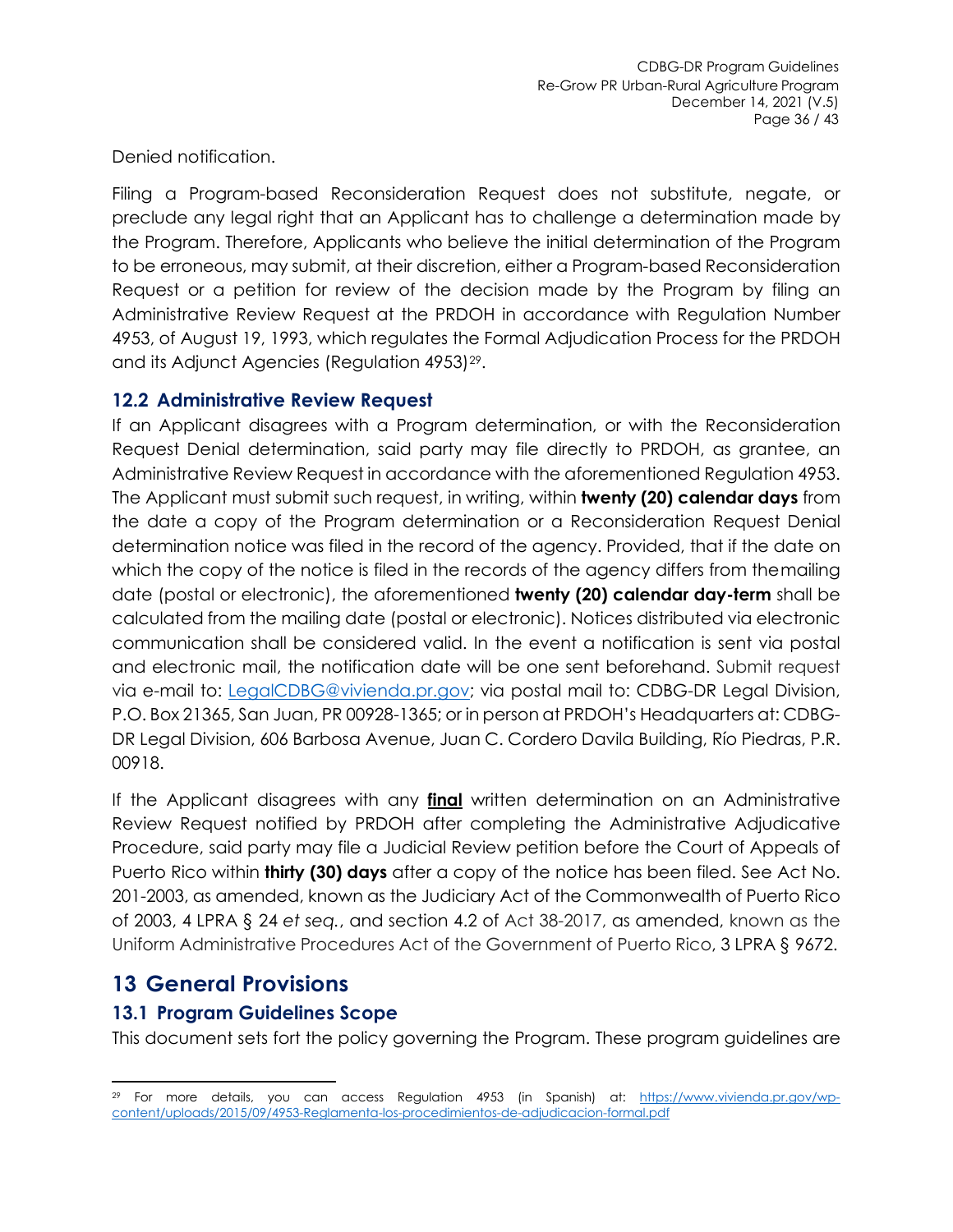Denied notification.

Filing a Program-based Reconsideration Request does not substitute, negate, or preclude any legal right that an Applicant has to challenge a determination made by the Program. Therefore, Applicants who believe the initial determination of the Program to be erroneous, may submit, at their discretion, either a Program-based Reconsideration Request or a petition for review of the decision made by the Program by filing an Administrative Review Request at the PRDOH in accordance with Regulation Number 4953, of August 19, 1993, which regulates the Formal Adjudication Process for the PRDOH and its Adjunct Agencies (Regulation 4953)<sup>[29](#page-34-3)</sup>.

#### <span id="page-34-0"></span>**12.2 Administrative Review Request**

If an Applicant disagrees with a Program determination, or with the Reconsideration Request Denial determination, said party may file directly to PRDOH, as grantee, an Administrative Review Request in accordance with the aforementioned Regulation 4953. The Applicant must submit such request, in writing, within **twenty (20) calendar days** from the date a copy of the Program determination or a Reconsideration Request Denial determination notice was filed in the record of the agency. Provided, that if the date on which the copy of the notice is filed in the records of the agency differs from themailing date (postal or electronic), the aforementioned **twenty (20) calendar day-term** shall be calculated from the mailing date (postal or electronic). Notices distributed via electronic communication shall be considered valid. In the event a notification is sent via postal and electronic mail, the notification date will be one sent beforehand. Submit request via e-mail to: [LegalCDBG@vivienda.pr.gov;](mailto:LegalCDBG@vivienda.pr.gov) via postal mail to: CDBG-DR Legal Division, P.O. Box 21365, San Juan, PR 00928-1365; or in person at PRDOH's Headquarters at: CDBG-DR Legal Division, 606 Barbosa Avenue, Juan C. Cordero Davila Building, Río Piedras, P.R. 00918.

If the Applicant disagrees with any **final** written determination on an Administrative Review Request notified by PRDOH after completing the Administrative Adjudicative Procedure, said party may file a Judicial Review petition before the Court of Appeals of Puerto Rico within **thirty (30) days** after a copy of the notice has been filed. See Act No. 201-2003, as amended, known as the Judiciary Act of the Commonwealth of Puerto Rico of 2003, 4 LPRA § 24 *et seq.*, and section 4.2 of Act 38-2017, as amended, known as the Uniform Administrative Procedures Act of the Government of Puerto Rico, 3 LPRA § 9672.

## <span id="page-34-1"></span>**13 General Provisions**

#### <span id="page-34-2"></span>**13.1 Program Guidelines Scope**

This document sets fort the policy governing the Program. These program guidelines are

<span id="page-34-3"></span><sup>29</sup> For more details, you can access Regulation 4953 (in Spanish) at: [https://www.vivienda.pr.gov/wp](https://www.vivienda.pr.gov/wp-content/uploads/2015/09/4953-Reglamenta-los-procedimientos-de-adjudicacion-formal.pdf)[content/uploads/2015/09/4953-Reglamenta-los-procedimientos-de-adjudicacion-formal.pdf](https://www.vivienda.pr.gov/wp-content/uploads/2015/09/4953-Reglamenta-los-procedimientos-de-adjudicacion-formal.pdf)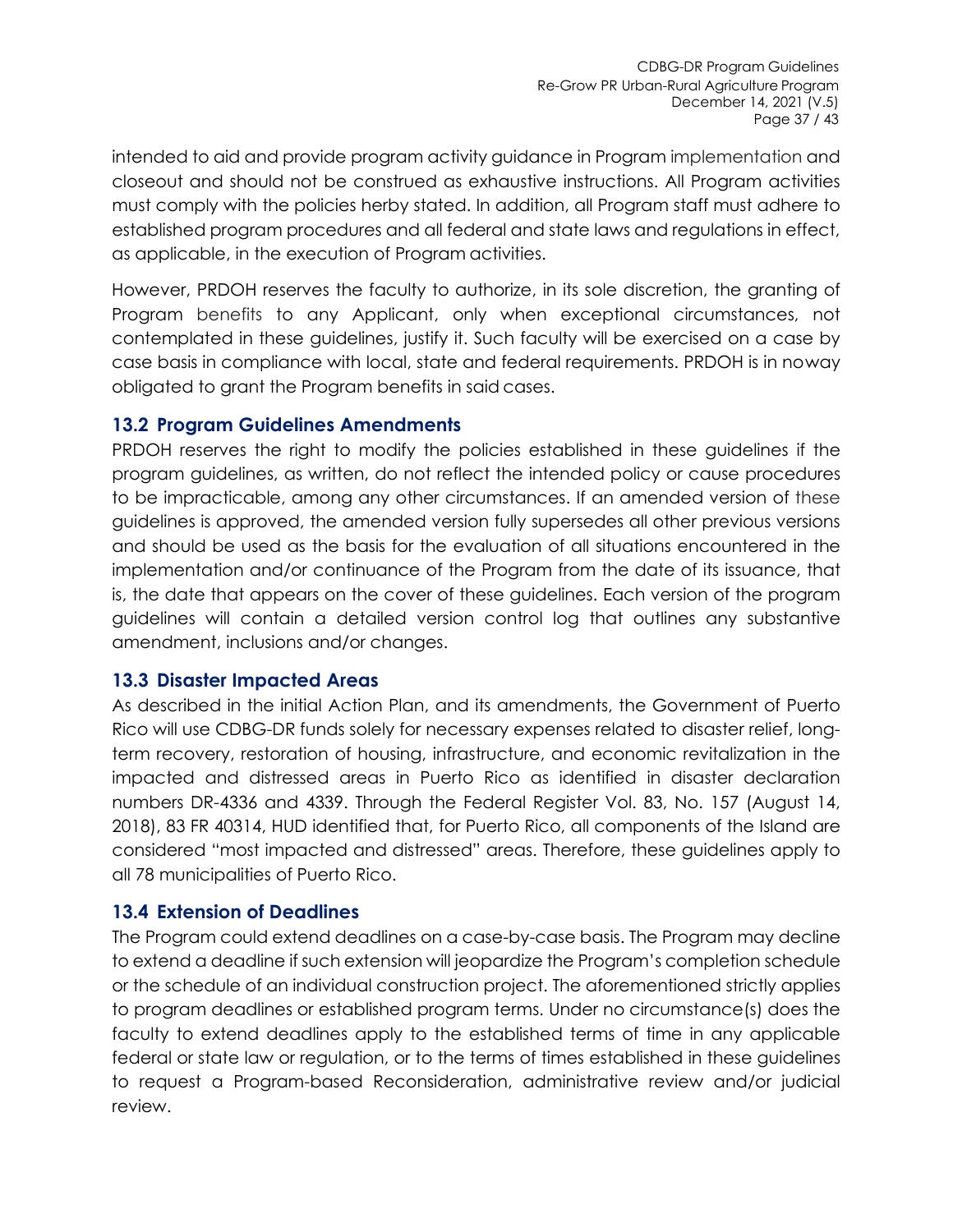intended to aid and provide program activity guidance in Program implementation and closeout and should not be construed as exhaustive instructions. All Program activities must comply with the policies herby stated. In addition, all Program staff must adhere to established program procedures and all federal and state laws and regulations in effect, as applicable, in the execution of Program activities.

However, PRDOH reserves the faculty to authorize, in its sole discretion, the granting of Program benefits to any Applicant, only when exceptional circumstances, not contemplated in these guidelines, justify it. Such faculty will be exercised on a case by case basis in compliance with local, state and federal requirements. PRDOH is in noway obligated to grant the Program benefits in said cases.

#### <span id="page-35-0"></span>**13.2 Program Guidelines Amendments**

PRDOH reserves the right to modify the policies established in these guidelines if the program guidelines, as written, do not reflect the intended policy or cause procedures to be impracticable, among any other circumstances. If an amended version of these guidelines is approved, the amended version fully supersedes all other previous versions and should be used as the basis for the evaluation of all situations encountered in the implementation and/or continuance of the Program from the date of its issuance, that is, the date that appears on the cover of these guidelines. Each version of the program guidelines will contain a detailed version control log that outlines any substantive amendment, inclusions and/or changes.

#### <span id="page-35-1"></span>**13.3 Disaster Impacted Areas**

As described in the initial Action Plan, and its amendments, the Government of Puerto Rico will use CDBG-DR funds solely for necessary expenses related to disaster relief, longterm recovery, restoration of housing, infrastructure, and economic revitalization in the impacted and distressed areas in Puerto Rico as identified in disaster declaration numbers DR-4336 and 4339. Through the Federal Register Vol. 83, No. 157 (August 14, 2018), 83 FR 40314, HUD identified that, for Puerto Rico, all components of the Island are considered "most impacted and distressed" areas. Therefore, these guidelines apply to all 78 municipalities of Puerto Rico.

#### <span id="page-35-2"></span>**13.4 Extension of Deadlines**

The Program could extend deadlines on a case-by-case basis. The Program may decline to extend a deadline if such extension will jeopardize the Program's completion schedule or the schedule of an individual construction project. The aforementioned strictly applies to program deadlines or established program terms. Under no circumstance(s) does the faculty to extend deadlines apply to the established terms of time in any applicable federal or state law or regulation, or to the terms of times established in these guidelines to request a Program-based Reconsideration, administrative review and/or judicial review.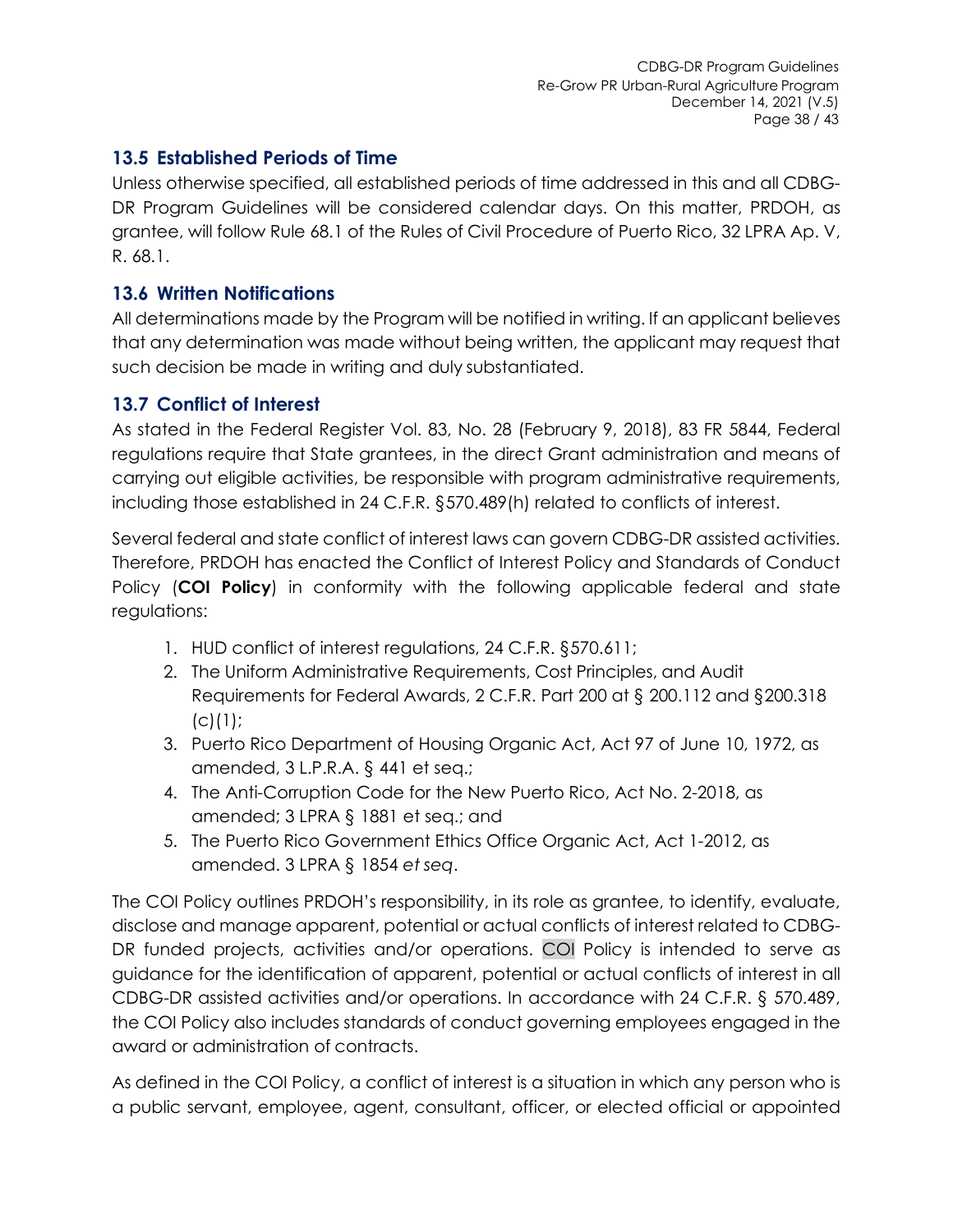#### <span id="page-36-0"></span>**13.5 Established Periods of Time**

Unless otherwise specified, all established periods of time addressed in this and all CDBG-DR Program Guidelines will be considered calendar days. On this matter, PRDOH, as grantee, will follow Rule 68.1 of the Rules of Civil Procedure of Puerto Rico, 32 LPRA Ap. V, R. 68.1.

#### <span id="page-36-1"></span>**13.6 Written Notifications**

All determinations made by the Program will be notified in writing. If an applicant believes that any determination was made without being written, the applicant may request that such decision be made in writing and duly substantiated.

#### <span id="page-36-2"></span>**13.7 Conflict of Interest**

As stated in the Federal Register Vol. 83, No. 28 (February 9, 2018), 83 FR 5844, Federal regulations require that State grantees, in the direct Grant administration and means of carrying out eligible activities, be responsible with program administrative requirements, including those established in 24 C.F.R. §570.489(h) related to conflicts of interest.

Several federal and state conflict of interest laws can govern CDBG-DR assisted activities. Therefore, PRDOH has enacted the Conflict of Interest Policy and Standards of Conduct Policy (**COI Policy**) in conformity with the following applicable federal and state regulations:

- 1. HUD conflict of interest regulations, 24 C.F.R. §570.611;
- 2. The Uniform Administrative Requirements, Cost Principles, and Audit Requirements for Federal Awards, 2 C.F.R. Part 200 at § 200.112 and §200.318  $(C)(1);$
- 3. Puerto Rico Department of Housing Organic Act, Act 97 of June 10, 1972, as amended, 3 L.P.R.A. § 441 et seq.;
- 4. The Anti-Corruption Code for the New Puerto Rico, Act No. 2-2018, as amended; 3 LPRA § 1881 et seq.; and
- 5. The Puerto Rico Government Ethics Office Organic Act, Act 1-2012, as amended. 3 LPRA § 1854 *et seq*.

The COI Policy outlines PRDOH's responsibility, in its role as grantee, to identify, evaluate, disclose and manage apparent, potential or actual conflicts of interest related to CDBG-DR funded projects, activities and/or operations. COI Policy is intended to serve as guidance for the identification of apparent, potential or actual conflicts of interest in all CDBG-DR assisted activities and/or operations. In accordance with 24 C.F.R. § 570.489, the COI Policy also includes standards of conduct governing employees engaged in the award or administration of contracts.

As defined in the COI Policy, a conflict of interest is a situation in which any person who is a public servant, employee, agent, consultant, officer, or elected official or appointed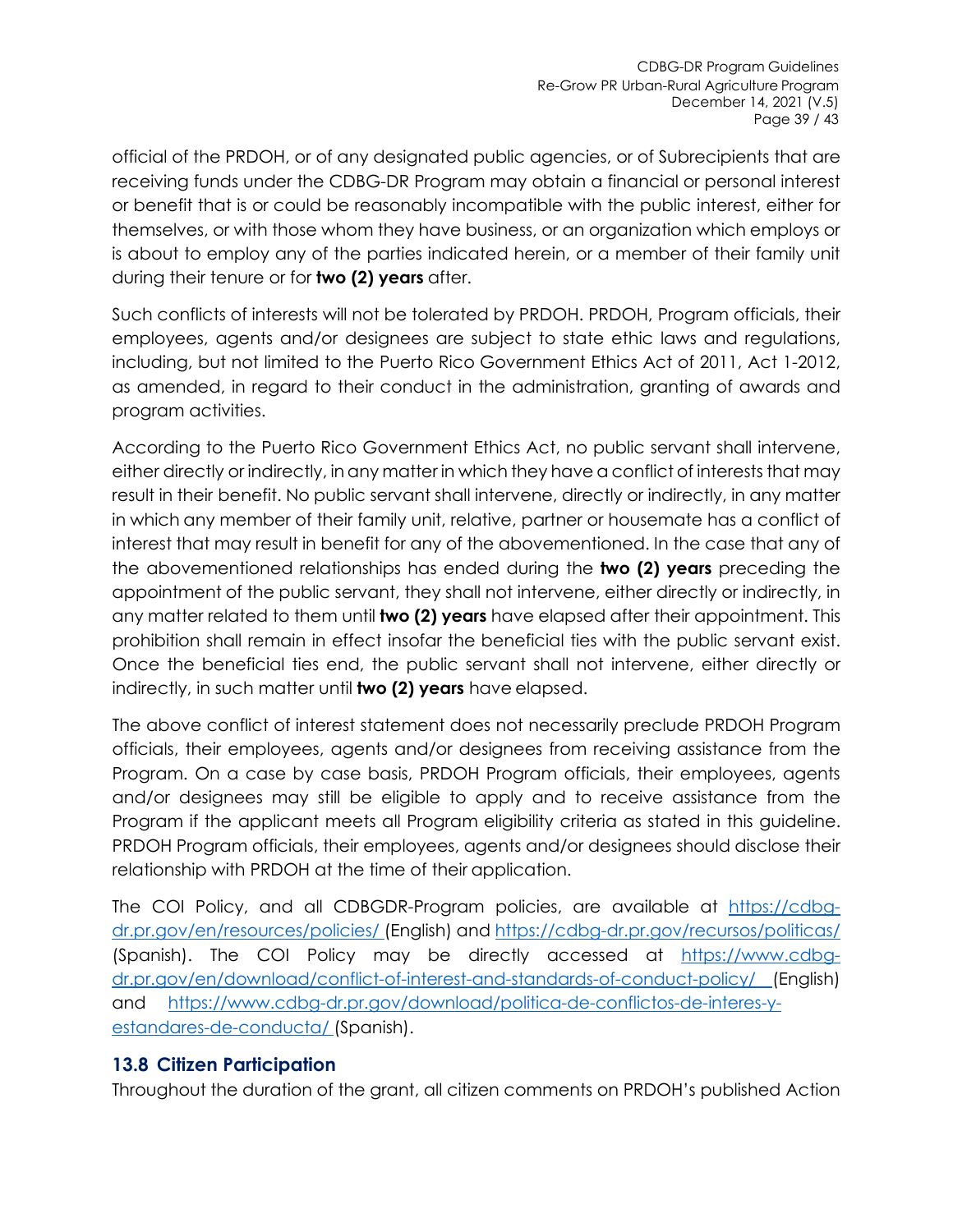official of the PRDOH, or of any designated public agencies, or of Subrecipients that are receiving funds under the CDBG-DR Program may obtain a financial or personal interest or benefit that is or could be reasonably incompatible with the public interest, either for themselves, or with those whom they have business, or an organization which employs or is about to employ any of the parties indicated herein, or a member of their family unit during their tenure or for **two (2) years** after.

Such conflicts of interests will not be tolerated by PRDOH. PRDOH, Program officials, their employees, agents and/or designees are subject to state ethic laws and regulations, including, but not limited to the Puerto Rico Government Ethics Act of 2011, Act 1-2012, as amended, in regard to their conduct in the administration, granting of awards and program activities.

According to the Puerto Rico Government Ethics Act, no public servant shall intervene, either directly or indirectly, in any matter in which they have a conflict of interests that may result in their benefit. No public servant shall intervene, directly or indirectly, in any matter in which any member of their family unit, relative, partner or housemate has a conflict of interest that may result in benefit for any of the abovementioned. In the case that any of the abovementioned relationships has ended during the **two (2) years** preceding the appointment of the public servant, they shall not intervene, either directly or indirectly, in any matter related to them until **two (2) years** have elapsed after their appointment. This prohibition shall remain in effect insofar the beneficial ties with the public servant exist. Once the beneficial ties end, the public servant shall not intervene, either directly or indirectly, in such matter until **two (2) years** have elapsed.

The above conflict of interest statement does not necessarily preclude PRDOH Program officials, their employees, agents and/or designees from receiving assistance from the Program. On a case by case basis, PRDOH Program officials, their employees, agents and/or designees may still be eligible to apply and to receive assistance from the Program if the applicant meets all Program eligibility criteria as stated in this guideline. PRDOH Program officials, their employees, agents and/or designees should disclose their relationship with PRDOH at the time of their application.

The COI Policy, and all CDBGDR-Program policies, are available at [https://cdbg](https://cdbg-dr.pr.gov/en/resources/policies/)[dr.pr.gov/en/resources/policies/ \(](https://cdbg-dr.pr.gov/en/resources/policies/)English) and<https://cdbg-dr.pr.gov/recursos/politicas/> (Spanish). The COI Policy may be directly accessed at [https://www.cdbg](https://www.cdbg-dr.pr.gov/en/download/conflict-of-interest-and-standards-of-conduct-policy/)[dr.pr.gov/en/download/conflict-of-interest-and-standards-of-conduct-policy/](https://www.cdbg-dr.pr.gov/en/download/conflict-of-interest-and-standards-of-conduct-policy/) (English) and [https://www.cdbg-dr.pr.gov/download/politica-de-conflictos-de-interes-y](https://www.cdbg-dr.pr.gov/download/politica-de-conflictos-de-interes-y-estandares-de-conducta/)[estandares-de-conducta/](https://www.cdbg-dr.pr.gov/download/politica-de-conflictos-de-interes-y-estandares-de-conducta/) (Spanish).

#### <span id="page-37-0"></span>**13.8 Citizen Participation**

Throughout the duration of the grant, all citizen comments on PRDOH's published Action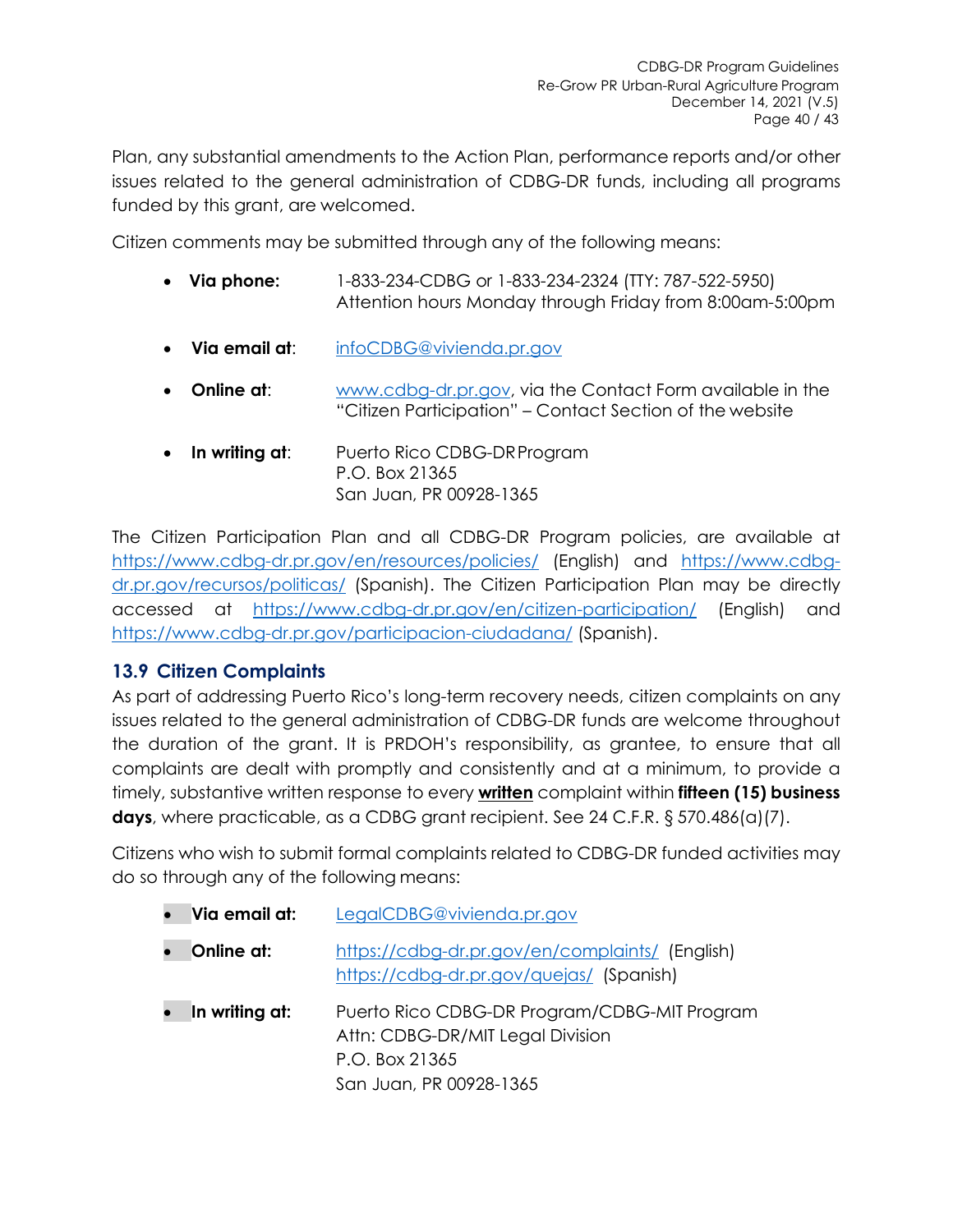Plan, any substantial amendments to the Action Plan, performance reports and/or other issues related to the general administration of CDBG-DR funds, including all programs funded by this grant, are welcomed.

Citizen comments may be submitted through any of the following means:

- **Via phone:** 1-833-234-CDBG or 1-833-234-2324 (TTY: 787-522-5950) Attention hours Monday through Friday from 8:00am-5:00pm
- **Via email at:** [infoCDBG@vivienda.pr.gov](mailto:infoCDBG@vivienda.pr.gov)
- **Online at:** [www.cdbg-dr.pr.gov,](http://www.cdbg-dr.pr.gov/) via the Contact Form available in the "Citizen Participation" – Contact Section of the website
- **In writing at**: Puerto Rico CDBG-DRProgram P.O. Box 21365 San Juan, PR 00928-1365

The Citizen Participation Plan and all CDBG-DR Program policies, are available at <https://www.cdbg-dr.pr.gov/en/resources/policies/> (English) and [https://www.cdbg](https://www.cdbg-dr.pr.gov/recursos/politicas/)[dr.pr.gov/recursos/politicas/](https://www.cdbg-dr.pr.gov/recursos/politicas/) (Spanish). The Citizen Participation Plan may be directly accessed at <https://www.cdbg-dr.pr.gov/en/citizen-participation/> (English) and <https://www.cdbg-dr.pr.gov/participacion-ciudadana/> (Spanish).

#### <span id="page-38-0"></span>**13.9 Citizen Complaints**

As part of addressing Puerto Rico's long-term recovery needs, citizen complaints on any issues related to the general administration of CDBG-DR funds are welcome throughout the duration of the grant. It is PRDOH's responsibility, as grantee, to ensure that all complaints are dealt with promptly and consistently and at a minimum, to provide a timely, substantive written response to every **written** complaint within **fifteen (15) business days**, where practicable, as a CDBG grant recipient. See 24 C.F.R. §570.486(a)(7).

Citizens who wish to submit formal complaints related to CDBG-DR funded activities may do so through any of the following means:

|           | Via email at:  | LegalCDBG@vivienda.pr.gov                                                                                                     |
|-----------|----------------|-------------------------------------------------------------------------------------------------------------------------------|
| $\bullet$ | Online at:     | https://cdbg-dr.pr.gov/en/complaints/ (English)<br>https://cdbg-dr.pr.gov/quejas/ (Spanish)                                   |
| $\bullet$ | In writing at: | Puerto Rico CDBG-DR Program/CDBG-MIT Program<br>Attn: CDBG-DR/MIT Legal Division<br>P.O. Box 21365<br>San Juan, PR 00928-1365 |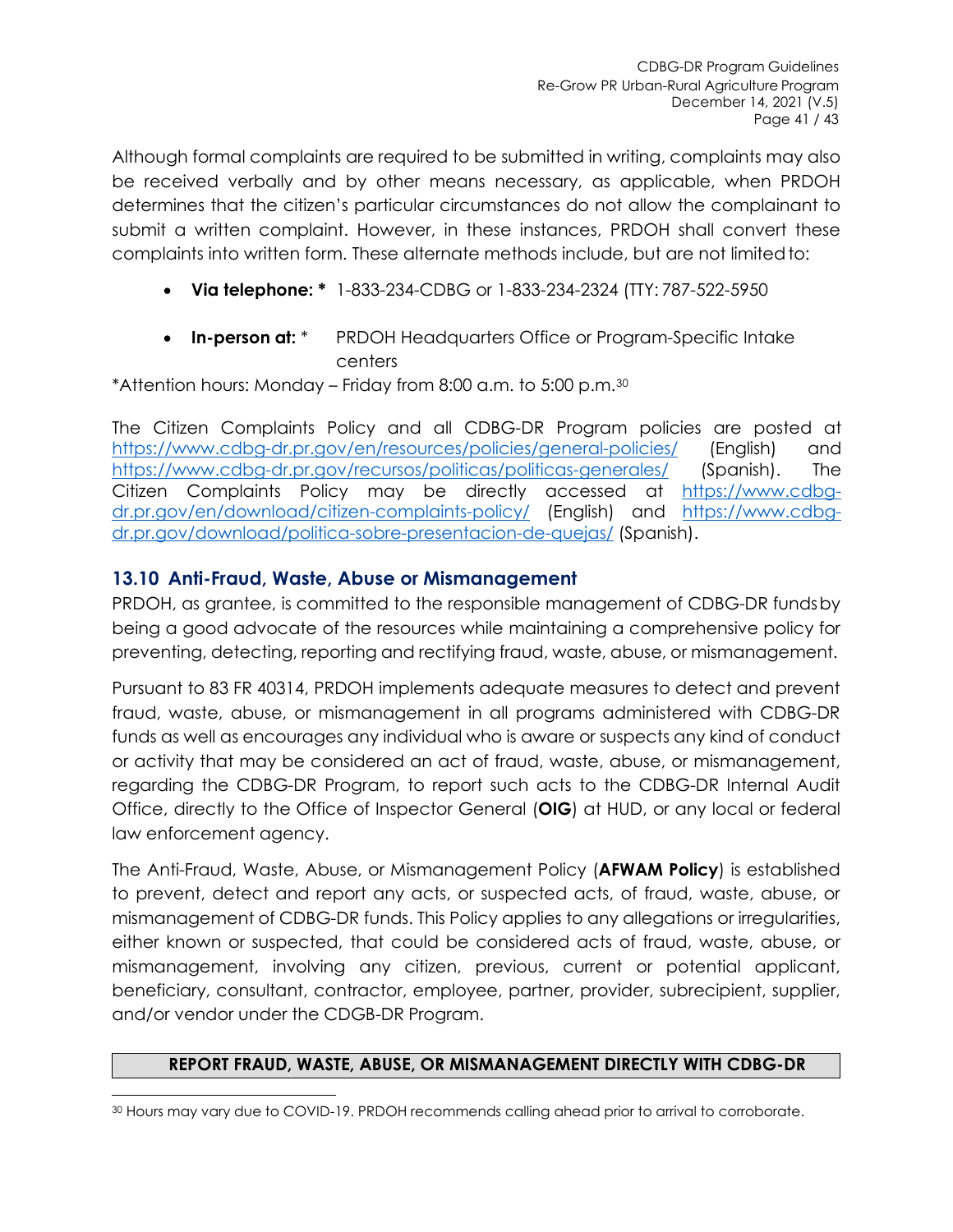Although formal complaints are required to be submitted in writing, complaints may also be received verbally and by other means necessary, as applicable, when PRDOH determines that the citizen's particular circumstances do not allow the complainant to submit a written complaint. However, in these instances, PRDOH shall convert these complaints into written form. These alternate methods include, but are not limitedto:

- **Via telephone: \*** 1-833-234-CDBG or 1-833-234-2324 (TTY: 787-522-5950
- **In-person at:** \* PRDOH Headquarters Office or Program-Specific Intake centers

\*Attention hours: Monday – Friday from 8:00 a.m. to 5:00 p.m.[30](#page-39-1)

The Citizen Complaints Policy and all CDBG-DR Program policies are posted at <https://www.cdbg-dr.pr.gov/en/resources/policies/general-policies/> (English) and <https://www.cdbg-dr.pr.gov/recursos/politicas/politicas-generales/> (Spanish). The Citizen Complaints Policy may be directly accessed at [https://www.cdbg](https://www.cdbg-dr.pr.gov/en/download/citizen-complaints-policy/)[dr.pr.gov/en/download/citizen-complaints-policy/](https://www.cdbg-dr.pr.gov/en/download/citizen-complaints-policy/) (English) and [https://www.cdbg](https://www.cdbg-dr.pr.gov/download/politica-sobre-presentacion-de-quejas/)[dr.pr.gov/download/politica-sobre-presentacion-de-quejas/](https://www.cdbg-dr.pr.gov/download/politica-sobre-presentacion-de-quejas/) (Spanish).

#### <span id="page-39-0"></span>**13.10 Anti-Fraud, Waste, Abuse or Mismanagement**

PRDOH, as grantee, is committed to the responsible management of CDBG-DR fundsby being a good advocate of the resources while maintaining a comprehensive policy for preventing, detecting, reporting and rectifying fraud, waste, abuse, or mismanagement.

Pursuant to 83 FR 40314, PRDOH implements adequate measures to detect and prevent fraud, waste, abuse, or mismanagement in all programs administered with CDBG-DR funds as well as encourages any individual who is aware or suspects any kind of conduct or activity that may be considered an act of fraud, waste, abuse, or mismanagement, regarding the CDBG-DR Program, to report such acts to the CDBG-DR Internal Audit Office, directly to the Office of Inspector General (**OIG**) at HUD, or any local or federal law enforcement agency.

The Anti-Fraud, Waste, Abuse, or Mismanagement Policy (**AFWAM Policy**) is established to prevent, detect and report any acts, or suspected acts, of fraud, waste, abuse, or mismanagement of CDBG-DR funds. This Policy applies to any allegations or irregularities, either known or suspected, that could be considered acts of fraud, waste, abuse, or mismanagement, involving any citizen, previous, current or potential applicant, beneficiary, consultant, contractor, employee, partner, provider, subrecipient, supplier, and/or vendor under the CDGB-DR Program.

#### **REPORT FRAUD, WASTE, ABUSE, OR MISMANAGEMENT DIRECTLY WITH CDBG-DR**

<span id="page-39-1"></span><sup>30</sup> Hours may vary due to COVID-19. PRDOH recommends calling ahead prior to arrival to corroborate.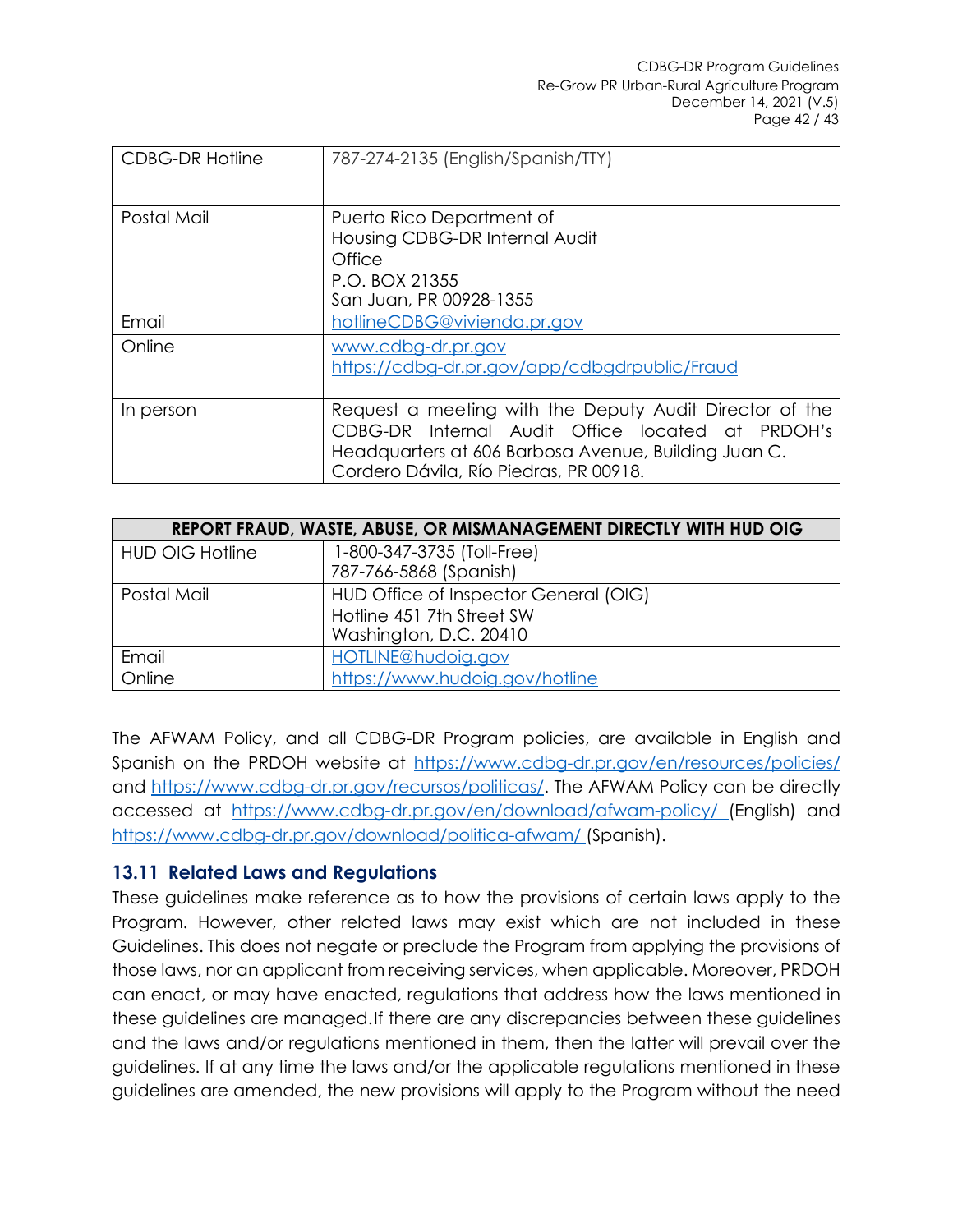| <b>CDBG-DR Hotline</b> | 787-274-2135 (English/Spanish/TTY)                                                                                                                                                                            |
|------------------------|---------------------------------------------------------------------------------------------------------------------------------------------------------------------------------------------------------------|
| Postal Mail            | Puerto Rico Department of<br>Housing CDBG-DR Internal Audit<br>Office<br>P.O. BOX 21355<br>San Juan, PR 00928-1355                                                                                            |
| Email                  | hotlineCDBG@vivienda.pr.gov                                                                                                                                                                                   |
| Online                 | www.cdbg-dr.pr.gov<br>https://cdbg-dr.pr.gov/app/cdbgdrpublic/Fraud                                                                                                                                           |
| In person              | Request a meeting with the Deputy Audit Director of the<br>CDBG-DR Internal Audit Office located at PRDOH's<br>Headquarters at 606 Barbosa Avenue, Building Juan C.<br>Cordero Dávila, Río Piedras, PR 00918. |

| REPORT FRAUD, WASTE, ABUSE, OR MISMANAGEMENT DIRECTLY WITH HUD OIG |                                       |  |
|--------------------------------------------------------------------|---------------------------------------|--|
| <b>HUD OIG Hotline</b>                                             | 1-800-347-3735 (Toll-Free)            |  |
|                                                                    | 787-766-5868 (Spanish)                |  |
| Postal Mail                                                        | HUD Office of Inspector General (OIG) |  |
|                                                                    | Hotline 451 7th Street SW             |  |
|                                                                    | Washington, D.C. 20410                |  |
| Email                                                              | HOTLINE@hudoig.gov                    |  |
| Online                                                             | https://www.hudoig.gov/hotline        |  |

The AFWAM Policy, and all CDBG-DR Program policies, are available in English and Spanish on the PRDOH website at <https://www.cdbg-dr.pr.gov/en/resources/policies/> and [https://www.cdbg-dr.pr.gov/recursos/politicas/.](https://www.cdbg-dr.pr.gov/recursos/politicas/) The AFWAM Policy can be directly accessed at <https://www.cdbg-dr.pr.gov/en/download/afwam-policy/> (English) and [https://www.cdbg-dr.pr.gov/download/politica-afwam/ \(](https://www.cdbg-dr.pr.gov/download/politica-afwam/)Spanish).

#### <span id="page-40-0"></span>**13.11 Related Laws and Regulations**

These guidelines make reference as to how the provisions of certain laws apply to the Program. However, other related laws may exist which are not included in these Guidelines. This does not negate or preclude the Program from applying the provisions of those laws, nor an applicant from receiving services, when applicable. Moreover, PRDOH can enact, or may have enacted, regulations that address how the laws mentioned in these guidelines are managed.If there are any discrepancies between these guidelines and the laws and/or regulations mentioned in them, then the latter will prevail over the guidelines. If at any time the laws and/or the applicable regulations mentioned in these guidelines are amended, the new provisions will apply to the Program without the need